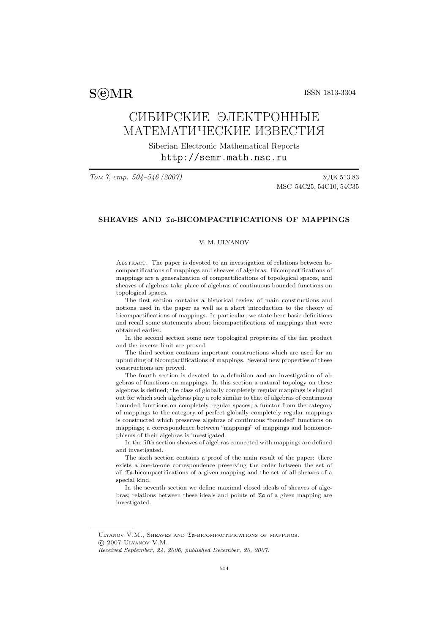$\text{SSN}$  1813-3304

# СИБИРСКИЕ ЭЛЕКТРОННЫЕ МАТЕМАТИЧЕСКИЕ ИЗВЕСТИЯ

Siberian Electronic Mathematical Reports http://semr.math.nsc.ru

Том 7, стр. 504–546 (2007) УДК 513.83 MSC 54C25, 54C10, 54C35

# SHEAVES AND Ta-BICOMPACTIFICATIONS OF MAPPINGS

# V. M. ULYANOV

Abstract. The paper is devoted to an investigation of relations between bicompactifications of mappings and sheaves of algebras. Bicompactifications of mappings are a generalization of compactifications of topological spaces, and sheaves of algebras take place of algebras of continuous bounded functions on topological spaces.

The first section contains a historical review of main constructions and notions used in the paper as well as a short introduction to the theory of bicompactifications of mappings. In particular, we state here basic definitions and recall some statements about bicompactifications of mappings that were obtained earlier.

In the second section some new topological properties of the fan product and the inverse limit are proved.

The third section contains important constructions which are used for an upbuilding of bicompactifications of mappings. Several new properties of these constructions are proved.

The fourth section is devoted to a definition and an investigation of algebras of functions on mappings. In this section a natural topology on these algebras is defined; the class of globally completely regular mappings is singled out for which such algebras play a role similar to that of algebras of continuous bounded functions on completely regular spaces; a functor from the category of mappings to the category of perfect globally completely regular mappings is constructed which preserves algebras of continuous "bounded" functions on mappings; a correspondence between "mappings" of mappings and homomorphisms of their algebras is investigated.

In the fifth section sheaves of algebras connected with mappings are defined and investigated.

The sixth section contains a proof of the main result of the paper: there exists a one-to-one correspondence preserving the order between the set of all Ta-bicompactifications of a given mapping and the set of all sheaves of a special kind.

In the seventh section we define maximal closed ideals of sheaves of algebras; relations between these ideals and points of  $\mathfrak{Ta}$  of a given mapping are investigated.

ULYANOV V.M., SHEAVES AND Ta-BICOMPACTIFICATIONS OF MAPPINGS. °c 2007 Ulyanov V.M.

Received September, 24, 2006, published December, 20, 2007.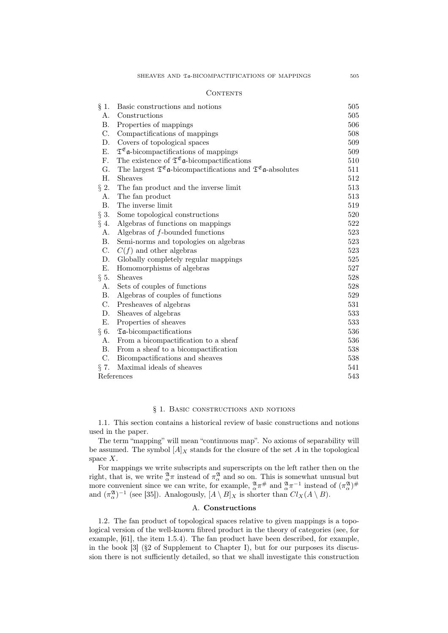#### CONTENTS

| $\S$ 1.     | Basic constructions and notions                                                                               | 505 |
|-------------|---------------------------------------------------------------------------------------------------------------|-----|
| Α.          | Constructions                                                                                                 | 505 |
| <b>B.</b>   | Properties of mappings                                                                                        | 506 |
| C.          | Compactifications of mappings                                                                                 | 508 |
| D.          | Covers of topological spaces                                                                                  | 509 |
| Е.          | $\mathfrak{T}^{\mathfrak{E}}$ a-bicompactifications of mappings                                               | 509 |
| $F_{\cdot}$ | The existence of $\mathfrak{T}^{\mathfrak{E}}$ a-bicompactifications                                          | 510 |
| $G$ .       | The largest $\mathfrak{T}^{\mathfrak{E}}$ a-bicompactifications and $\mathfrak{T}^{\mathfrak{E}}$ a-absolutes | 511 |
| Η.          | <b>Sheaves</b>                                                                                                | 512 |
| $\S$ 2.     | The fan product and the inverse limit                                                                         | 513 |
| A.          | The fan product                                                                                               | 513 |
| <b>B.</b>   | The inverse limit                                                                                             | 519 |
| $\S$ 3.     | Some topological constructions                                                                                | 520 |
| $§$ 4.      | Algebras of functions on mappings                                                                             | 522 |
| A.          | Algebras of $f$ -bounded functions                                                                            | 523 |
| <b>B.</b>   | Semi-norms and topologies on algebras                                                                         | 523 |
| C.          | $C(f)$ and other algebras                                                                                     | 523 |
| D.          | Globally completely regular mappings                                                                          | 525 |
| Ε.          | Homomorphisms of algebras                                                                                     | 527 |
| $\S$ 5.     | <b>Sheaves</b>                                                                                                | 528 |
| Α.          | Sets of couples of functions                                                                                  | 528 |
| Β.          | Algebras of couples of functions                                                                              | 529 |
| $\rm C.$    | Presheaves of algebras                                                                                        | 531 |
| D.          | Sheaves of algebras                                                                                           | 533 |
| Е.          | Properties of sheaves                                                                                         | 533 |
| $\S$ 6.     | $\mathfrak{A}\text{-}\mathrm{bicomputation}\text{s}$                                                          | 536 |
| A.          | From a bicompactification to a sheaf                                                                          | 536 |
| <b>B.</b>   | From a sheaf to a bicompactification                                                                          | 538 |
| $\rm C$ .   | Bicompactifications and sheaves                                                                               | 538 |
| $\S$ 7.     | Maximal ideals of sheaves                                                                                     | 541 |
| References  |                                                                                                               | 543 |

#### § 1. Basic constructions and notions

1.1. This section contains a historical review of basic constructions and notions used in the paper.

The term "mapping" will mean "continuous map". No axioms of separability will be assumed. The symbol  $[A]_X$  stands for the closure of the set A in the topological space  $X$ .

For mappings we write subscripts and superscripts on the left rather then on the right, that is, we write  $^{\mathfrak{A}}_{\alpha}\pi$  instead of  $\pi^{\mathfrak{A}}_{\alpha}$  and so on. This is somewhat unusual but more convenient since we can write, for example,  $\frac{\mathfrak{A}}{\alpha}\pi^{\#}$  and  $\frac{\mathfrak{A}}{\alpha}\pi^{-1}$  instead of  $(\pi_{\alpha}^{\mathfrak{A}})^{\#}$ and  $(\pi_\alpha^{\mathfrak{A}})^{-1}$  (see [35]). Analogously,  $[A \setminus B]_X$  is shorter than  $Cl_X(A \setminus B)$ .

# A. Constructions

1.2. The fan product of topological spaces relative to given mappings is a topological version of the well-known fibred product in the theory of categories (see, for example, [61], the item 1.5.4). The fan product have been described, for example, in the book  $\lceil 3 \rceil$  (§2 of Supplement to Chapter I), but for our purposes its discussion there is not sufficiently detailed, so that we shall investigate this construction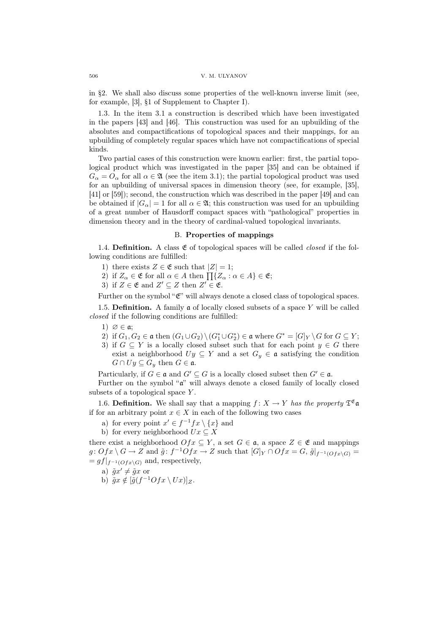in §2. We shall also discuss some properties of the well-known inverse limit (see, for example, [3], §1 of Supplement to Chapter I).

1.3. In the item 3.1 a construction is described which have been investigated in the papers [43] and [46]. This construction was used for an upbuilding of the absolutes and compactifications of topological spaces and their mappings, for an upbuilding of completely regular spaces which have not compactifications of special kinds.

Two partial cases of this construction were known earlier: first, the partial topological product which was investigated in the paper [35] and can be obtained if  $G_{\alpha} = O_{\alpha}$  for all  $\alpha \in \mathfrak{A}$  (see the item 3.1); the partial topological product was used for an upbuilding of universal spaces in dimension theory (see, for example, [35], [41] or [59]); second, the construction which was described in the paper [49] and can be obtained if  $|G_\alpha|=1$  for all  $\alpha \in \mathfrak{A}$ ; this construction was used for an upbuilding of a great number of Hausdorff compact spaces with "pathological" properties in dimension theory and in the theory of cardinal-valued topological invariants.

## B. Properties of mappings

1.4. Definition. A class  $\mathfrak E$  of topological spaces will be called *closed* if the following conditions are fulfilled:

- 1) there exists  $Z \in \mathfrak{E}$  such that  $|Z| = 1$ ;
- 1) there exists  $Z \in \mathfrak{E}$  such that  $|Z| = 1$ ;<br>2) if  $Z_{\alpha} \in \mathfrak{E}$  for all  $\alpha \in A$  then  $\prod\{Z_{\alpha} : \alpha \in A\} \in \mathfrak{E}$ ;
- 3) if  $Z \in \mathfrak{E}$  and  $Z' \subseteq Z$  then  $Z' \in \mathfrak{E}$ .

Further on the symbol " $\mathfrak{C}$ " will always denote a closed class of topological spaces.

1.5. Definition. A family  $a$  of locally closed subsets of a space  $Y$  will be called closed if the following conditions are fulfilled:

- 1)  $\varnothing \in \mathfrak{a}$ :
- 2) if  $G_1, G_2 \in \mathfrak{a}$  then  $(G_1 \cup G_2) \setminus (G_1^* \cup G_2^*) \in \mathfrak{a}$  where  $G^* = [G]_Y \setminus G$  for  $G \subseteq Y$ ;
- 3) if  $G \subseteq Y$  is a locally closed subset such that for each point  $y \in G$  there exist a neighborhood  $Uy \subseteq Y$  and a set  $G_y \in \mathfrak{a}$  satisfying the condition  $G \cap U_y \subseteq G_y$  then  $G \in \mathfrak{a}$ .

Particularly, if  $G \in \mathfrak{a}$  and  $G' \subseteq G$  is a locally closed subset then  $G' \in \mathfrak{a}$ .

Further on the symbol "a" will always denote a closed family of locally closed subsets of a topological space Y.

1.6. Definition. We shall say that a mapping  $f: X \to Y$  has the property  $\mathfrak{T}^{\mathfrak{E}}$  a if for an arbitrary point  $x \in X$  in each of the following two cases

- a) for every point  $x' \in f^{-1} f x \setminus \{x\}$  and
- b) for every neighborhood  $Ux \subseteq X$

there exist a neighborhood  $Ofx \subseteq Y$ , a set  $G \in \mathfrak{a}$ , a space  $Z \in \mathfrak{E}$  and mappings  $g: Ofx \setminus G \to Z$  and  $\tilde{g}: f^{-1}Ofx \to Z$  such that  $[G]_Y \cap Ofx = G, \tilde{g}|_{f^{-1}(Ofx \setminus G)} =$  $= gf|_{f^{-1}(Ofx\setminus G)}$  and, respectively,

- a)  $\tilde{g}x' \neq \tilde{g}x$  or
- b)  $\tilde{g}x \notin [\tilde{g}(f^{-1}Ofx \setminus Ux)]_Z$ .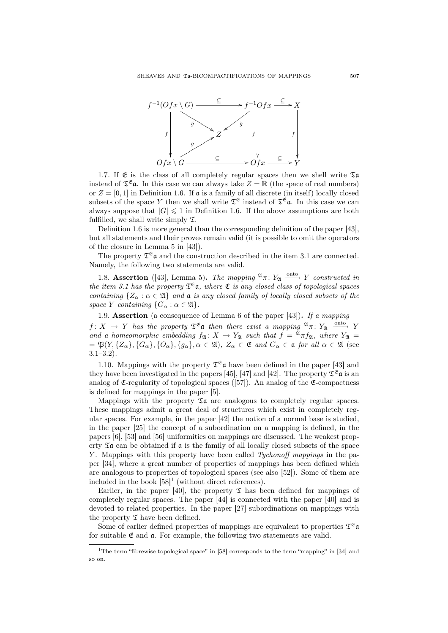

1.7. If  $\mathfrak E$  is the class of all completely regular spaces then we shell write  $\mathfrak X$ **a** instead of  $\mathfrak{T}^{\mathfrak{E}}$ **a**. In this case we can always take  $Z = \mathbb{R}$  (the space of real numbers) or  $Z = [0, 1]$  in Definition 1.6. If  $\mathfrak a$  is a family of all discrete (in itself) locally closed subsets of the space Y then we shall write  $\mathfrak{T}^{\mathfrak{E}}$  instead of  $\mathfrak{T}^{\mathfrak{E}}$  a. In this case we can always suppose that  $|G| \leq 1$  in Definition 1.6. If the above assumptions are both fulfilled, we shall write simply  $\mathfrak{T}$ .

Definition 1.6 is more general than the corresponding definition of the paper [43], but all statements and their proves remain valid (it is possible to omit the operators of the closure in Lemma 5 in [43]).

The property  $\mathfrak{T}^{\mathfrak{E}}$  and the construction described in the item 3.1 are connected. Namely, the following two statements are valid.

1.8. Assertion ([43], Lemma 5). The mapping  $\mathfrak{A}_{\pi}: Y_{\mathfrak{A}} \longrightarrow Y$  constructed in the item 3.1 has the property  $\mathfrak{T}^{\mathfrak{E}}$  a, where  $\mathfrak{E}$  is any closed class of topological spaces containing  $\{Z_\alpha : \alpha \in \mathfrak{A}\}\$  and  $\mathfrak{a}$  is any closed family of locally closed subsets of the space Y containing  $\{G_\alpha : \alpha \in \mathfrak{A}\}.$ 

1.9. Assertion (a consequence of Lemma 6 of the paper  $[43]$ ). If a mapping

 $f: X \to Y$  has the property  $\mathfrak{T}^{\mathfrak{E}}$  a then there exist a mapping  $\mathfrak{A}_{\pi}: Y_{\mathfrak{A}} \longrightarrow Y$ and a homeomorphic embedding  $f_{\mathfrak{A}} : X \to Y_{\mathfrak{A}}$  such that  $f = \mathfrak{A}_{\pi} f_{\mathfrak{A}}$ , where  $Y_{\mathfrak{A}} =$  $=\mathfrak{P}(Y, \{Z_\alpha\}, \{G_\alpha\}, \{O_\alpha\}, \{g_\alpha\}, \alpha \in \mathfrak{A}), Z_\alpha \in \mathfrak{E}$  and  $G_\alpha \in \mathfrak{a}$  for all  $\alpha \in \mathfrak{A}$  (see 3.1–3.2).

1.10. Mappings with the property  $\mathfrak{T}^{\mathfrak{E}}$  a have been defined in the paper [43] and they have been investigated in the papers [45], [47] and [42]. The property  $\mathfrak{T}^{\mathfrak{E}}$  a is an analog of  $\mathfrak{E}$ -regularity of topological spaces ([57]). An analog of the  $\mathfrak{E}$ -compactness is defined for mappings in the paper [5].

Mappings with the property  $\mathfrak{I}$  are analogous to completely regular spaces. These mappings admit a great deal of structures which exist in completely regular spaces. For example, in the paper [42] the notion of a normal base is studied, in the paper [25] the concept of a subordination on a mapping is defined, in the papers [6], [53] and [56] uniformities on mappings are discussed. The weakest property  $\mathfrak{A}$  can be obtained if  $\mathfrak a$  is the family of all locally closed subsets of the space Y. Mappings with this property have been called Tychonoff mappings in the paper [34], where a great number of properties of mappings has been defined which are analogous to properties of topological spaces (see also [52]). Some of them are included in the book  $[58]^1$  (without direct references).

Earlier, in the paper [40], the property  $\mathfrak T$  has been defined for mappings of completely regular spaces. The paper [44] is connected with the paper [40] and is devoted to related properties. In the paper [27] subordinations on mappings with the property  $\mathfrak T$  have been defined.

Some of earlier defined properties of mappings are equivalent to properties  $\mathfrak{T}^{\mathfrak{E}}\mathfrak{a}$ for suitable  $\mathfrak{E}$  and  $\mathfrak{a}$ . For example, the following two statements are valid.

<sup>&</sup>lt;sup>1</sup>The term "fibrewise topological space" in [58] corresponds to the term "mapping" in [34] and so on.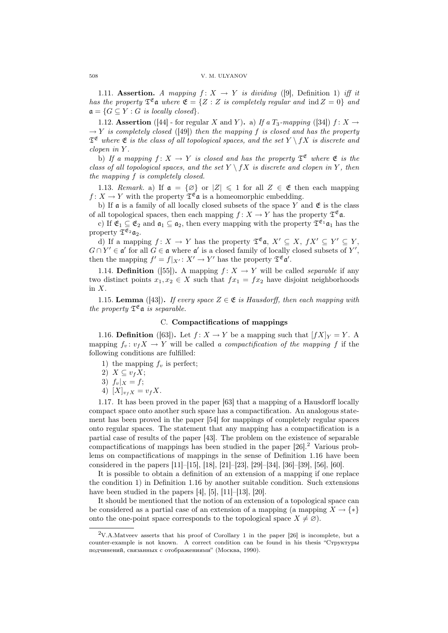1.11. Assertion. A mapping  $f: X \rightarrow Y$  is dividing ([9], Definition 1) iff it has the property  $\mathfrak{T}^{\mathfrak{E}}$  a where  $\mathfrak{E} = \{Z : Z \text{ is completely regular and ind } Z = 0\}$  and  $\mathfrak{a} = \{G \subseteq Y : G \text{ is locally closed}\}.$ 

1.12. Assertion ([44] - for regular X and Y). a) If a  $T_3$ -mapping ([34])  $f: X \rightarrow$  $\rightarrow Y$  is completely closed ([49]) then the mapping f is closed and has the property  $\mathfrak{T}^{\mathfrak{E}}$  where  $\mathfrak{E}$  is the class of all topological spaces, and the set  $Y \setminus fX$  is discrete and clopen in Y .

b) If a mapping  $f: X \to Y$  is closed and has the property  $\mathfrak{T}^{\mathfrak{E}}$  where  $\mathfrak{E}$  is the class of all topological spaces, and the set  $Y \setminus fX$  is discrete and clopen in Y, then the mapping f is completely closed.

1.13. Remark. a) If  $\mathfrak{a} = \{ \emptyset \}$  or  $|Z| \leq 1$  for all  $Z \in \mathfrak{E}$  then each mapping  $f: X \to Y$  with the property  $\mathfrak{T}^{\mathfrak{E}}$ **a** is a homeomorphic embedding.

b) If  $\mathfrak a$  is a family of all locally closed subsets of the space Y and  $\mathfrak E$  is the class of all topological spaces, then each mapping  $f: X \to Y$  has the property  $\mathfrak{T}^{\mathfrak{E}}$  a.

c) If  $\mathfrak{E}_1 \subseteq \mathfrak{E}_2$  and  $\mathfrak{a}_1 \subseteq \mathfrak{a}_2$ , then every mapping with the property  $\mathfrak{T}^{\mathfrak{E}_1} \mathfrak{a}_1$  has the property  $\mathfrak{T}^{\mathfrak{E}_2}$   $\mathfrak{a}_2$ .

d) If a mapping  $f: X \to Y$  has the property  $\mathfrak{T}^{\mathfrak{E}}$  **a**,  $X' \subseteq X$ ,  $fX' \subseteq Y' \subseteq Y$ ,  $G \cap Y' \in \mathfrak{a}'$  for all  $G \in \mathfrak{a}$  where  $\mathfrak{a}'$  is a closed family of locally closed subsets of Y', then the mapping  $f' = f|_{X'} : X' \to Y'$  has the property  $\mathfrak{T}^{\mathfrak{E}} \mathfrak{a}'$ .

1.14. **Definition** ([55]). A mapping  $f: X \rightarrow Y$  will be called *separable* if any two distinct points  $x_1, x_2 \in X$  such that  $fx_1 = fx_2$  have disjoint neighborhoods in  $X$ .

1.15. Lemma ([43]). If every space  $Z \in \mathfrak{E}$  is Hausdorff, then each mapping with the property  $\mathfrak{T}^{\mathfrak{E}}$ **a** is separable.

## C. Compactifications of mappings

1.16. Definition ([63]). Let  $f: X \to Y$  be a mapping such that  $[fX]_Y = Y$ . A mapping  $f_v: v_f X \to Y$  will be called a compactification of the mapping f if the following conditions are fulfilled:

1) the mapping  $f_v$  is perfect;

2)  $X \subseteq v_f X;$ 

$$
3) f_v|_X = f;
$$

4)  $[X]_{v_f X} = v_f X$ .

1.17. It has been proved in the paper [63] that a mapping of a Hausdorff locally compact space onto another such space has a compactification. An analogous statement has been proved in the paper [54] for mappings of completely regular spaces onto regular spaces. The statement that any mapping has a compactification is a partial case of results of the paper [43]. The problem on the existence of separable compactifications of mappings has been studied in the paper [26].<sup>2</sup> Various problems on compactifications of mappings in the sense of Definition 1.16 have been considered in the papers [11]–[15], [18], [21]–[23], [29]–[34], [36]–[39], [56], [60].

It is possible to obtain a definition of an extension of a mapping if one replace the condition 1) in Definition 1.16 by another suitable condition. Such extensions have been studied in the papers  $[4]$ ,  $[5]$ ,  $[11]$ – $[13]$ ,  $[20]$ .

It should be mentioned that the notion of an extension of a topological space can be considered as a partial case of an extension of a mapping (a mapping  $X \to \{*\}$ onto the one-point space corresponds to the topological space  $X \neq \emptyset$ .

<sup>2</sup>V.A.Matveev asserts that his proof of Corollary 1 in the paper [26] is incomplete, but a counter-example is not known. A correct condition can be found in his thesis "Структуры подчинений, связанных с отображениями" (Москва, 1990).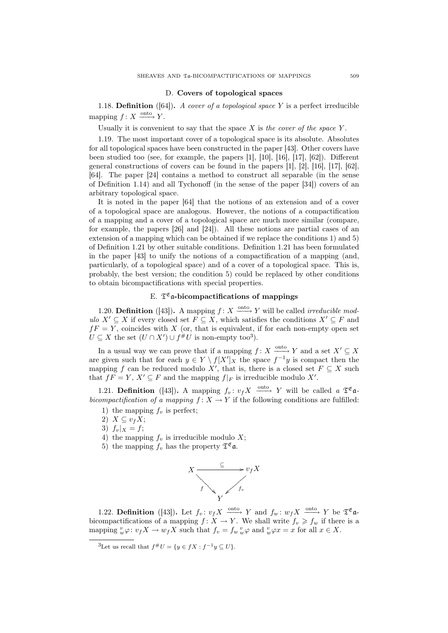#### D. Covers of topological spaces

1.18. **Definition** ([64]). A cover of a topological space Y is a perfect irreducible mapping  $f: X \xrightarrow{\text{onto}} Y$ .

Usually it is convenient to say that the space  $X$  is the cover of the space  $Y$ .

1.19. The most important cover of a topological space is its absolute. Absolutes for all topological spaces have been constructed in the paper [43]. Other covers have been studied too (see, for example, the papers [1], [10], [16], [17], [62]). Different general constructions of covers can be found in the papers  $[1], [2], [16], [17], [62]$ , [64]. The paper [24] contains a method to construct all separable (in the sense of Definition 1.14) and all Tychonoff (in the sense of the paper [34]) covers of an arbitrary topological space.

It is noted in the paper [64] that the notions of an extension and of a cover of a topological space are analogous. However, the notions of a compactification of a mapping and a cover of a topological space are much more similar (compare, for example, the papers [26] and [24]). All these notions are partial cases of an extension of a mapping which can be obtained if we replace the conditions 1) and 5) of Definition 1.21 by other suitable conditions. Definition 1.21 has been formulated in the paper [43] to unify the notions of a compactification of a mapping (and, particularly, of a topological space) and of a cover of a topological space. This is, probably, the best version; the condition 5) could be replaced by other conditions to obtain bicompactifications with special properties.

# E.  $\mathfrak{T}^{\mathfrak{E}}$ a-bicompactifications of mappings

1.20. **Definition** ([43]). A mapping  $f: X \xrightarrow{\text{onto}} Y$  will be called *irreducible mod*ulo  $X' \subseteq X$  if every closed set  $F \subseteq X$ , which satisfies the conditions  $X' \subseteq F$  and  $fF = Y$ , coincides with X (or, that is equivalent, if for each non-empty open set  $U \subseteq X$  the set  $(U \cap X') \cup f^{\#}U$  is non-empty too<sup>3</sup>).

In a usual way we can prove that if a mapping  $f: X \xrightarrow{\text{onto}} Y$  and a set  $X' \subseteq X$ are given such that for each  $y \in Y \setminus f[X']_X$  the space  $f^{-1}y$  is compact then the mapping f can be reduced modulo X', that is, there is a closed set  $F \subseteq X$  such that  $fF = Y$ ,  $X' \subseteq F$  and the mapping  $f|_F$  is irreducible modulo X'.

1.21. **Definition** ([43]). A mapping  $f_v: v_f X \xrightarrow{\text{onto}} Y$  will be called a  $\mathfrak{T}^{\mathfrak{E}}$ **a**bicompactification of a mapping  $f: X \to Y$  if the following conditions are fulfilled:

- 1) the mapping  $f_v$  is perfect;
- 2)  $X \subseteq v_f X;$
- 3)  $f_v|_X = f;$
- 4) the mapping  $f_v$  is irreducible modulo X;
- 5) the mapping  $f_v$  has the property  $\mathfrak{T}^{\mathfrak{E}}$ **a**.



1.22. **Definition** ([43]). Let  $f_v: v_f X \xrightarrow{\text{onto}} Y$  and  $f_w: w_f X \xrightarrow{\text{onto}} Y$  be  $\mathfrak{T}^{\mathfrak{E}}$  a bicompactifications of a mapping  $f: X \to Y$ . We shall write  $f_v \geq f_w$  if there is a mapping  ${}_{w}^{v}\varphi: v_f X \to w_f X$  such that  $f_v = f_w \, {}_{w}^{v}\varphi$  and  ${}_{w}^{v}\varphi x = x$  for all  $x \in X$ .

<sup>&</sup>lt;sup>3</sup>Let us recall that  $f^{\#}U = \{y \in fX : f^{-1}y \subseteq U\}.$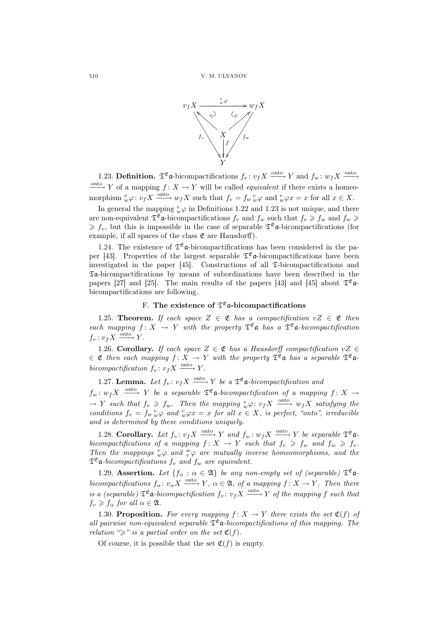

1.23. **Definition.**  $\mathfrak{T}^{\mathfrak{C}}$  a-bicompactifications  $f_v : v_f X \xrightarrow{\text{onto}} Y$  and  $f_w : w_f X \xrightarrow{\text{onto}} Y$  $\frac{\text{onto}}{\longrightarrow} Y$  of a mapping  $f: X \to Y$  will be called *equivalent* if there exists a homeomorphism  $\psi \varphi : v_f X \xrightarrow{\text{onto}} w_f X$  such that  $f_v = f_w \psi \varphi$  and  $\psi \varphi x = x$  for all  $x \in X$ .

In general the mapping  $_w^v \varphi$  in Definitions 1.22 and 1.23 is not unique, and there are non-equivalent  $\mathfrak{T}^{\mathfrak{E}}$  a-bicompactifications  $f_v$  and  $f_w$  such that  $f_v \geq f_w$  and  $f_w \geq$  $\geqslant f_v$ , but this is impossible in the case of separable  $\mathfrak{T}^{\mathfrak{E}}$  a-bicompactifications (for example, if all spaces of the class  $\mathfrak{E}$  are Hausdorff).

1.24. The existence of  $\mathfrak{T}^{\mathfrak{E}}$  a-bicompactifications has been considered in the paper [43]. Properties of the largest separable  $\mathfrak{T}^{\mathfrak{E}}$  a-bicompactifications have been investigated in the paper  $[45]$ . Constructions of all  $\mathfrak{I}$ -bicompactifications and Ta-bicompactifications by means of subordinations have been described in the papers [27] and [25]. The main results of the papers [43] and [45] about  $\mathfrak{T}^{\mathfrak{E}}$  a bicompactifications are following.

# F. The existence of  $\mathfrak T^{\mathfrak E}$  a-bicompactifications

1.25. Theorem. If each space  $Z \in \mathfrak{E}$  has a compactification  $vZ \in \mathfrak{E}$  then each mapping  $f: X \to Y$  with the property  $\mathfrak{T}^{\mathfrak{E}}$  a has a  $\mathfrak{T}^{\mathfrak{E}}$  a-bicompactification  $f_v: v_f X \xrightarrow{\text{onto}} Y.$ 

1.26. Corollary. If each space  $Z \in \mathfrak{E}$  has a Hausdorff compactification  $vZ \in \mathfrak{E}$  $\in \mathfrak{E}$  then each mapping  $f: X \to Y$  with the property  $\mathfrak{T}^{\mathfrak{E}}$  a has a separable  $\mathfrak{T}^{\mathfrak{E}}$  abicompactification  $f_v: v_f X \xrightarrow{\text{onto}} Y$ .

1.27. Lemma. Let  $f_v: v_f X \xrightarrow{\text{onto }} Y$  be a  $\mathfrak{T}^{\mathfrak{E}}$  a-bicompactification and

 $f_w: w_f X \longrightarrow Y$  be a separable  $\mathfrak{T}^{\mathfrak{E}}$ **a**-bicompactification of a mapping  $f: X \rightarrow$  $\rightarrow Y$  such that  $f_v \geqslant f_w$ . Then the mapping  $_w^v \varphi: v_f X \xrightarrow{\text{onto}} w_f X$  satisfying the conditions  $f_v = f_w v \varphi$  and  $v \varphi x = x$  for all  $x \in X$ , is perfect, "onto", irreducible and is determined by these conditions uniquely.

1.28. Corollary. Let  $f_v: v_f X \xrightarrow{\text{onto}} Y$  and  $f_w: w_f X \xrightarrow{\text{onto}} Y$  be separable  $\mathfrak{T}^{\mathfrak{E}}$  abicompactifications of a mapping  $f: X \to Y$  such that  $f_v \geq f_w$  and  $f_w \geq f_v$ . Then the mappings  $^v_w\varphi$  and  $^w_v\varphi$  are mutually inverse homeomorphisms, and the  $\mathfrak{T}^{\mathfrak{E}}$ **a**-bicompactifications  $f_v$  and  $f_w$  are equivalent.

1.29. Assertion. Let  $\{f_\alpha : \alpha \in \mathfrak{A}\}\$ be any non-empty set of (separable)  $\mathfrak{T}^{\mathfrak{E}}$ abicompactifications  $f_{\alpha} : v_{\alpha} X \xrightarrow{\text{onto}} Y$ ,  $\alpha \in \mathfrak{A}$ , of a mapping  $f : X \to Y$ . Then there is a (separable)  $\mathfrak{T}^{\mathfrak{C}}$  a-bicompactification  $f_v: v_f X \xrightarrow{\text{onto }} Y$  of the mapping f such that  $f_v \geq f_\alpha$  for all  $\alpha \in \mathfrak{A}$ .

1.30. Proposition. For every mapping  $f: X \to Y$  there exists the set  $\mathfrak{C}(f)$  of all pairwise non-equivalent separable  $\mathfrak{T}^{\mathfrak{E}}$  a-bicompactifications of this mapping. The relation " $\geq$ " is a partial order on the set  $\mathfrak{C}(f)$ .

Of course, it is possible that the set  $C(f)$  is empty.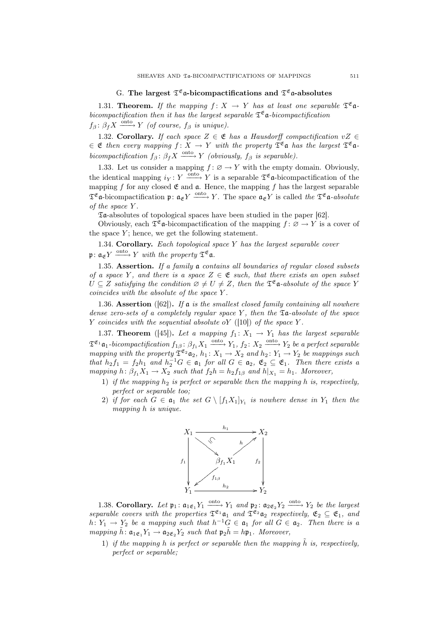# G. The largest  $\mathfrak{T}^{\mathfrak{E}}$  a-bicompactifications and  $\mathfrak{T}^{\mathfrak{E}}$  a-absolutes

1.31. Theorem. If the mapping  $f: X \to Y$  has at least one separable  $\mathfrak{T}^{\mathfrak{E}}$  abicompactification then it has the largest separable  $\mathfrak{T}^{\mathfrak{E}}$  a-bicompactification  $f_\beta: \beta_f X \xrightarrow{\text{onto}} Y$  (of course,  $f_\beta$  is unique).

1.32. Corollary. If each space  $Z \in \mathfrak{E}$  has a Hausdorff compactification  $vZ \in \mathfrak{E}$  $\in \mathfrak{E}$  then every mapping  $f: X \to Y$  with the property  $\mathfrak{T}^{\mathfrak{E}}$  a has the largest  $\mathfrak{T}^{\mathfrak{E}}$  a bicompactification  $f_\beta: \beta_f X \xrightarrow{\text{onto}} Y$  (obviously,  $f_\beta$  is separable).

1.33. Let us consider a mapping  $f: \varnothing \to Y$  with the empty domain. Obviously, the identical mapping  $i_Y : Y \longrightarrow Y$  is a separable  $\mathfrak{T}^{\mathfrak{E}}$  a-bicompactification of the mapping f for any closed  $\mathfrak E$  and  $\mathfrak a$ . Hence, the mapping f has the largest separable  $\mathfrak{T}^{\mathfrak{E}}$  a-bicompactification  $\mathfrak{p}: \mathfrak{a}_{\mathfrak{E}} Y \xrightarrow{\text{onto }} Y$ . The space  $\mathfrak{a}_{\mathfrak{E}} Y$  is called the  $\mathfrak{T}^{\mathfrak{E}}$  a-absolute of the space Y .

Ta-absolutes of topological spaces have been studied in the paper [62].

Obviously, each  $\mathfrak{T}^{\mathfrak{E}}$  a-bicompactification of the mapping  $f: \varnothing \to Y$  is a cover of the space  $Y$ ; hence, we get the following statement.

1.34. Corollary. Each topological space  $Y$  has the largest separable cover  $\mathfrak{p} \colon \mathfrak{a}_{\mathfrak{E}} Y \xrightarrow{\text{onto}} Y$  with the property  $\mathfrak{T}^{\mathfrak{E}} \mathfrak{a}$ .

1.35. Assertion. If a family  $a$  contains all boundaries of regular closed subsets of a space Y, and there is a space  $Z \in \mathfrak{E}$  such, that there exists an open subset  $U \subseteq Z$  satisfying the condition  $\varnothing \neq U \neq Z$ , then the  $\mathfrak{T}^{\mathfrak{E}}$ **a**-absolute of the space Y coincides with the absolute of the space Y .

1.36. Assertion ([62]). If a is the smallest closed family containing all nowhere dense zero-sets of a completely regular space Y, then the  $\mathfrak{A}-$ absolute of the space Y coincides with the sequential absolute of  $(10)$  of the space Y.

1.37. Theorem ([45]). Let a mapping  $f_1: X_1 \rightarrow Y_1$  has the largest separable  $\mathfrak{T}^{\mathfrak{E}_1}$ a<sub>1</sub>-bicompactification  $f_{1\beta}$ :  $\beta_{f_1} X_1 \xrightarrow{\text{onto}} Y_1$ ,  $f_2$ :  $X_2 \xrightarrow{\text{onto}} Y_2$  be a perfect separable mapping with the property  $\mathfrak{T}^{\mathfrak{E}_2} \mathfrak{a}_2$ ,  $h_1 \colon X_1 \to X_2$  and  $h_2 \colon Y_1 \to Y_2$  be mappings such that  $h_2f_1 = f_2h_1$  and  $h_2^{-1}G \in \mathfrak{a}_1$  for all  $G \in \mathfrak{a}_2$ ,  $\mathfrak{E}_2 \subseteq \mathfrak{E}_1$ . Then there exists a mapping  $h: \beta_{f_1}X_1 \rightarrow X_2$  such that  $f_2h = h_2f_{1\beta}$  and  $h|_{X_1} = h_1$ . Moreover,

- 1) if the mapping  $h_2$  is perfect or separable then the mapping h is, respectively, perfect or separable too;
- 2) if for each  $G \in \mathfrak{a}_1$  the set  $G \setminus [f_1X_1]_{Y_1}$  is nowhere dense in  $Y_1$  then the mapping h is unique.



1.38. Corollary. Let  $\mathfrak{p}_1$ :  $\mathfrak{a}_{1\mathfrak{E}_1} Y_1 \xrightarrow{\text{onto}} Y_1$  and  $\mathfrak{p}_2$ :  $\mathfrak{a}_{2\mathfrak{E}_2} Y_2 \xrightarrow{\text{onto}} Y_2$  be the largest separable covers with the properties  $\mathfrak{T}^{\mathfrak{E}_1}$  and  $\mathfrak{T}^{\mathfrak{E}_2}$  a<sub>2</sub> respectively,  $\mathfrak{E}_2 \subseteq \mathfrak{E}_1$ , and  $h: Y_1 \to Y_2$  be a mapping such that  $h^{-1}G \in \mathfrak{a}_1$  for all  $G \in \mathfrak{a}_2$ . Then there is a mapping  $\tilde{h}$ :  $\mathfrak{a}_{1\mathfrak{E}_{1}}Y_{1} \rightarrow \mathfrak{a}_{2\mathfrak{E}_{2}}Y_{2}$  such that  $\mathfrak{p}_{2}\tilde{h} = h\mathfrak{p}_{1}$ . Moreover,

1) if the mapping h is perfect or separable then the mapping  $\tilde{h}$  is, respectively, perfect or separable;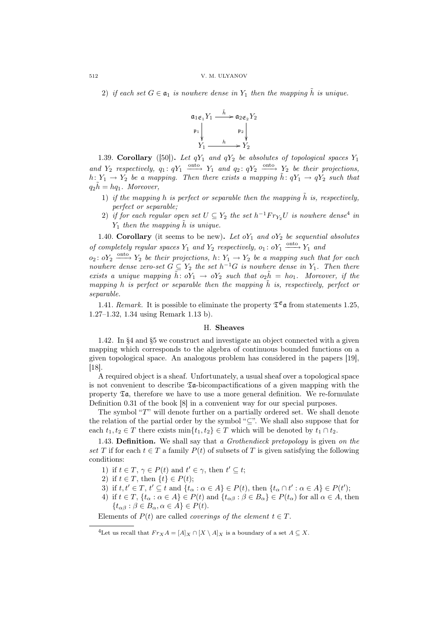2) if each set  $G \in \mathfrak{a}_1$  is nowhere dense in  $Y_1$  then the mapping  $\tilde{h}$  is unique.



1.39. Corollary ([50]). Let  $qY_1$  and  $qY_2$  be absolutes of topological spaces  $Y_1$ and  $Y_2$  respectively,  $q_1: qY_1 \xrightarrow{\text{onto}} Y_1$  and  $q_2: qY_2 \xrightarrow{\text{onto}} Y_2$  be their projections, h:  $Y_1 \rightarrow Y_2$  be a mapping. Then there exists a mapping  $\tilde{h}$ :  $qY_1 \rightarrow qY_2$  such that  $q_2h = hq_1$ . Moreover,

- 1) if the mapping h is perfect or separable then the mapping  $\tilde{h}$  is, respectively, perfect or separable;
- 2) if for each regular open set  $U \subseteq Y_2$  the set  $h^{-1}Fr_{Y_2}U$  is nowhere dense<sup>4</sup> in  $Y_1$  then the mapping  $\tilde{h}$  is unique.

1.40. Corollary (it seems to be new). Let  $oY_1$  and  $oY_2$  be sequential absolutes of completely regular spaces  $Y_1$  and  $Y_2$  respectively,  $o_1: oY_1 \xrightarrow{\text{onto}} Y_1$  and

 $o_2: oY_2 \longrightarrow Y_2$  be their projections,  $h: Y_1 \to Y_2$  be a mapping such that for each nowhere dense zero-set  $G \subseteq Y_2$  the set  $h^{-1}G$  is nowhere dense in  $Y_1$ . Then there exists a unique mapping  $\tilde{h}$ :  $oY_1 \rightarrow oY_2$  such that  $o_2\tilde{h} = ho_1$ . Moreover, if the mapping h is perfect or separable then the mapping  $\tilde{h}$  is, respectively, perfect or separable.

1.41. Remark. It is possible to eliminate the property  $\mathfrak{T}^{\mathfrak{E}}$  a from statements 1.25, 1.27–1.32, 1.34 using Remark 1.13 b).

#### H. Sheaves

1.42. In §4 and §5 we construct and investigate an object connected with a given mapping which corresponds to the algebra of continuous bounded functions on a given topological space. An analogous problem has considered in the papers [19], [18].

A required object is a sheaf. Unfortunately, a usual sheaf over a topological space is not convenient to describe  $\mathfrak{I}_4$ -bicompactifications of a given mapping with the property  $\mathfrak{Ta}$ , therefore we have to use a more general definition. We re-formulate Definition 0.31 of the book [8] in a convenient way for our special purposes.

The symbol "T" will denote further on a partially ordered set. We shall denote the relation of the partial order by the symbol "⊆". We shall also suppose that for each  $t_1, t_2 \in T$  there exists  $\min\{t_1, t_2\} \in T$  which will be denoted by  $t_1 \cap t_2$ .

1.43. Definition. We shall say that a *Grothendieck pretopology* is given on the set T if for each  $t \in T$  a family  $P(t)$  of subsets of T is given satisfying the following conditions:

- 1) if  $t \in T$ ,  $\gamma \in P(t)$  and  $t' \in \gamma$ , then  $t' \subseteq t$ ;
- 2) if  $t \in T$ , then  $\{t\} \in P(t)$ ;
- 3) if  $t, t' \in T$ ,  $t' \subseteq t$  and  $\{t_\alpha : \alpha \in A\} \in P(t)$ , then  $\{t_\alpha \cap t' : \alpha \in A\} \in P(t')$ ;
- 4) if  $t \in T$ ,  $\{t_\alpha : \alpha \in A\} \in P(t)$  and  $\{t_{\alpha\beta} : \beta \in B_\alpha\} \in P(t_\alpha)$  for all  $\alpha \in A$ , then  ${t_{\alpha\beta}:\beta\in B_\alpha,\alpha\in A\}\in P(t).$

Elements of  $P(t)$  are called *coverings of the element*  $t \in T$ .

<sup>&</sup>lt;sup>4</sup>Let us recall that  $Fr_X A = [A]_X \cap [X \setminus A]_X$  is a boundary of a set  $A \subseteq X$ .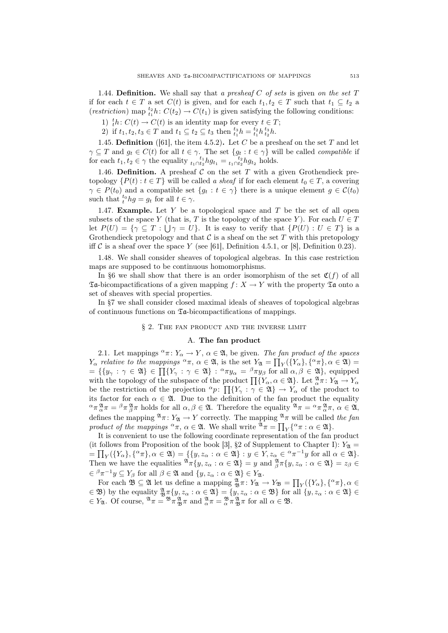1.44. Definition. We shall say that a presheaf  $C$  of sets is given on the set  $T$ if for each  $t \in T$  a set  $C(t)$  is given, and for each  $t_1, t_2 \in T$  such that  $t_1 \subseteq t_2$  a (restriction) map  $t_1^t h: C(t_2) \to C(t_1)$  is given satisfying the following conditions:

1)  ${}_{t}^{t}h: C(t) \rightarrow C(t)$  is an identity map for every  $t \in T$ ;

2) if  $t_1, t_2, t_3 \in T$  and  $t_1 \subseteq t_2 \subseteq t_3$  then  $\frac{t_3}{t_1} h = \frac{t_2}{t_1} h \frac{t_3}{t_2} h$ .

1.45. Definition ([61], the item 4.5.2). Let C be a presheaf on the set T and let  $\gamma \subseteq T$  and  $g_t \in C(t)$  for all  $t \in \gamma$ . The set  $\{g_t : t \in \gamma\}$  will be called *compatible* if for each  $t_1, t_2 \in \gamma$  the equality  $\frac{t_1}{t_1 \cap t_2} h g_{t_1} = \frac{t_2}{t_1 \cap t_2} h g_{t_2}$  holds.

1.46. Definition. A presheaf  $C$  on the set  $T$  with a given Grothendieck pretopology  $\{P(t): t \in T\}$  will be called a sheaf if for each element  $t_0 \in T$ , a covering  $\gamma \in P(t_0)$  and a compatible set  $\{g_t : t \in \gamma\}$  there is a unique element  $g \in C(t_0)$ such that  $t_0^{t_0} h g = g_t$  for all  $t \in \gamma$ .

1.47. **Example.** Let Y be a topological space and T be the set of all open subsets of the space Y (that is, T is the topology of the space Y). For each  $U \in T$ let  $P(U) = {\gamma \subseteq T : \bigcup \gamma = U}$ . It is easy to verify that  ${P(U) : U \in T}$  is a Grothendieck pretopology and that  $\mathcal C$  is a sheaf on the set T with this pretopology iff C is a sheaf over the space Y (see [61], Definition 4.5.1, or [8], Definition 0.23).

1.48. We shall consider sheaves of topological algebras. In this case restriction maps are supposed to be continuous homomorphisms.

In §6 we shall show that there is an order isomorphism of the set  $\mathfrak{C}(f)$  of all  $\mathfrak{Ta}$ -bicompactifications of a given mapping  $f: X \to Y$  with the property  $\mathfrak{Ta}$  onto a set of sheaves with special properties.

In §7 we shall consider closed maximal ideals of sheaves of topological algebras of continuous functions on  $\mathfrak{I}_4$ -bicompactifications of mappings.

# § 2. The fan product and the inverse limit

# A. The fan product

2.1. Let mappings  ${}^{\alpha}\pi: Y_{\alpha} \to Y$ ,  $\alpha \in \mathfrak{A}$ , be given. The fan product of the spaces  $Y_{\alpha}$  relative to the mappings  ${}^{\alpha}\pi$ ,  $\alpha \in \mathfrak{A}$ , is the set  $Y_{\mathfrak{A}} = \prod_{Y} (\{Y_{\alpha}\}, \{{}^{\alpha}\pi\}, \alpha \in \mathfrak{A}) =$ <br>=  $\{\{y_{\gamma} : \gamma \in \mathfrak{A}\} \in \prod_{Y} \{Y_{\gamma} : \gamma \in \mathfrak{A}\} : {}^{\alpha}\pi y_{\alpha} = {}^{\beta}\pi y_{\beta}$  for all  $\alpha, \beta \in \mathfrak{A}\}$ , =  $\{y_\gamma : \gamma \in \mathcal{X}\}\in \Pi\{Y_\gamma : \gamma \in \mathcal{X}\}\colon \neg y_\alpha = \neg \neg y_\beta$  for an  $\alpha, \beta \in \mathcal{X}\}\$ , equipped<br>with the topology of the subspace of the product  $\prod \{Y_\alpha, \alpha \in \mathcal{X}\}\$ . Let  $\alpha^\alpha \pi : Y_\alpha \to Y_\alpha$ be the restriction of the projection  ${}^{\alpha}p$ :  $\prod\{Y_{\gamma} : \gamma \in \mathfrak{A}\}\rightarrow Y_{\alpha}$  of the product to its factor for each  $\alpha \in \mathfrak{A}$ . Due to the definition of the fan product the equality  ${}^{\alpha} \pi \frac{\mathfrak{A}}{\alpha} \pi = {}^{\beta} \pi \frac{\mathfrak{A}}{\beta} \pi$  holds for all  $\alpha, \beta \in \mathfrak{A}$ . Therefore the equality  ${}^{\mathfrak{A}} \pi = {}^{\alpha} \pi \frac{\mathfrak{A}}{\alpha} \pi$ ,  $\alpha \in \mathfrak{A}$ , defines the mapping  $\mathfrak{A}_{\pi}: Y_{\mathfrak{A}} \to Y$  correctly. The mapping  $\mathfrak{A}_{\pi}$  will be called the fan product of the mappings  ${}^{\alpha}\pi$ ,  $\alpha \in \mathfrak{A}$ . We shall write  ${}^{\mathfrak{A}}\pi = \prod_{Y} \{^{\alpha}\pi : \alpha \in \mathfrak{A} \}.$ 

It is convenient to use the following coordinate representation of the fan product (it follows from Proposition of the book [3], §2 of Supplement to Chapter I):  $Y_{\mathfrak{A}} = \overline{X}$  $=\prod_Y(\{Y_\alpha\}, \{\alpha\pi\}, \alpha \in \mathfrak{A}) = \{\{y, z_\alpha : \alpha \in \mathfrak{A}\} : y \in Y, z_\alpha \in \alpha\pi^{-1}y \text{ for all } \alpha \in \mathfrak{A}\}.$ Then we have the equalities  $\mathfrak{A}_{\pi}\{y, z_{\alpha} : \alpha \in \mathfrak{A}\} = y$  and  $\mathfrak{A}_{\beta}^{\mathfrak{A}} \pi\{y, z_{\alpha} : \alpha \in \mathfrak{A}\} = z_{\beta} \in \mathfrak{A}$  $\in \mathbb{R}^{\beta} \pi^{-1} y \subseteq Y_{\beta}$  for all  $\beta \in \mathfrak{A}$  and  $\{y, z_{\alpha} : \alpha \in \mathfrak{A}\} \in Y_{\mathfrak{A}}$ .

 $\pi$   $y \subseteq I_{\beta}$  for an  $\rho \in \mathcal{X}$  and  $\{y, z_{\alpha} : \alpha \in \mathcal{X}\}\in I_{\mathcal{X}}$ .<br>For each  $\mathcal{B} \subseteq \mathcal{X}$  let us define a mapping  $\frac{\mathcal{A}}{\mathcal{B}} \pi: Y_{\mathcal{X}} \to Y_{\mathcal{B}} = \prod$  $_Y({Y_\alpha}, \{\alpha_{\pi}\}, \alpha \in$  $\in \mathfrak{B}$ ) by the equality  $\frac{\mathfrak{A}}{\mathfrak{B}} \pi \{y, z_\alpha : \alpha \in \mathfrak{A} \} = \{y, z_\alpha : \alpha \in \mathfrak{B} \}$  for all  $\{y, z_\alpha : \alpha \in \mathfrak{A} \}$  $\in Y_{\mathfrak{A}}$ . Of course,  $\mathfrak{A}_{\pi} = \mathfrak{B}_{\pi \mathfrak{B}_{\pi}}^{\mathfrak{A}} \pi$  and  $\frac{\mathfrak{A}}{\alpha} \pi = \frac{\mathfrak{B}}{\alpha} \pi \frac{\mathfrak{A}}{\mathfrak{B}} \pi$  for all  $\alpha \in \mathfrak{B}$ .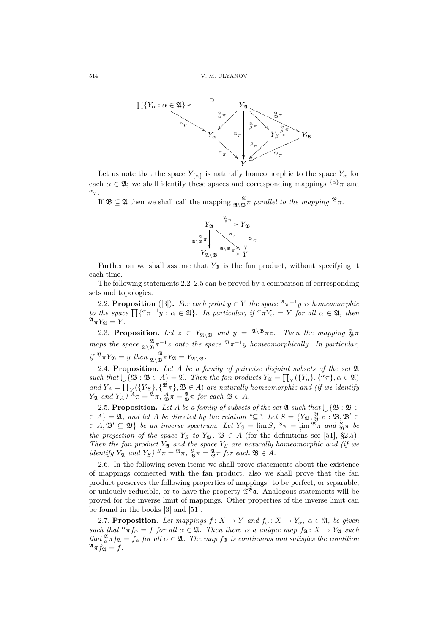

Let us note that the space  $Y_{\{\alpha\}}$  is naturally homeomorphic to the space  $Y_{\alpha}$  for each  $\alpha \in \mathfrak{A}$ ; we shall identify these spaces and corresponding mappings  $\{\alpha\}$ <sup>π</sup> and <sup>α</sup>π.

If  $\mathfrak{B} \subseteq \mathfrak{A}$  then we shall call the mapping  $\mathfrak{A}_{\mathfrak{A}} \mathfrak{A}_{\mathfrak{B}}$  *n* parallel to the mapping  $\mathfrak{B}_{\pi}$ .



Further on we shall assume that  $Y_{\mathfrak{A}}$  is the fan product, without specifying it each time.

The following statements 2.2–2.5 can be proved by a comparison of corresponding sets and topologies.

2.2. Proposition ([3]). For each point  $y \in Y$  the space  $\mathfrak{A}_{\pi}^{-1}y$  is homeomorphic 2.2. **Proposition** ([5]). For each point  $y \in Y$  the space  $\forall x, y$  is nomeomorphic<br>to the space  $\prod {\alpha}^{-1}y : \alpha \in \mathfrak{A}$ . In particular, if  ${}^{\alpha} \pi Y_{\alpha} = Y$  for all  $\alpha \in \mathfrak{A}$ , then  $^{\mathfrak{A}}\pi Y_{\mathfrak{A}}=Y.$ 

2.3. Proposition. Let  $z \in Y_{\mathfrak{A}\setminus \mathfrak{B}}$  and  $y = \mathfrak{A}\setminus \mathfrak{B} \pi z$ . Then the mapping  $\frac{\mathfrak{A}}{\mathfrak{B}} \pi$ maps the space  $\frac{\mathfrak{A}}{\mathfrak{A} \setminus \mathfrak{B}} \pi^{-1}z$  onto the space  $\mathfrak{B} \pi^{-1}y$  homeomorphically. In particular, if  $\mathfrak{B}_{\pi}Y_{\mathfrak{B}} = y$  then  $\lim_{\mathfrak{A}\setminus \mathfrak{B}} \mathfrak{A}_XY_{\mathfrak{A}} = Y_{\mathfrak{A}\setminus \mathfrak{B}}.$ 

2.4. Proposition. Let A be a family of pairwise disjoint subsets of the set  $\mathfrak{A}$ 2.4. **Proposition.** Let A be a jamuy of parroise assocnt subsets of the set  $\alpha$ <br>such that  $\bigcup {\{\mathfrak{B} : \mathfrak{B} \in A\}} = \mathfrak{A}$ . Then the fan products  $Y_{\mathfrak{A}} = \prod_Y (\{Y_{\alpha}\}, \{\alpha \}, \alpha \in \mathfrak{A})$ and  $Y_A = \prod_Y (\{Y_{\mathfrak{B}}\}, \{^{\mathfrak{B}} \pi\}, \mathfrak{B} \in A)$  are naturally homeomorphic and (if we identify  $Y_{\mathfrak{A}}$  and  $Y_A$ )  ${}^A\pi = {}^{\mathfrak{A}}\pi$ ,  ${}^A_{\mathfrak{B}}\pi = {}^{\mathfrak{A}}_{\mathfrak{B}}\pi$  for each  $\mathfrak{B} \in A$ .

2.5. Proposition. Let A be a family of subsets of the set  $\mathfrak{A}$  such that  $\bigcup \{\mathfrak{B} : \mathfrak{B} \in$  $\{A\} = \mathfrak{A}, \text{ and let } A \text{ be directed by the relation " $\subseteq$ ". Let  $S = \{Y_{\mathfrak{B}}, \mathbb{B}, \pi : \mathfrak{B}, \mathfrak{B}' \in \mathfrak{B} \}$$  $\in A$ ,  $\mathfrak{B}' \subseteq \mathfrak{B}$  be an inverse spectrum. Let  $Y_S = \lim_{\epsilon \to 0} S$ ,  $S_{\pi} = \lim_{\epsilon \to 0} \mathfrak{B}_{\pi}$  and  $\lim_{\epsilon \to 0} S_{\pi}$  be the projection of the space  $Y_S$  to  $Y_{\mathfrak{B}}$ ,  $\mathfrak{B} \in A$  (for the definitions see [51], §2.5). Then the fan product  $Y_{\mathfrak{A}}$  and the space  $Y_S$  are naturally homeomorphic and (if we identify  $Y_{\mathfrak{A}}$  and  $Y_S$ )  ${}^S \pi = {}^{\mathfrak{A}} \pi$ ,  ${}^S_{\mathfrak{B}} \pi = {}^{\mathfrak{A}}_{\mathfrak{B}} \pi$  for each  $\mathfrak{B} \in A$ .

2.6. In the following seven items we shall prove statements about the existence of mappings connected with the fan product; also we shall prove that the fan product preserves the following properties of mappings: to be perfect, or separable, or uniquely reducible, or to have the property  $\mathfrak{T}^{\mathfrak{E}}$  a. Analogous statements will be proved for the inverse limit of mappings. Other properties of the inverse limit can be found in the books [3] and [51].

2.7. Proposition. Let mappings  $f: X \to Y$  and  $f_{\alpha}: X \to Y_{\alpha}$ ,  $\alpha \in \mathfrak{A}$ , be given such that  ${}^{\alpha} \pi f_{\alpha} = f$  for all  $\alpha \in \mathfrak{A}$ . Then there is a unique map  $f_{\mathfrak{A}} : X \to Y_{\mathfrak{A}}$  such that  $_{\alpha}^{\mathfrak{A}} \pi f_{\mathfrak{A}} = f_{\alpha}$  for all  $\alpha \in \mathfrak{A}$ . The map  $f_{\mathfrak{A}}$  is continuous and satisfies the condition  $\mathfrak{A}_{\pi} f_{\mathfrak{A}} = f$ .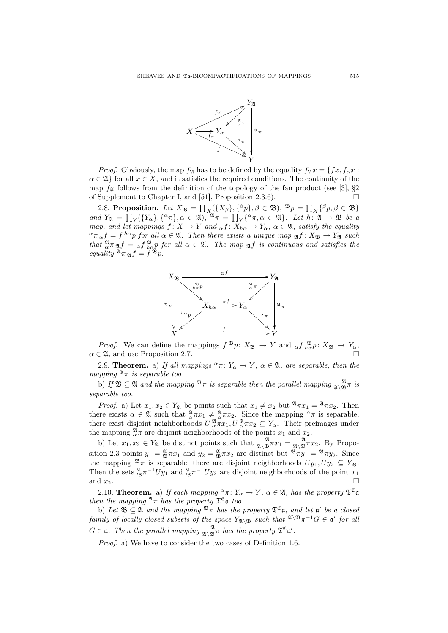

*Proof.* Obviously, the map  $f_{\mathfrak{A}}$  has to be defined by the equality  $f_{\mathfrak{A}}x = \{fx, f_{\alpha}x:\right.$  $\alpha \in \mathfrak{A}$  for all  $x \in X$ , and it satisfies the required conditions. The continuity of the map  $f_{\mathfrak{A}}$  follows from the definition of the topology of the fan product (see [3], §2 of Supplement to Chapter I, and [51], Proposition 2.3.6). ¤

2.8. Proposition. Let  $X_{\mathfrak{B}} = \prod_{X} (\{X_{\beta}\}, \{^{\beta}p\}, \beta \in \mathfrak{B})$ ,  $^{\mathfrak{B}}p = \prod_{X} \{\beta p, \beta \in \mathfrak{B}\}$ 2.8. **Frop**<br>and  $Y_{\mathfrak{A}} = \prod$ **SSITION:** Let  $\Lambda \mathfrak{B} = \prod_X (\{\Lambda \beta\}, \{\Lambda \}$ <br>  $\gamma(\{Y_\alpha\}, \{\alpha \pi\}, \alpha \in \mathfrak{A}), \mathfrak{A} \pi = \prod$  $_Y^{\{\alpha_{\pi,\alpha\in\mathfrak{A}\}. \text{Let } h:\mathfrak{A}\to\mathfrak{B} \text{ be a}}$ map, and let mappings  $f: X \to Y$  and  $_{\alpha} f: X_{h\alpha} \to Y_{\alpha}$ ,  $\alpha \in \mathfrak{A}$ , satisfy the equality  $\alpha^{\alpha} \pi_{\alpha} f = f^{h\alpha} p$  for all  $\alpha \in \mathfrak{A}$ . Then there exists a unique map  $\mathfrak{A} f : X_{\mathfrak{B}} \to Y_{\mathfrak{A}}$  such that  $_{\alpha}^{\mathfrak{A}} \pi_{\mathfrak{A}} f =_{\alpha} f_{h\alpha}^{\mathfrak{B}} p$  for all  $\alpha \in \mathfrak{A}$ . The map  $_{\mathfrak{A}} f$  is continuous and satisfies the equality  $\mathfrak{A}_{\pi} \mathfrak{A} f = f^{\mathfrak{B}} p.$ 



*Proof.* We can define the mappings  $f^{\mathfrak{B}}p: X_{\mathfrak{B}} \to Y$  and  $_{\alpha} f_{h\alpha}^{\mathfrak{B}}p: X_{\mathfrak{B}} \to Y_{\alpha}$ ,  $\alpha \in \mathfrak{A}$ , and use Proposition 2.7.

2.9. **Theorem.** a) If all mappings  ${}^{\alpha}\pi: Y_{\alpha} \to Y$ ,  $\alpha \in \mathfrak{A}$ , are separable, then the mapping  $\mathfrak{A}_{\pi}$  is separable too.

b) If  $\mathfrak{B} \subseteq \mathfrak{A}$  and the mapping  $\mathfrak{B}_{\pi}$  is separable then the parallel mapping  $\mathfrak{A}_{\lambda} \mathfrak{B}_{\pi}$  is separable too.

*Proof.* a) Let  $x_1, x_2 \in Y_{\mathfrak{A}}$  be points such that  $x_1 \neq x_2$  but  $\mathfrak{A}_{\pi x_1} = \mathfrak{A}_{\pi x_2}$ . Then there exists  $\alpha \in \mathfrak{A}$  such that  $\alpha \in \mathfrak{A}$   $\pi x_1 \neq \alpha \pi x_2$ . Since the mapping  $\alpha \pi$  is separable, there exist disjoint neighborhoods  $U^{\mathfrak{A}}_{\alpha}\pi x_1, U^{\mathfrak{A}}_{\alpha}\pi x_2 \subseteq Y_{\alpha}$ . Their preimages under the mapping  $_{\alpha}^{\mathfrak{A}} \pi$  are disjoint neighborhoods of the points  $x_1$  and  $x_2$ .

b) Let  $x_1, x_2 \in Y_{\mathfrak{A}}$  be distinct points such that  $\mathcal{A}_{\mathfrak{A}\setminus \mathfrak{B}}^{\mathfrak{A}} \pi x_1 = \mathcal{A}_{\mathfrak{A}}^{\mathfrak{A}} \pi x_2$ . By Proposition 2.3 points  $y_1 = \frac{a}{2} \pi x_1$  and  $y_2 = \frac{a}{2} \pi x_2$  are distinct but  $\mathcal{B}_{\pi} y_1 = \mathcal{B}_{\pi} y_2$ . Since the mapping  $\mathfrak{B}_{\pi}$  is separable, there are disjoint neighborhoods  $Uy_1, Uy_2 \subseteq Y_{\mathfrak{B}}$ . Then the sets  $\frac{a}{25}\pi^{-1}Uy_1$  and  $\frac{a}{25}\pi^{-1}Uy_2$  are disjoint neighborhoods of the point  $x_1$ and  $x_2$ .

2.10. Theorem. a) If each mapping  ${}^{\alpha}\pi\colon Y_{\alpha}\to Y$ ,  $\alpha\in\mathfrak{A}$ , has the property  $\mathfrak{T}^{\mathfrak{E}}\mathfrak{a}$ then the mapping  $\mathfrak{A}_{\pi}$  has the property  $\mathfrak{T}^{\mathfrak{E}}$  a too.

b) Let  $\mathfrak{B} \subseteq \mathfrak{A}$  and the mapping  $\mathfrak{B}_{\pi}$  has the property  $\mathfrak{T}^{\mathfrak{E}}$  a, and let a' be a closed family of locally closed subsets of the space  $Y_{\mathfrak{A}\setminus \mathfrak{B}}$  such that  $\mathfrak{A}\setminus \mathfrak{B}_{\pi}$  -1  $G \in \mathfrak{a}'$  for all  $G \in \mathfrak{a}$ . Then the parallel mapping  $\mathfrak{A}_{\lambda} \mathfrak{B}_{\pi}$  has the property  $\mathfrak{T}^{\mathfrak{E}} \mathfrak{a}'$ .

Proof. a) We have to consider the two cases of Definition 1.6.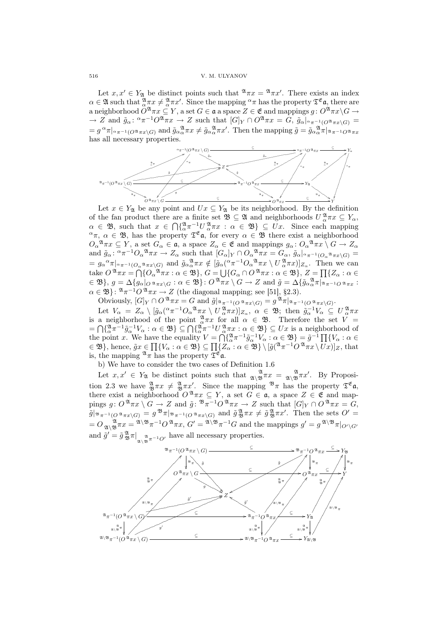Let  $x, x' \in Y_{\mathfrak{A}}$  be distinct points such that  $\mathfrak{A}_{\pi x} = \mathfrak{A}_{\pi x'}$ . There exists an index  $\alpha \in \mathfrak{A}$  such that  $\frac{\mathfrak{A}}{\alpha}\pi x \neq \frac{\mathfrak{A}}{\alpha}\pi x'$ . Since the mapping  $\alpha\pi$  has the property  $\mathfrak{T}^{\mathfrak{E}}$  a, there are a neighborhood  $O^{\mathfrak{A}} \pi x \subseteq Y$ , a set  $G \in \mathfrak{a}$  a space  $Z \in \mathfrak{E}$  and mappings  $g: O^{\mathfrak{A}} \pi x \backslash G \to$  $\rightarrow Z$  and  $\tilde{g}_{\alpha}$ :  $\alpha \pi^{-1}O^{\mathfrak{A}} \pi x \rightarrow Z$  such that  $[G]_Y \cap O^{\mathfrak{A}} \pi x = G$ ,  $\tilde{g}_{\alpha}|_{\alpha} \pi^{-1}O^{\mathfrak{A}} \pi x \setminus G$  =  $=g^{\alpha}\pi|_{\alpha}\pi^{-1}(O^{\mathfrak{A}}\pi x\setminus G)$  and  $\tilde{g}_{\alpha}\alpha^{\mathfrak{A}}\pi x\neq \tilde{g}_{\alpha}\alpha^{\mathfrak{A}}\pi x'$ . Then the mapping  $\tilde{g}=\tilde{g}_{\alpha}\alpha^{\mathfrak{A}}\pi|_{\mathfrak{A}}\pi^{-1}O^{\mathfrak{A}}\pi x$ has all necessary properties.



Let  $x \in Y_{\mathfrak{A}}$  be any point and  $Ux \subseteq Y_{\mathfrak{A}}$  be its neighborhood. By the definition of the fan product there are a finite set  $\mathfrak{B} \subseteq \mathfrak{A}$  and neighborhoods  $U^{\mathfrak{A}}_{\alpha}\pi x \subseteq Y_{\alpha}$ ,  $\alpha \in \mathfrak{B}$ , such that  $x \in \bigcap \{ \frac{\mathfrak{A}}{\alpha} \pi^{-1} U \frac{\mathfrak{A}}{\alpha} \pi x : \alpha \in \mathfrak{B} \} \subseteq Ux$ . Since each mapping  $\alpha_{\pi}$ ,  $\alpha \in \mathfrak{B}$ , has the property  $\mathfrak{T}^{\mathfrak{E}}$  a, for every  $\alpha \in \mathfrak{B}$  there exist a neighborhood  $O_{\alpha}^{\mathfrak{A}} \pi x \subseteq Y$ , a set  $G_{\alpha} \in \mathfrak{a}$ , a space  $Z_{\alpha} \in \mathfrak{E}$  and mappings  $g_{\alpha} \colon O_{\alpha}^{\mathfrak{A}} \pi x \setminus G \to Z_{\alpha}$ and  $\tilde{g}_{\alpha}$ :  ${}^{\alpha}\pi^{-1}O_{\alpha}^{~\mathfrak{A}}\pi x \to Z_{\alpha}$  such that  $[G_{\alpha}]_Y \cap O_{\alpha}^{~\mathfrak{A}}\pi x = G_{\alpha}$ ,  $\tilde{g}_{\alpha}|_{{}^{\alpha}\pi^{-1}(O_{\alpha}^{~\mathfrak{A}}\pi x \setminus G)} =$  $= g_{\alpha}{}^{\alpha} \pi \vert_{\alpha}{}_{\pi^{-1}(O_{\alpha}{}^{\mathfrak{A}} \pi x \setminus G)}$  and  $\tilde{g}_{\alpha}{}^{\mathfrak{A}}_{\alpha} \pi x \notin [\tilde{g}_{\alpha}({}^{\alpha} \pi^{-1} O_{\alpha}{}^{\mathfrak{A}} \pi x \setminus U {\mathfrak{A}}^{\mathfrak{A}} \pi x)]_{Z_{\alpha}}$ . Then we can take  $O^{\mathfrak{A}} \pi x = \bigcap \{O_{\alpha}^{\mathfrak{A}} \pi x : \alpha \in \mathfrak{B}\}, G = \bigcup \{G_{\alpha} \cap O^{\mathfrak{A}} \pi x : \alpha \in \mathfrak{B}\}, Z = \prod \{Z_{\alpha} : \alpha \in \mathfrak{B}\}$  $\mathcal{L} \in \mathfrak{B}$ ,  $g = \Delta \{g_\alpha|_O \mathfrak{a}_{\pi x \setminus G} : \alpha \in \mathfrak{B} \}$ :  $O^{\mathfrak{A}} \pi x \setminus G \to Z$  and  $\tilde{g} = \Delta \{\tilde{g}_{\alpha \alpha}^{\mathfrak{A}} \pi | \mathfrak{a}_{\pi^{-1} O} \mathfrak{a}_{\pi x} :$  $\alpha \in \mathfrak{B}$ :  $\mathfrak{A}_{\pi^{-1}O} \mathfrak{A}_{\pi x} \to Z$  (the diagonal mapping; see [51], §2.3).

Obviously,  $[G]_Y \cap O^{\mathfrak{A}} \pi x = G$  and  $\tilde{g}|_{\mathfrak{A}_{\pi^{-1}(O)} \mathfrak{A}_{\pi x} \setminus G)} = g^{\mathfrak{A}} \pi|_{\mathfrak{A}_{\pi^{-1}(O)} \mathfrak{A}_{\pi x} \setminus G)}$ . Let  $V_{\alpha} = Z_{\alpha} \setminus [\tilde{g}_{\alpha}({}^{\alpha}\pi^{-1}O_{\alpha}^{\alpha}\pi x \setminus U_{\alpha}^{\alpha}\pi x)]_{Z_{\alpha}}, \alpha \in \mathfrak{B}$ ; then  $\tilde{g}_{\alpha}^{-1}V_{\alpha} \subseteq U_{\alpha}^{\alpha}\pi x$ is a neighborhood of the point  $\frac{\mathfrak{A}}{\alpha}\pi x$  for all  $\alpha \in \mathfrak{B}$ . Therefore the set  $V =$ is a heighborhood of the point  $\alpha \in \mathcal{B}$ . Therefore the set  $V =$ <br>=  $\bigcap {\alpha \atop \alpha} \pi^{-1} \tilde{g}_{\alpha}^{-1} V_{\alpha} : \alpha \in \mathfrak{B} \big\} \subseteq \bigcap {\alpha \atop \alpha} \pi^{-1} U_{\alpha}^{\alpha} \pi x : \alpha \in \mathfrak{B} \big\} \subseteq Ux$  is a neighborhood of =  $\begin{bmatrix} \n\prod_{\alpha} \pi & g_{\alpha} & \nu_{\alpha} : \alpha \in \mathfrak{D} \end{bmatrix} \subseteq \begin{bmatrix} \n\prod_{\alpha} \pi & \nu_{\alpha} \pi x : \alpha \in \mathfrak{D} \end{bmatrix} \subseteq \begin{bmatrix} \n\cup x \\ \n\cup x \end{bmatrix}$  is a neignborhood of the point x. We have the equality  $V = \bigcap \{ {\alpha}^{\pi} \pi^{-1} \tilde{g}_{\alpha}^{-1} V_{\alpha} : \alpha \in \$ the point x. We have the equality  $V = \begin{bmatrix} \frac{1}{\alpha} \pi & g_{\alpha} & \alpha : \alpha \in \mathcal{B} \end{bmatrix} \in \mathcal{G}$ <br>  $\in \mathcal{B}$ , hence,  $\tilde{g}x \in \prod \{V_{\alpha} : \alpha \in \mathcal{B}\} \subseteq \prod \{Z_{\alpha} : \alpha \in \mathcal{B}\} \setminus [\tilde{g}(^{2k}\pi^{-1}O^{2k}\pi x \setminus Ux)]_Z$ , that is, the mapping  $\sqrt[n]{\pi}$  has the property  $\overline{\mathfrak{I}}^{\mathfrak{E}}$  a.

b) We have to consider the two cases of Definition 1.6

Let  $x, x' \in Y_{\mathfrak{A}}$  be distinct points such that  $\mathcal{A}_{\mathfrak{A}\setminus\mathfrak{B}}^{\mathfrak{A}} \pi x = \mathcal{A}_{\mathfrak{A}\setminus\mathfrak{B}}^{\mathfrak{A}} \pi x'$ . By Proposition 2.3 we have  $\frac{\mathfrak{A}}{\mathfrak{B}} \pi x \neq \frac{\mathfrak{A}}{\mathfrak{B}} \pi x'$ . Since the mapping  $\mathfrak{B}_{\pi}$  has the property  $\mathfrak{T}^{\mathfrak{E}} \mathfrak{a}$ , there exist a neighborhood  $O^{\mathfrak{A}} \pi x \subseteq Y$ , a set  $G \in \mathfrak{a}$ , a space  $Z \in \mathfrak{E}$  and mappings  $g: O^{\mathfrak{A}} \pi x \setminus G \to Z$  and  $\tilde{g}: \mathfrak{B} \pi^{-1} O^{\mathfrak{A}} \pi x \to Z$  such that  $[G]_Y \cap O^{\mathfrak{A}} \pi x = G$ ,  $\tilde{g}|_{\mathfrak{B}_{\pi^{-1}(O^{\mathfrak{A}}\pi x\backslash G)}}=g^{\mathfrak{B}}\pi|_{\mathfrak{B}_{\pi^{-1}(O^{\mathfrak{A}}\pi x\backslash G)}}$  and  $\tilde{g}^{\mathfrak{A}}_{\mathfrak{B}}\pi x\neq\tilde{g}^{\mathfrak{A}}_{\mathfrak{B}}\pi x'$ . Then the sets  $O'=$  $= O_{\mathfrak{A}\setminus \mathfrak{B}}^{\mathfrak{A}} \pi x = {\mathfrak{A}\setminus \mathfrak{B}} \pi^{-1}O^{\mathfrak{A}} \pi x, G' = {\mathfrak{A}\setminus \mathfrak{B}} \pi^{-1}G$  and the mappings  $g' = g^{\mathfrak{A}\setminus \mathfrak{B}} \pi|_{O'\setminus G'}$ and  $\tilde{g}' = \tilde{g} \frac{\mathfrak{A}}{\mathfrak{B}} \pi \big|_{\mathfrak{A} \setminus \mathfrak{B}} \pi^{-1} O'}$  have all necessary properties.

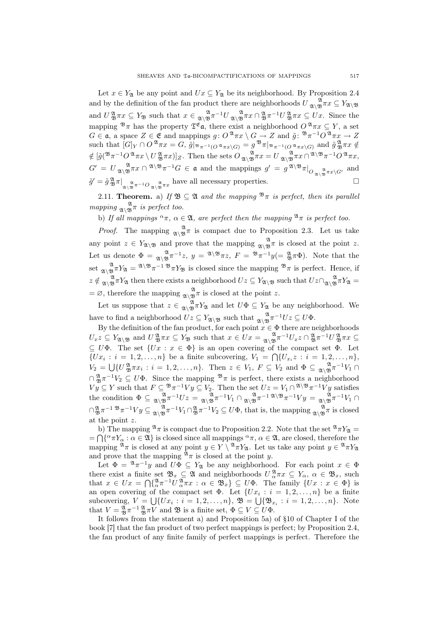Let  $x \in Y_{\mathfrak{A}}$  be any point and  $Ux \subseteq Y_{\mathfrak{A}}$  be its neighborhood. By Proposition 2.4 and by the definition of the fan product there are neighborhoods  $U_{\mathfrak{A}\setminus \mathfrak{B}}^{\mathfrak{A}} \pi x \subseteq Y_{\mathfrak{A}\setminus \mathfrak{B}}$ and  $U \frac{\mathfrak{A}}{\mathfrak{B}} \pi x \subseteq Y_{\mathfrak{B}}$  such that  $x \in \mathfrak{A} \setminus \mathfrak{B} \pi^{-1}U \mathfrak{A} \setminus \mathfrak{B} \pi x \cap \mathfrak{A} \pi^{-1}U \mathfrak{B} \pi x \subseteq Ux$ . Since the mapping  $\mathfrak{B}_{\pi}$  has the property  $\mathfrak{T}^{\mathfrak{E}}$  a, there exist a neighborhood  $O^{\mathfrak{A}} \pi x \subseteq Y$ , a set  $G \in \mathfrak{a}$ , a space  $Z \in \mathfrak{E}$  and mappings  $g: O^{\mathfrak{A}} \pi x \setminus G \to Z$  and  $\tilde{g}: \mathbb{R}^n \pi^{-1} O^{\mathfrak{A}} \pi x \to Z$ such that  $[G]_Y \cap O^{\mathfrak{A}} \pi x = G$ ,  $\tilde{g} |_{\mathfrak{B}_{\pi^{-1}(O^{\mathfrak{A}} \pi x \setminus G)}} = g^{\mathfrak{B}} \pi |_{\mathfrak{B}_{\pi^{-1}(O^{\mathfrak{A}} \pi x \setminus G)}}$  and  $\tilde{g}^{\mathfrak{A}}_{\mathfrak{B}} \pi x \notin$  $\notin \left[\tilde{g}(\mathcal{B}\pi^{-1}O^{\mathfrak{A}}\pi x \setminus U^{\mathfrak{A}}_{\mathfrak{B}}\pi x)\right]_Z$ . Then the sets  $O_{\mathfrak{A}\setminus \mathfrak{B}}^{\mathfrak{A}}\pi x = U_{\mathfrak{A}\setminus \mathfrak{B}}^{\mathfrak{A}}\pi x \cap^{\mathfrak{A}\setminus \mathfrak{B}}\pi^{-1}O^{\mathfrak{A}}\pi x$ ,  $G' = U_{\mathfrak{A}\setminus \mathfrak{B}} \pi x \cap \mathfrak{A}\setminus \mathfrak{B}} \pi^{-1}G \in \mathfrak{a}$  and the mappings  $g' = g^{\mathfrak{A}\setminus \mathfrak{B}} \pi|_{O_{\mathfrak{A}\setminus \mathfrak{B}} \pi x \setminus G'}$  and  $\tilde{g}' = \tilde{g} \frac{\mathfrak{A}}{\mathfrak{B}} \pi \Big|_{\mathfrak{A} \setminus \mathfrak{B}} \frac{\mathfrak{A}}{\mathfrak{A}} \pi^{-1} O_{\mathfrak{A} \setminus \mathfrak{B}} \pi x}$  have all necessary properties.

2.11. **Theorem.** a) If  $\mathfrak{B} \subseteq \mathfrak{A}$  and the mapping  $\mathfrak{B}_{\pi}$  is perfect, then its parallel mapping  $\frac{\mathfrak{A}}{\mathfrak{A}\setminus \mathfrak{B}}\pi$  is perfect too.

b) If all mappings  $\alpha \pi$ ,  $\alpha \in \mathfrak{A}$ , are perfect then the mapping  $\mathfrak{A}_{\pi}$  is perfect too.

*Proof.* The mapping  $\alpha \to \infty$  is compact due to Proposition 2.3. Let us take any point  $z \in Y_{\mathfrak{A}\setminus \mathfrak{B}}$  and prove that the mapping  $\mathfrak{A}\setminus \mathfrak{B}\pi$  is closed at the point z. Let us denote  $\Phi = \frac{\mathfrak{A}}{\mathfrak{A}\setminus \mathfrak{B}} \pi^{-1} z$ ,  $y = \frac{\mathfrak{A}\setminus \mathfrak{B}}{\pi z}$ ,  $F = \mathfrak{B} \pi^{-1} y (= \frac{\mathfrak{A}}{\mathfrak{B}} \pi \Phi)$ . Note that the set  $\lim_{\mathfrak{A}\setminus\mathfrak{B}} \pi Y_{\mathfrak{A}} = \mathfrak{A}\setminus\mathfrak{B} \pi^{-1} \mathfrak{B} \pi Y_{\mathfrak{B}}$  is closed since the mapping  $\mathfrak{B} \pi$  is perfect. Hence, if  $z \notin \mathfrak{A}_{\mathfrak{A}} \mathfrak{B}^{\mathfrak{A}} T Y_{\mathfrak{A}}$  then there exists a neighborhood  $Uz \subseteq Y_{\mathfrak{A}\setminus \mathfrak{B}}$  such that  $Uz \cap \mathfrak{A}_{\mathfrak{A}} \mathfrak{B}^{\mathfrak{A}} T Y_{\mathfrak{A}} =$  $= \emptyset$ , therefore the mapping  $\mathcal{X}_{\mathfrak{B}}^{\mathfrak{A}} \pi$  is closed at the point z.

Let us suppose that  $z \in \mathcal{X}_{\mathfrak{A}} \mathfrak{A}^{\mathfrak{A}}$  and let  $U\Phi \subseteq Y_{\mathfrak{A}}$  be any neighborhood. We have to find a neighborhood  $Uz \subseteq Y_{\mathfrak{A}\setminus \mathfrak{B}}$  such that  $\mathfrak{A}_{\mathfrak{A}\setminus \mathfrak{B}}^{\mathfrak{A}} \pi^{-1}Uz \subseteq U\Phi$ .

By the definition of the fan product, for each point  $x \in \Phi$  there are neighborhoods  $U_xz \subseteq Y_{\mathfrak{A}\setminus \mathfrak{B}}$  and  $U \mathfrak{B}^{\mathfrak{A}} \pi x \subseteq Y_{\mathfrak{B}}$  such that  $x \in Ux = \mathfrak{A}\setminus \mathfrak{B}^{\mathfrak{A}} \pi^{-1}U_xz \cap \mathfrak{B}^{\mathfrak{A}} \pi^{-1}U \mathfrak{B}^{\mathfrak{A}} \pi x \subseteq$  $\subseteq U\Phi$ . The set  $\{Ux : x \in \Phi\}$  is an open covering of the compact set  $\Phi$ . Let  $\{Ux_i : i = 1, 2, ..., n\}$  be a finite subcovering,  $V_1 = \bigcap \{U_{x_i} z : i = 1, 2, ..., n\},\$  $V_2 = \bigcup \{ U_{\mathfrak{B}}^{\mathfrak{A}} \pi x_i : i = 1, 2, ..., n \}.$  Then  $z \in V_1$ ,  $F \subseteq V_2$  and  $\Phi \subseteq {}_{\mathfrak{A}} \mathfrak{B}^{\mathfrak{A}} \pi^{-1} V_1 \cap {}_{\mathfrak{A}}$  $\cap \frac{\mathfrak{A}}{\mathfrak{B}} \pi^{-1} V_2 \subseteq U\Phi$ . Since the mapping  $\mathfrak{B}_{\pi}$  is perfect, there exists a neighborhood  $V y \subseteq Y$  such that  $F \subseteq {}^{\mathfrak{B}} \pi^{-1} V y \subseteq V_2$ . Then the set  $U z = V_1 \cap {}^{\mathfrak{A}} \backslash {}^{\mathfrak{B}} \pi^{-1} V y$  satisfies the condition  $\Phi \subseteq \mathcal{A}_{\mathcal{A}}^{\mathcal{A}} \pi^{-1}Uz = \mathcal{A}_{\mathcal{A}}^{\mathcal{A}} \pi^{-1}V_1 \cap \mathcal{A}_{\mathcal{A}}^{\mathcal{A}} \pi^{-1} \mathcal{A}_{\mathcal{B}}^{\mathcal{A}} \pi^{-1}V_1 \cap \mathcal{A}_{\mathcal{A}}^{\mathcal{A}} \pi^{-1}V_1$  $\bigcap_{\mathfrak{B}}^{\mathfrak{A}} \pi^{-1} \mathfrak{B} \pi^{-1}V \mathfrak{g} \subseteq \mathfrak{A} \setminus \mathfrak{B} \pi^{-1}V_1 \cap \mathfrak{B} \pi^{-1}V_2 \subseteq U\Phi$ , that is, the mapping  $\mathfrak{A} \setminus \mathfrak{B} \pi$  is closed at the point z.

b) The mapping  $\mathcal{A}_{\pi}$  is compact due to Proposition 2.2. Note that the set  $\mathcal{A}_{\pi}Y_{\mathfrak{A}} = \Omega(\mathcal{A}_{\pi})$  $=\bigcap \{\alpha \pi Y_\alpha : \alpha \in \mathfrak{A}\}\$ is closed since all mappings  $\alpha \pi$ ,  $\alpha \in \mathfrak{A}$ , are closed, therefore the mapping  $\mathfrak{A}_{\pi}$  is closed at any point  $y \in Y \setminus \mathfrak{A}_{\pi}Y_{\mathfrak{A}}$ . Let us take any point  $y \in \mathfrak{A}_{\pi}Y_{\mathfrak{A}}$ and prove that the mapping  $\mathfrak{A}_{\pi}$  is closed at the point y.

Let  $\Phi = \mathcal{A} \pi^{-1} y$  and  $U \Phi \subseteq Y_{\mathfrak{A}}$  be any neighborhood. For each point  $x \in \Phi$ there exist a finite set  $\mathfrak{B}_x \subseteq \mathfrak{A}$  and neighborhoods  $U^{\mathfrak{A}}_{\alpha}\pi x \subseteq Y_\alpha, \alpha \in \mathfrak{B}_x$ , such that  $x \in Ux = \bigcap \{ \substack{2\alpha \\alpha}} \pi^{-1} U \substack{2\alpha \\alpha}} \pi x : \alpha \in \mathfrak{B}_x \} \subseteq U\Phi$ . The family  $\{Ux : x \in \Phi\}$  is an open covering of the compact set  $\Phi$ . Let  $\{Ux_i : i = 1, 2, ..., n\}$  be a finite subcovering,  $V = \bigcup \{Ux_i : i = 1, 2, ..., n\}, \mathfrak{B} = \bigcup \{\mathfrak{B}_{x_i} : i = 1, 2, ..., n\}.$  Note that  $V = \frac{\mathfrak{A}}{\mathfrak{B}} \pi^{-1} \frac{\mathfrak{A}}{\mathfrak{B}} \pi V$  and  $\mathfrak{B}$  is a finite set,  $\Phi \subseteq V \subseteq U\Phi$ .

It follows from the statement a) and Proposition 5a) of §10 of Chapter I of the book [7] that the fan product of two perfect mappings is perfect; by Proposition 2.4, the fan product of any finite family of perfect mappings is perfect. Therefore the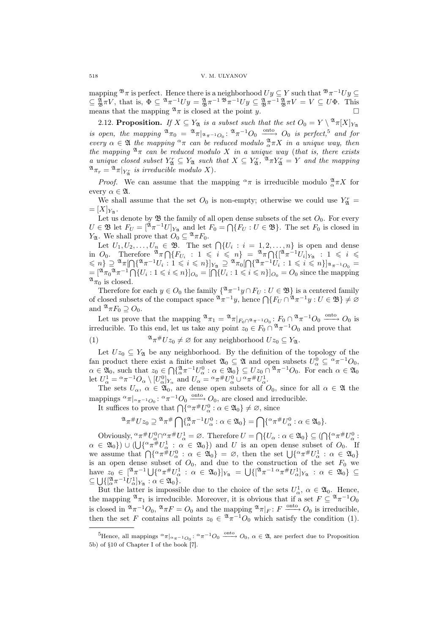mapping  $\mathfrak{B}_{\pi}$  is perfect. Hence there is a neighborhood  $Uy \subseteq Y$  such that  $\mathfrak{B}_{\pi}$ <sup>-1</sup> $Uy \subseteq$  $\subseteq \frac{\mathfrak{A}}{\mathfrak{B}} \pi V$ , that is,  $\Phi \subseteq {}^{\mathfrak{A}} \pi^{-1}Uy = {}^{\mathfrak{A}}_{\mathfrak{B}} \pi^{-1} {}^{\mathfrak{B}} \pi^{-1}Uy \subseteq {}^{\mathfrak{A}}_{\mathfrak{B}} \pi^{-1} {}^{\mathfrak{A}}_{\mathfrak{B}} \pi V = V \subseteq U\Phi$ . This means that the mapping  $\mathfrak{A}_{\pi}$  is closed at the point y.

2.12. Proposition. If  $X \subseteq Y_{\mathfrak{A}}$  is a subset such that the set  $O_0 = Y \setminus {\mathfrak{A}} \pi[X]_{Y_{\mathfrak{A}}}$ is open, the mapping  $\mathfrak{A}_{\pi_0} = \mathfrak{A}_{\pi|_{\mathfrak{A}_{\pi^{-1}O_0}}}$ :  $\mathfrak{A}_{\pi^{-1}O_0}$   $\xrightarrow{\text{onto}} O_0$  is perfect,<sup>5</sup> and for every  $\alpha \in \mathfrak{A}$  the mapping  $\alpha \pi$  can be reduced modulo  $\alpha \pi X$  in a unique way, then the mapping  $\mathfrak{A}_{\pi}$  can be reduced modulo X in a unique way (that is, there exists a unique closed subset  $Y_{\mathfrak{A}}^r \subseteq Y_{\mathfrak{A}}$  such that  $X \subseteq Y_{\mathfrak{A}}^r$ ,  $\mathfrak{A}_{\pi}Y_{\mathfrak{A}}^r = Y$  and the mapping  $\mathfrak{A}_{\pi_r} = \mathfrak{A}_{\pi|_{Y^r_{\mathfrak{A}}}}$  is irreducible modulo X).

*Proof.* We can assume that the mapping  $\alpha \pi$  is irreducible modulo  $\frac{\alpha}{\alpha} \pi X$  for every  $\alpha \in \mathfrak{A}$ .

We shall assume that the set  $O_0$  is non-empty; otherwise we could use  $Y_{\mathfrak{A}}^r =$  $=[X]_{Y_{\mathfrak{A}}}$ .

Let us denote by  $\mathfrak{B}$  the family of all open dense subsets of the set  $O_0$ . For every  $U \in \mathfrak{B}$  let  $F_U = [\mathfrak{A}_\pi \mathfrak{A} \cup U]_{Y_\mathfrak{A}}$  and let  $F_0 = \bigcap \{F_U : U \in \mathfrak{B}\}\.$  The set  $F_0$  is closed in Y<sub>2</sub>. We shall prove that  $O_0 \subseteq \mathcal{A}_{\pi}F_0$ .

: we shall prove that  $\mathcal{O}_0 \subseteq \mathbb{T}^n$   $\mathcal{F}_0$ .<br>Let  $U_1, U_2, \ldots, U_n \in \mathfrak{B}$ . The set  $\bigcap \{U_i : i = 1, 2, \ldots, n\}$  is open and dense Let  $U_1, U_2, \ldots, U_n \in \mathfrak{B}$ . The set  $\lceil \{U_i : i = 1, 2, \ldots, n\} \rceil$  is open and dense<br>in  $O_0$ . Therefore  $\mathfrak{A}_{\pi} \cap \{F_{U_i} : 1 \leq i \leq n\} = \mathfrak{A}_{\pi} \cap \{[\mathfrak{A}_{\pi}^{-1}U_i]_{Y_{\mathfrak{A}}} : 1 \leq i \leq n\}$  $f(x) = \begin{cases} \n\frac{1}{2} \pi \ln \left( \frac{1}{2} \pi^{-1} U_i : 1 \leq i \leq n \right) < \pi \n\end{cases}$ <br>  $\leq n \}$   $\geq \frac{2}{2} \pi \ln \left[ \left( \frac{2}{2} \pi^{-1} U_i : 1 \leq i \leq n \right) \right]_{Y_{\mathfrak{A}}} \geq \frac{2}{2} \pi \ln \left[ \left( \frac{2}{2} \pi^{-1} U_i : 1 \leq i \leq n \right) \right]_{X_{\mathfrak{A}}} - \frac{1}{2} U_i : 1 \leq i \$  $\mathbb{R}^n$   $\geq$   $\begin{array}{l} \mathbb{R}^n \to \mathbb{R}^n \to \mathbb{R}^n \to \mathbb{R}^n \to \mathbb{R}^n \end{array}$   $\mathbb{R}^n$   $\geq$   $\mathbb{R}^n \to \mathbb{R}^n \to \mathbb{R}^n \to \mathbb{R}^n \to \mathbb{R}^n \to \mathbb{R}^n \to \mathbb{R}^n \to \mathbb{R}^n \to \mathbb{R}^n \to \mathbb{R}^n \to \mathbb{R}^n \to \mathbb{R}^n \to \mathbb$  $^{\mathfrak{A}}\pi_{0}$  is closed.

Therefore for each  $y \in O_0$  the family  $\{ \mathfrak{A} \pi^{-1} y \cap F_U : U \in \mathfrak{B} \}$  is a centered family Therefore for each  $y \in U_0$  the family  $\{^\neg \pi \quad y \mid \Gamma U : U \in \mathcal{D}\}$  is a centered family of closed subsets of the compact space  $\mathbb{R}^n \pi^{-1}y$ , hence  $\bigcap \{F_U \cap \mathbb{R}^n \pi^{-1}y : U \in \mathfrak{B}\} \neq \emptyset$ and  $^{\mathfrak{A}} \pi F_0 \supseteq O_0$ .

Let us prove that the mapping  $\mathfrak{A}_{\pi_1} = \mathfrak{A}_{\pi|_{F_0 \cap \mathfrak{A}_{\pi^{-1} O_0}}: F_0 \cap \mathfrak{A}_{\pi^{-1} O_0} \xrightarrow{\text{onto}} O_0$  is irreducible. To this end, let us take any point  $z_0 \in F_0 \cap \mathcal{A}_{\pi}^{-1}O_0$  and prove that

(1) 
$$
\mathfrak{A}_{\pi} \# U z_0 \neq \varnothing \text{ for any neighborhood } U z_0 \subseteq Y_{\mathfrak{A}}.
$$

Let  $Uz_0 \subseteq Y_{\mathfrak{A}}$  be any neighborhood. By the definition of the topology of the fan product there exist a finite subset  $\mathfrak{A}_0 \subseteq \mathfrak{A}$  and open subsets  $U^0_\alpha \subseteq {}^{\alpha} \pi^{-1}O_0$ ,  $\alpha \in \mathfrak{A}_0$ , such that  $z_0 \in \bigcap \{ \alpha \atop \alpha \in \mathfrak{A}_\alpha \}$   $\alpha \in \mathfrak{A}_0 \} \subseteq Uz_0 \cap \alpha \atop \alpha \in \mathfrak{A}_0$ . For each  $\alpha \in \mathfrak{A}_0$ let  $U_{\alpha}^1 = {\alpha \pi^{-1} O_{\alpha} \setminus [U_{\alpha}^0]_{Y_{\alpha}}}$  and  $U_{\alpha} = {\alpha \pi^{\#} U_{\alpha}^0 \cup {\alpha \pi^{\#} U_{\alpha}^1}}$ .

The sets  $U_{\alpha}$ ,  $\alpha \in \mathfrak{A}_0$ , are dense open subsets of  $O_0$ , since for all  $\alpha \in \mathfrak{A}$  the mappings  ${}^{\alpha}\pi|_{\alpha}\pi^{-1}O_0: {}^{\alpha}\pi^{-1}O_0 \xrightarrow{\text{onto}} O_0$ , are closed and irreducible.

ppings  $\pi_1 \sim \pi^{-1} O_0$ :  $\pi_1 O_0 \longrightarrow O_0$ , are closed and inter-

$$
\mathfrak{A}_{\pi}\#Uz_0 \supseteq \mathfrak{A}_{\pi}\# \bigcap \{\mathfrak{A}_{\alpha}\pi^{-1}U_{\alpha}^0 : \alpha \in \mathfrak{A}_0\} = \bigcap \{\alpha_{\pi}\#U_{\alpha}^0 : \alpha \in \mathfrak{A}_0\}.
$$

Obviously,  ${}^{\alpha} \pi^{\#} U_{\alpha}^{0} \cap {}^{\alpha} \pi^{\#} U_{\alpha}^{1} = \emptyset$ . Therefore  $U = \bigcap \{U_{\alpha} : \alpha \in \mathfrak{A}_{0}\} \subseteq (\bigcap \{ {}^{\alpha} \pi^{\#} U_{\alpha}^{0} : \alpha \in \mathfrak{A}_{0}\} )$  $\alpha \in \mathfrak{A}_0$   $\}$ )  $\cup$  ( $\bigcup \{^{\alpha} \pi^{\#} U_{\alpha}^1 : \alpha \in \mathfrak{A}_0 \}$ ) and U is an open dense subset of  $O_0$ . If  $\alpha \in \mathfrak{A}_0$   $\in$   $(0, 0)$ . If  $\alpha \in \mathfrak{A}_0$  and  $\alpha$  is an open dense subset of  $\alpha$ . If  $\alpha$  is assume that  $\bigcap \{^{\alpha} \pi^{\#} U_{\alpha}^0 : \alpha \in \mathfrak{A}_0 \}$  =  $\emptyset$ , then the set  $\bigcup \{^{\alpha} \pi^{\#} U_{\alpha}^1 : \alpha \in \mathfrak{A}_0 \}$ is an open dense subset of  $O_0$ , and due to the construction of the set  $F_0$  we have  $z_0 \in [\mathcal{X}_\pi^{\pi-1} \cup {\alpha_\pi^{\#}} U_\alpha^1 : \alpha \in \mathcal{X}_0\}]_{Y_{\mathcal{X}}} = \bigcup \{[\mathcal{X}_\pi^{-1} \alpha_\pi^{\#} U_\alpha^1]_{Y_{\mathcal{X}}} : \alpha \in \mathcal{X}_0\} \subseteq$  $\subseteq \bigcup\{ [\alpha^{\mathfrak{A}}\pi^{-1}U_{\alpha}^1]_{Y_{\mathfrak{A}}} : \alpha \in \mathfrak{A}_0 \}.$ 

But the latter is impossible due to the choice of the sets  $U^1_\alpha$ ,  $\alpha \in \mathfrak{A}_0$ . Hence, the mapping  $^{\mathfrak{A}}\pi_1$  is irreducible. Moreover, it is obvious that if a set  $F \subseteq \mathfrak{A} \pi^{-1}O_0$ is closed in  ${}^{\mathfrak{A}} \pi^{-1} O_0$ ,  ${}^{\mathfrak{A}} \pi F = O_0$  and the mapping  ${}^{\mathfrak{A}} \pi|_F : F \xrightarrow{\text{onto}} O_0$  is irreducible, then the set F contains all points  $z_0 \in {}^{\mathfrak{A}} \pi^{-1}O_0$  which satisfy the condition (1).

<sup>&</sup>lt;sup>5</sup>Hence, all mappings  $\alpha_{\pi}|_{\alpha_{\pi^{-1}O_0}}: \alpha_{\pi^{-1}O_0} \xrightarrow{\text{onto}} O_0$ ,  $\alpha \in \mathfrak{A}$ , are perfect due to Proposition 5b) of §10 of Chapter I of the book [7].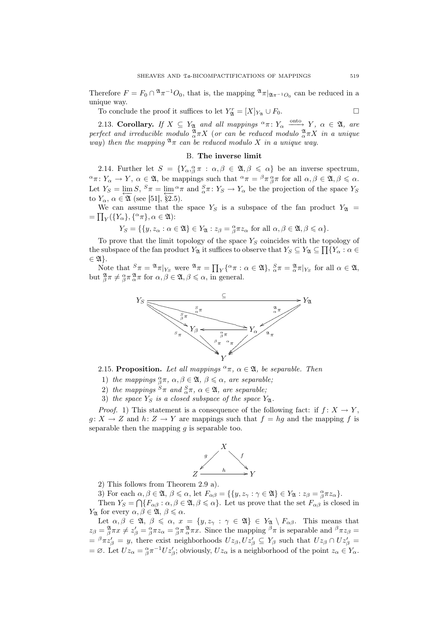Therefore  $F = F_0 \cap {}^{\mathfrak{A}} \pi^{-1} O_0$ , that is, the mapping  ${}^{\mathfrak{A}} \pi|_{\mathfrak{A} \pi^{-1} O_0}$  can be reduced in a unique way.

To conclude the proof it suffices to let  $Y_{\mathfrak{A}}^r = [X]_{Y_{\mathfrak{A}}} \cup F_0$ .

2.13. Corollary. If  $X \subseteq Y_{\mathfrak{A}}$  and all mappings  ${}^{\alpha}\pi: Y_{\alpha} \longrightarrow Y, \alpha \in \mathfrak{A}$ , are perfect and irreducible modulo  $^{\mathfrak{A}}_{\alpha} \pi X$  (or can be reduced modulo  $^{\mathfrak{A}}_{\alpha} \pi X$  in a unique way) then the mapping  $\mathfrak{A}_{\pi}$  can be reduced modulo X in a unique way.

#### B. The inverse limit

2.14. Further let  $S = \{Y_{\alpha,\beta} \pi : \alpha, \beta \in \mathfrak{A}, \beta \leq \alpha\}$  be an inverse spectrum,  $\alpha \in Y_{\alpha} \to Y$ ,  $\alpha \in \mathfrak{A}$ , be mappings such that  $\alpha \in \beta \pi \underset{\beta}{\alpha} \pi$  for all  $\alpha, \beta \in \mathfrak{A}, \beta \leqslant \alpha$ . Let  $Y_S = \lim_{\epsilon \to \infty} S$ ,  ${}^S \pi = \lim_{\epsilon \to \infty} {}^{\alpha} \pi$  and  ${}^S_{\alpha} \pi : Y_S \to Y_{\alpha}$  be the projection of the space  $Y_S$ to  $Y_{\alpha}$ ,  $\alpha \in \mathfrak{A}$  (see [51], §2.5).

We can assume that the space  $Y_S$  is a subspace of the fan product  $Y_{\mathfrak{A}} = \nabla f(X) \cdot (S_S)$  $= \prod_Y (\{Y_\alpha\}, \{\alpha \pi\}, \alpha \in \mathfrak{A})$ :

$$
Y_S = \{ \{y, z_\alpha : \alpha \in \mathfrak{A} \} \in Y_{\mathfrak{A}} : z_\beta = \underset{\beta}{\alpha} \pi z_\alpha \text{ for all } \alpha, \beta \in \mathfrak{A}, \beta \leqslant \alpha \}.
$$

To prove that the limit topology of the space  $Y_S$  coincides with the topology of the subspace of the fan product  $Y_{\mathfrak{A}}$  it suffices to observe that  $Y_S \subseteq Y_{\mathfrak{A}} \subseteq \prod \{Y_\alpha : \alpha \in \mathfrak{A}\}$  $\in \mathfrak{A}\}.$ 

 $\mathfrak{A}_{f}$ .<br>Note that  ${}^{S}\pi = {}^{\mathfrak{A}}\pi|_{Y_{S}}$  were  ${}^{\mathfrak{A}}\pi = \prod$  $_Y\{^\alpha \pi : \alpha \in \mathfrak{A}\}, \frac{S}{\alpha}\pi = \frac{\mathfrak{A}}{\alpha}\pi|_{Y_S}$  for all  $\alpha \in \mathfrak{A},$ but  ${}_{\beta}^{\mathfrak{A}} \pi \neq {}_{\beta}^{\alpha} \pi {}_{\alpha}^{\mathfrak{A}} \pi$  for  $\alpha, \beta \in \mathfrak{A}, \beta \leq \alpha$ , in general.



2.15. Proposition. Let all mappings  ${}^{\alpha}\pi$ ,  $\alpha \in \mathfrak{A}$ , be separable. Then

- 1) the mappings  $^{\alpha}_{\beta} \pi$ ,  $\alpha, \beta \in \mathfrak{A}$ ,  $\beta \leq \alpha$ , are separable;
- 2) the mappings  ${}^S\pi$  and  ${}^S_\alpha \pi$ ,  $\alpha \in \mathfrak{A}$ , are separable;
- 3) the space  $Y<sub>S</sub>$  is a closed subspace of the space  $Y<sub>2</sub>$ .

*Proof.* 1) This statement is a consequence of the following fact: if  $f: X \to Y$ ,  $g: X \to Z$  and  $h: Z \to Y$  are mappings such that  $f = hg$  and the mapping f is separable then the mapping  $g$  is separable too.



- 2) This follows from Theorem 2.9 a).
- 3) For each  $\alpha, \beta \in \mathfrak{A}, \beta \leq \alpha$ , let  $F_{\alpha\beta} = \{ \{y, z_{\gamma} : \gamma \in \mathfrak{A} \} \in Y_{\mathfrak{A}} : z_{\beta} = \alpha \pi z_{\alpha} \}.$

Then  $Y_s = \bigcap \{F_{\alpha\beta} : \alpha, \beta \in \mathfrak{A}, \beta \leq \alpha\}$ . Let us prove that the set  $F_{\alpha\beta}$  is closed in *Y*<sub> $\alpha$ </sub> for every  $\alpha, \beta \in \mathfrak{A}, \beta \leq \alpha$ .

Let  $\alpha, \beta \in \mathfrak{A}, \beta \leqslant \alpha, x = \{y, z_{\gamma} : \gamma \in \mathfrak{A}\}\in Y_{\mathfrak{A}}\setminus F_{\alpha\beta}$ . This means that  $z_{\beta} = \frac{\mathfrak{A}}{\beta}\pi x \neq z_{\beta}' = \frac{\alpha}{\beta}\pi z_{\alpha} = \frac{\alpha}{\beta}\pi \frac{\mathfrak{A}}{\alpha}\pi x$ . Since the mapping  $\beta \pi$  is separable and  $\beta \pi z_{\beta} = \frac{\alpha}{\beta}\pi x$ .  $= \beta \pi z'_\beta = y$ , there exist neighborhoods  $Uz_\beta, Uz'_\beta \subseteq Y_\beta$  such that  $Uz_\beta \cap Uz'_\beta =$  $=\emptyset$ . Let  $Uz_{\alpha} = \frac{\alpha}{\beta} \pi^{-1} U z_{\beta}'$ ; obviously,  $Uz_{\alpha}$  is a neighborhood of the point  $z_{\alpha} \in Y_{\alpha}$ .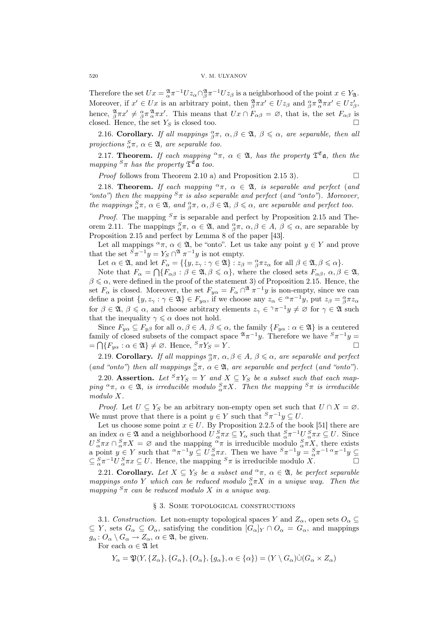Therefore the set  $Ux = \frac{\mathfrak{A}}{\alpha} \pi^{-1} U z_{\alpha} \cap_{\beta}^{\mathfrak{A}} \pi^{-1} U z_{\beta}$  is a neighborhood of the point  $x \in Y_{\mathfrak{A}}$ . Moreover, if  $x' \in Ux$  is an arbitrary point, then  $\frac{\mathfrak{A}}{\beta}\pi x' \in Uz_{\beta}$  and  $\frac{\alpha}{\beta}\pi \frac{\mathfrak{A}}{\alpha}\pi x' \in Uz_{\beta}'$ , hence,  ${}_{\beta}^{\mathfrak{A}} \pi x' \neq {}_{\beta}^{\alpha} \pi_{\alpha}^{\mathfrak{A}} \pi x'$ . This means that  $Ux \cap F_{\alpha\beta} = \varnothing$ , that is, the set  $F_{\alpha\beta}$  is closed. Hence, the set  $Y_S$  is closed too.

2.16. Corollary. If all mappings  $^{\alpha}_{\beta} \pi$ ,  $\alpha, \beta \in \mathfrak{A}$ ,  $\beta \leq \alpha$ , are separable, then all projections  ${}_{\alpha}^{S} \pi$ ,  $\alpha \in \mathfrak{A}$ , are separable too.

2.17. **Theorem.** If each mapping  $\alpha \pi$ ,  $\alpha \in \mathfrak{A}$ , has the property  $\mathfrak{T}^{\mathfrak{E}}$ **a**, then the mapping  ${}^S\pi$  has the property  $\mathfrak{T}^{\mathfrak{E}}$  a too.

*Proof* follows from Theorem 2.10 a) and Proposition 2.15 3).  $\Box$ 

2.18. **Theorem.** If each mapping  $\alpha \pi$ ,  $\alpha \in \mathfrak{A}$ , is separable and perfect (and "onto") then the mapping  ${}^{S}\pi$  is also separable and perfect (and "onto"). Moreover, the mappings  ${}_{\alpha}^{S}\pi$ ,  $\alpha \in \mathfrak{A}$ , and  ${}_{\beta}^{\alpha}\pi$ ,  $\alpha, \beta \in \mathfrak{A}$ ,  $\beta \leq \alpha$ , are separable and perfect too.

*Proof.* The mapping  ${}^S\pi$  is separable and perfect by Proposition 2.15 and Theorem 2.11. The mappings  ${}_{\alpha}^{S}\pi$ ,  $\alpha \in \mathfrak{A}$ , and  ${}_{\beta}^{\alpha}\pi$ ,  $\alpha, \beta \in A$ ,  $\beta \leq \alpha$ , are separable by Proposition 2.15 and perfect by Lemma 8 of the paper [43].

Let all mappings  $\alpha_{\pi}$ ,  $\alpha \in \mathfrak{A}$ , be "onto". Let us take any point  $y \in Y$  and prove that the set  ${}^S \pi^{-1} y = Y_S \cap {}^{\mathfrak{A}} \pi^{-1} y$  is not empty.

Let  $\alpha \in \mathfrak{A}$ , and let  $F_{\alpha} = \{ \{y, z_{\gamma} : \gamma \in \mathfrak{A} \} : z_{\beta} = \beta \pi z_{\alpha} \text{ for all } \beta \in \mathfrak{A}, \beta \leq \alpha \}.$ 

Note that  $F_{\alpha} = \bigcap \{F_{\alpha\beta} : \beta \in \mathfrak{A}, \beta \leq \alpha\}$ , where the closed sets  $F_{\alpha\beta}, \alpha, \beta \in \mathfrak{A}$ ,  $\beta \leq \alpha$ , were defined in the proof of the statement 3) of Proposition 2.15. Hence, the set  $F_{\alpha}$  is closed. Moreover, the set  $F_{y\alpha} = F_{\alpha} \cap^{\mathfrak{A}} \pi^{-1}y$  is non-empty, since we can define a point  $\{y, z_{\gamma} : \gamma \in \mathfrak{A}\}\in F_{y\alpha}$ , if we choose any  $z_{\alpha} \in {}^{\alpha}\pi^{-1}y$ , put  $z_{\beta} = {}^{\alpha}_{\beta}\pi z_{\alpha}$ for  $\beta \in \mathfrak{A}, \beta \leq \alpha$ , and choose arbitrary elements  $z_{\gamma} \in \mathfrak{A} \pi^{-1}y \neq \varnothing$  for  $\gamma \in \mathfrak{A}$  such that the inequality  $\gamma \leq \alpha$  does not hold.

Since  $F_{y\alpha} \subseteq F_{y\beta}$  for all  $\alpha, \beta \in A, \beta \leq \alpha$ , the family  $\{F_{y\alpha} : \alpha \in \mathfrak{A}\}\)$  is a centered family of closed subsets of the compact space  $\mathfrak{A}_{\pi}$ <sup>-1</sup>y. Therefore we have  $^S\pi^{-1}y =$  $=\bigcap \{F_{y\alpha} : \alpha \in \mathfrak{A}\}\neq \varnothing$ . Hence,  ${}^S\pi Y_S=Y$ .

2.19. Corollary. If all mappings  $^{\alpha}_{\beta} \pi$ ,  $\alpha, \beta \in A$ ,  $\beta \leq \alpha$ , are separable and perfect (and "onto") then all mappings  ${}^S_{\alpha}\pi$ ,  $\alpha \in \mathfrak{A}$ , are separable and perfect (and "onto").

2.20. Assertion. Let  ${}^S \pi Y_S = Y$  and  $X \subseteq Y_S$  be a subset such that each mapping  $\alpha_{\pi}$ ,  $\alpha \in \mathfrak{A}$ , is irreducible modulo  $\alpha_{\alpha}^S \pi X$ . Then the mapping  $S_{\pi}$  is irreducible modulo X.

*Proof.* Let  $U \subseteq Y_S$  be an arbitrary non-empty open set such that  $U \cap X = \emptyset$ . We must prove that there is a point  $y \in Y$  such that  ${}^S \pi^{-1} y \subseteq U$ .

Let us choose some point  $x \in U$ . By Proposition 2.2.5 of the book [51] there are an index  $\alpha \in \mathfrak{A}$  and a neighborhood  $U_{\alpha}^{S} \pi x \subseteq Y_{\alpha}$  such that  ${}_{\alpha}^{S} \pi^{-1} U_{\alpha}^{S} \pi x \subseteq U$ . Since  $U_{\alpha}^{S}\pi x \cap_{\alpha}^{S}\pi X = \emptyset$  and the mapping  $\alpha \pi$  is irreducible modulo  $_{\alpha}^{S}\pi X$ , there exists a point  $y \in Y$  such that  ${}^{\alpha}\pi^{-1}y \subseteq U_{\alpha}^S \pi x$ . Then we have  ${}^S\pi^{-1}y = {}^S_{\alpha}\pi^{-1} {}^{\alpha}\pi^{-1}y \subseteq$  $\subseteq_{\alpha}^{S} \pi^{-1} U_{\alpha}^{S} \pi x \subseteq U$ . Hence, the mapping  ${}^{S}\pi$  is irreducible modulo X.

2.21. Corollary. Let  $X \subseteq Y_S$  be a subset and  ${}^{\alpha} \pi$ ,  $\alpha \in \mathfrak{A}$ , be perfect separable mappings onto Y which can be reduced modulo  ${}_{\alpha}^{S} \pi X$  in a unique way. Then the mapping  ${}^S\pi$  can be reduced modulo X in a unique way.

#### § 3. Some topological constructions

3.1. Construction. Let non-empty topological spaces Y and  $Z_{\alpha}$ , open sets  $O_{\alpha} \subseteq$  $\subseteq Y$ , sets  $G_{\alpha} \subseteq O_{\alpha}$ , satisfying the condition  $[G_{\alpha}]_Y \cap O_{\alpha} = G_{\alpha}$ , and mappings  $g_{\alpha}$ :  $O_{\alpha} \setminus G_{\alpha} \to Z_{\alpha}, \alpha \in \mathfrak{A}$ , be given.

For each  $\alpha \in \mathfrak{A}$  let

$$
Y_{\alpha} = \mathfrak{P}(Y, \{Z_{\alpha}\}, \{G_{\alpha}\}, \{O_{\alpha}\}, \{g_{\alpha}\}, \alpha \in \{\alpha\}) = (Y \setminus G_{\alpha}) \dot{\cup} (G_{\alpha} \times Z_{\alpha})
$$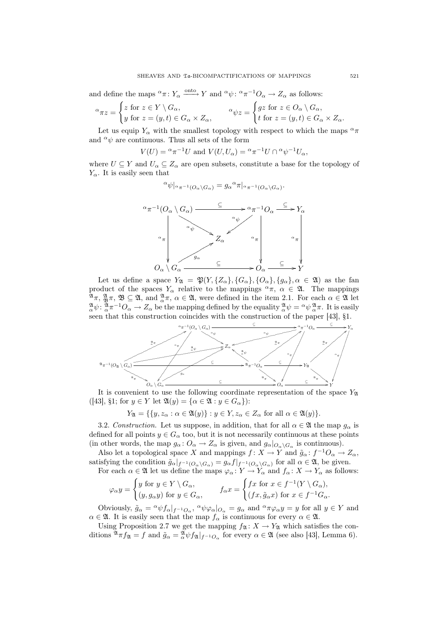and define the maps  ${}^{\alpha}\pi: Y_{\alpha} \xrightarrow{\text{onto}} Y$  and  ${}^{\alpha}\psi: {}^{\alpha}\pi^{-1}O_{\alpha} \to Z_{\alpha}$  as follows:

$$
\alpha_{\pi z} = \begin{cases} z \text{ for } z \in Y \setminus G_{\alpha}, \\ y \text{ for } z = (y, t) \in G_{\alpha} \times Z_{\alpha}, \end{cases} \qquad \alpha \psi z = \begin{cases} gz \text{ for } z \in O_{\alpha} \setminus G_{\alpha}, \\ t \text{ for } z = (y, t) \in G_{\alpha} \times Z_{\alpha}. \end{cases}
$$

Let us equip Y<sub>α</sub> with the smallest topology with respect to which the maps  $\alpha_{\pi}$ and  $\alpha \psi$  are continuous. Thus all sets of the form

$$
V(U) = \alpha \pi^{-1} U \text{ and } V(U, U_{\alpha}) = \alpha \pi^{-1} U \cap \alpha \psi^{-1} U_{\alpha},
$$

where  $U \subseteq Y$  and  $U_{\alpha} \subseteq Z_{\alpha}$  are open subsets, constitute a base for the topology of  $Y_{\alpha}$ . It is easily seen that

$$
\alpha \psi|_{\alpha \pi^{-1}(O_{\alpha} \setminus G_{\alpha})} = g_{\alpha}^{\alpha} \pi|_{\alpha \pi^{-1}(O_{\alpha} \setminus G_{\alpha})}.
$$



Let us define a space  $Y_{\mathfrak{A}} = \mathfrak{P}(Y, \{Z_{\alpha}\}, \{G_{\alpha}\}, \{O_{\alpha}\}, \{g_{\alpha}\}, \alpha \in \mathfrak{A})$  as the fan product of the spaces  $Y_{\alpha}$  relative to the mappings  $^{\alpha}\pi$ ,  $\alpha \in \mathfrak{A}$ . The mappings  $\mathfrak{A}_{\pi}$ ,  $\mathfrak{B}_{\pi}$ ,  $\mathfrak{B} \subseteq \mathfrak{A}$ , and  $\frac{\mathfrak{A}}{\alpha}\pi$ ,  $\alpha \in \mathfrak{A}$ , were defined in the item 2.1. For each  $\alpha \in \mathfrak{A}$  let  ${}^{\mathfrak{A}}_{\alpha}\psi : {}^{\mathfrak{A}}_{\alpha}\pi^{-1}O_{\alpha} \to Z_{\alpha}$  be the mapping defined by the equality  ${}^{\mathfrak{A}}_{\alpha}\psi = {}^{\alpha}\psi \frac{\mathfrak{A}}{\alpha}\pi$ . It is easily seen that this construction coincides with the construction of the paper [43], §1.



It is convenient to use the following coordinate representation of the space  $Y_{\mathfrak{A}}$  $([43], \S1;$  for  $y \in Y$  let  $\mathfrak{A}(y) = {\alpha \in \mathfrak{A} : y \in G_{\alpha}}$ :

 $Y_{\mathfrak{A}} = \{ \{y, z_{\alpha} : \alpha \in \mathfrak{A}(y)\} : y \in Y, z_{\alpha} \in Z_{\alpha} \text{ for all } \alpha \in \mathfrak{A}(y)\}.$ 

3.2. Construction. Let us suppose, in addition, that for all  $\alpha \in \mathfrak{A}$  the map  $g_{\alpha}$  is defined for all points  $y \in G_\alpha$  too, but it is not necessarily continuous at these points (in other words, the map  $g_{\alpha} \colon O_{\alpha} \to Z_{\alpha}$  is given, and  $g_{\alpha}|_{O_{\alpha} \setminus G_{\alpha}}$  is continuous).

Also let a topological space X and mappings  $f: X \to Y$  and  $\tilde{g}_{\alpha}: f^{-1}O_{\alpha} \to Z_{\alpha}$ , satisfying the condition  $\tilde{g}_{\alpha}|_{f^{-1}(O_{\alpha}\backslash G_{\alpha})}=g_{\alpha}f|_{f^{-1}(O_{\alpha}\backslash G_{\alpha})}$  for all  $\alpha\in\mathfrak{A}$ , be given.

For each  $\alpha \in \mathfrak{A}$  let us define the maps  $\varphi_{\alpha} \colon Y \to Y_{\alpha}$  and  $f_{\alpha} \colon X \to Y_{\alpha}$  as follows:

$$
\varphi_{\alpha} y = \begin{cases} y \text{ for } y \in Y \setminus G_{\alpha}, \\ (y, g_{\alpha} y) \text{ for } y \in G_{\alpha}, \end{cases} \qquad f_{\alpha} x = \begin{cases} fx \text{ for } x \in f^{-1}(Y \setminus G_{\alpha}), \\ (fx, \tilde{g}_{\alpha} x) \text{ for } x \in f^{-1}G_{\alpha}. \end{cases}
$$

Obviously,  $\tilde{g}_{\alpha} = \alpha \psi f_{\alpha}|_{f^{-1}O_{\alpha}}, \ \alpha \psi \varphi_{\alpha}|_{O_{\alpha}} = g_{\alpha}$  and  $\alpha \pi \varphi_{\alpha} y = y$  for all  $y \in Y$  and  $\alpha \in \mathfrak{A}$ . It is easily seen that the map  $f_{\alpha}$  is continuous for every  $\alpha \in \mathfrak{A}$ .

Using Proposition 2.7 we get the mapping  $f_{\mathfrak{A}}: X \to Y_{\mathfrak{A}}$  which satisfies the conditions  ${}^{\mathfrak{A}}\pi f_{\mathfrak{A}} = f$  and  $\tilde{g}_{\alpha} = {}^{\mathfrak{A}}_{\alpha} \psi f_{\mathfrak{A}}|_{f^{-1}O_{\alpha}}$  for every  $\alpha \in \mathfrak{A}$  (see also [43], Lemma 6).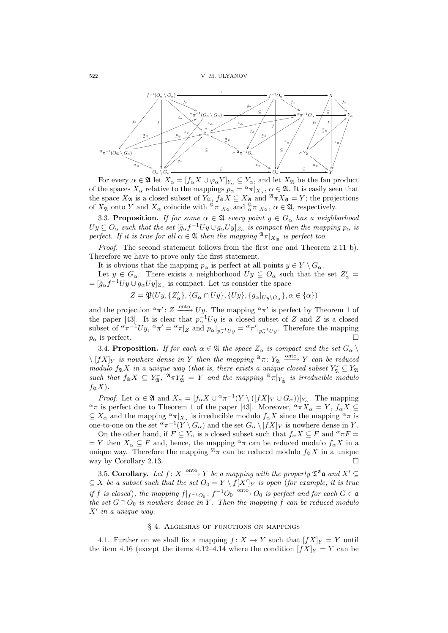

For every  $\alpha \in \mathfrak{A}$  let  $X_{\alpha} = [f_{\alpha} X \cup \varphi_{\alpha} Y]_{Y_{\alpha}} \subseteq Y_{\alpha}$ , and let  $X_{\mathfrak{A}}$  be the fan product of the spaces  $X_\alpha$  relative to the mappings  $p_\alpha = \alpha \pi |_{X_\alpha}$ ,  $\alpha \in \mathfrak{A}$ . It is easily seen that the space  $X_{\mathfrak{A}}$  is a closed subset of  $Y_{\mathfrak{A}}$ ,  $f_{\mathfrak{A}}X \subseteq X_{\mathfrak{A}}$  and  $^{\mathfrak{A}}\pi X_{\mathfrak{A}} = Y$ ; the projections of  $X_{\mathfrak{A}}$  onto Y and  $X_{\alpha}$  coincide with  $^{\mathfrak{A}}\pi|_{X_{\mathfrak{A}}}$  and  $^{\mathfrak{A}}_{\alpha}\pi|_{X_{\mathfrak{A}}}$ ,  $\alpha \in \mathfrak{A}$ , respectively.

3.3. Proposition. If for some  $\alpha \in \mathfrak{A}$  every point  $y \in G_{\alpha}$  has a neighborhood  $Uy \subseteq O_\alpha$  such that the set  $[\tilde{g}_{\alpha}f^{-1}Uy \cup g_{\alpha}Uy]_{Z_\alpha}$  is compact then the mapping  $p_{\alpha}$  is perfect. If it is true for all  $\alpha \in \mathfrak{A}$  then the mapping  $\mathfrak{A}_{\pi}|_{X_\infty}$  is perfect too.

Proof. The second statement follows from the first one and Theorem 2.11 b). Therefore we have to prove only the first statement.

It is obvious that the mapping  $p_{\alpha}$  is perfect at all points  $y \in Y \setminus G_{\alpha}$ .

Let  $y \in G_\alpha$ . There exists a neighborhood  $Uy \subseteq O_\alpha$  such that the set  $Z'_\alpha =$  $=[\tilde{g}_{\alpha}f^{-1}Uy \cup g_{\alpha}Uy]_{Z_{\alpha}}$  is compact. Let us consider the space

 $Z = \mathfrak{P}(Uy, \{Z'_\alpha\}, \{G_\alpha \cap Uy\}, \{Uy\}, \{g_\alpha|_{Uy \setminus G_\alpha}\}, \alpha \in \{\alpha\})$ 

and the projection  $\alpha \pi'$ :  $Z \longrightarrow Uy$ . The mapping  $\alpha \pi'$  is perfect by Theorem 1 of the paper [43]. It is clear that  $p_{\alpha}^{-1}Uy$  is a closed subset of Z and Z is a closed subset of  ${}^{\alpha}\pi^{-1}Uy$ ,  ${}^{\alpha}\pi' = {}^{\alpha}\pi|_Z$  and  $p_{\alpha}|_{p_{\alpha}^{-1}Uy} = {}^{\alpha}\pi'|_{p_{\alpha}^{-1}Uy}$ . Therefore the mapping  $p_{\alpha}$  is perfect.

3.4. Proposition. If for each  $\alpha \in \mathfrak{A}$  the space  $Z_{\alpha}$  is compact and the set  $G_{\alpha} \setminus$  $\setminus [fX]_Y$  is nowhere dense in Y then the mapping  $\mathfrak{A}_{\pi}: Y_{\mathfrak{A}} \longrightarrow Y$  can be reduced modulo  $f_{\mathfrak{A}}X$  in a unique way (that is, there exists a unique closed subset  $Y_{\mathfrak{A}}^r \subseteq Y_{\mathfrak{A}}$ such that  $f_{\mathfrak{A}}X \subseteq Y_{\mathfrak{A}}^r$ ,  $\mathfrak{A}_{\pi}Y_{\mathfrak{A}}^r = Y$  and the mapping  $\mathfrak{A}_{\pi}|_{Y_{\mathfrak{A}}^r}$  is irreducible modulo  $f_{\mathfrak{A}}X$ ).

*Proof.* Let  $\alpha \in \mathfrak{A}$  and  $X_{\alpha} = [f_{\alpha} X \cup {\alpha} \pi^{-1}(Y \setminus ([f X]_Y \cup G_{\alpha}))]_{Y_{\alpha}}$ . The mapping  $\alpha_{\pi}$  is perfect due to Theorem 1 of the paper [43]. Moreover,  $\alpha_{\pi} X_{\alpha} = Y$ ,  $f_{\alpha} X \subseteq$  $\subseteq X_\alpha$  and the mapping  ${}^{\alpha}\pi|_{X_\alpha}$  is irreducible modulo  $f_\alpha X$  since the mapping  ${}^{\alpha}\pi$  is one-to-one on the set  $\alpha \pi^{-1}(Y \setminus G_\alpha)$  and the set  $G_\alpha \setminus [fX]_Y$  is nowhere dense in Y.

On the other hand, if  $F \subseteq Y_\alpha$  is a closed subset such that  $f_\alpha X \subseteq F$  and  ${}^\alpha \pi F =$  $= Y$  then  $X_{\alpha} \subseteq F$  and, hence, the mapping  $^{\alpha} \pi$  can be reduced modulo  $f_{\alpha} X$  in a unique way. Therefore the mapping  $\sqrt[2]{\pi}$  can be reduced modulo  $f_{\mathfrak{A}}X$  in a unique way by Corollary 2.13.  $\Box$ 

3.5. Corollary. Let  $f: X \xrightarrow{\text{onto}} Y$  be a mapping with the property  $\mathfrak{T}^{\mathfrak{E}}$  and  $X' \subseteq$  $\subseteq X$  be a subset such that the set  $O_0 = Y \setminus f[X']_Y$  is open (for example, it is true if f is closed), the mapping  $f|_{f^{-1}O_0}$ :  $f^{-1}O_0 \xrightarrow{\text{onto}} O_0$  is perfect and for each  $G \in \mathfrak{a}$ the set  $G \cap O_0$  is nowhere dense in Y. Then the mapping f can be reduced modulo  $X'$  in a unique way.

#### § 4. Algebras of functions on mappings

4.1. Further on we shall fix a mapping  $f: X \to Y$  such that  $[fX]_Y = Y$  until the item 4.16 (except the items 4.12–4.14 where the condition  $[fX]_Y = Y$  can be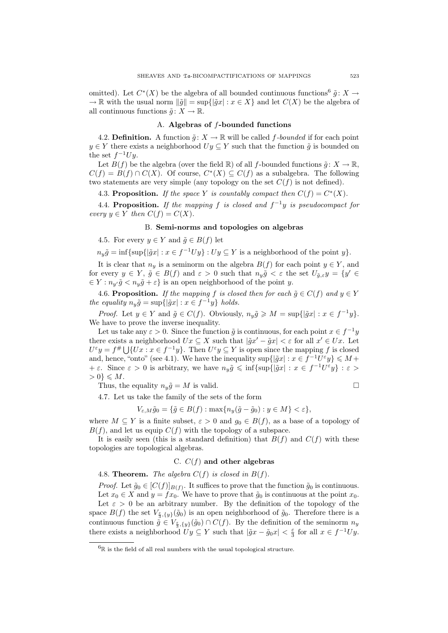omitted). Let  $C^*(X)$  be the algebra of all bounded continuous functions  $\tilde{g}: X \to$  $\rightarrow \mathbb{R}$  with the usual norm  $\|\tilde{g}\| = \sup\{|\tilde{g}x| : x \in X\}$  and let  $C(X)$  be the algebra of all continuous functions  $\tilde{g}: X \to \mathbb{R}$ .

# A. Algebras of f-bounded functions

4.2. **Definition.** A function  $\tilde{g}: X \to \mathbb{R}$  will be called f-bounded if for each point  $y \in Y$  there exists a neighborhood  $Uy \subseteq Y$  such that the function  $\tilde{g}$  is bounded on the set  $f^{-1}Uy$ .

Let  $B(f)$  be the algebra (over the field R) of all f-bounded functions  $\tilde{q}: X \to \mathbb{R}$ ,  $C(f) = B(f) \cap C(X)$ . Of course,  $C^*(X) \subseteq C(f)$  as a subalgebra. The following two statements are very simple (any topology on the set  $C(f)$  is not defined).

4.3. Proposition. If the space Y is countably compact then  $C(f) = C^*(X)$ .

4.4. Proposition. If the mapping f is closed and  $f^{-1}y$  is pseudocompact for every  $y \in Y$  then  $C(f) = C(X)$ .

# B. Semi-norms and topologies on algebras

4.5. For every  $y \in Y$  and  $\tilde{g} \in B(f)$  let

 $n_y \tilde{g} = \inf \{ \sup \{ |\tilde{g}x| : x \in f^{-1}Uy \} : Uy \subseteq Y \text{ is a neighborhood of the point } y \}.$ 

It is clear that  $n_y$  is a seminorm on the algebra  $B(f)$  for each point  $y \in Y$ , and for every  $y \in Y$ ,  $\tilde{g} \in B(f)$  and  $\varepsilon > 0$  such that  $n_y \tilde{g} < \varepsilon$  the set  $U_{\tilde{g},\varepsilon} y = \{y' \in Y, y \in Y\}$  $\in Y : n_{y'}\tilde{g} < n_{y}\tilde{g} + \varepsilon$  is an open neighborhood of the point y.

4.6. Proposition. If the mapping f is closed then for each  $\tilde{g} \in C(f)$  and  $y \in Y$ the equality  $n_y \tilde{g} = \sup\{|\tilde{g}x| : x \in f^{-1}y\}$  holds.

*Proof.* Let  $y \in Y$  and  $\tilde{g} \in C(f)$ . Obviously,  $n_y \tilde{g} \geq M = \sup\{|\tilde{g}x| : x \in f^{-1}y\}.$ We have to prove the inverse inequality.

Let us take any  $\varepsilon > 0$ . Since the function  $\tilde{g}$  is continuous, for each point  $x \in f^{-1}y$ there exists a neighborhood  $Ux \subseteq X$  such that  $|\tilde{g}x' - \tilde{g}x| < \varepsilon$  for all  $x' \in Ux$ . Let there exists a neighborhood  $Ux \subseteq X$  such that  $|gx - gx| < \varepsilon$  for an  $x \in Ux$ . Let  $U^{\varepsilon}y = f^{\#} \cup \{Ux : x \in f^{-1}y\}$ . Then  $U^{\varepsilon}y \subseteq Y$  is open since the mapping f is closed and, hence, "onto" (see 4.1). We have the inequality  $\sup\{|\tilde{g}x| : x \in f^{-1}U^{\varepsilon}y\} \leq M+$  $+\varepsilon$ . Since  $\varepsilon > 0$  is arbitrary, we have  $n_y \tilde{g} \leq \inf \{ \sup \{ |\tilde{g}x| : x \in f^{-1}U^{\varepsilon}y \} : \varepsilon > 0 \}$  $> 0$ }  $\leqslant M$ .

Thus, the equality  $n_y\tilde{g} = M$  is valid.  $\Box$ 

4.7. Let us take the family of the sets of the form

$$
V_{\varepsilon,M}\tilde{g}_0 = \{ \tilde{g} \in B(f) : \max\{n_y(\tilde{g} - \tilde{g}_0) : y \in M\} < \varepsilon \},
$$

where  $M \subseteq Y$  is a finite subset,  $\varepsilon > 0$  and  $g_0 \in B(f)$ , as a base of a topology of  $B(f)$ , and let us equip  $C(f)$  with the topology of a subspace.

It is easily seen (this is a standard definition) that  $B(f)$  and  $C(f)$  with these topologies are topological algebras.

# C.  $C(f)$  and other algebras

4.8. **Theorem.** The algebra  $C(f)$  is closed in  $B(f)$ .

*Proof.* Let  $\tilde{g}_0 \in [C(f)]_{B(f)}$ . It suffices to prove that the function  $\tilde{g}_0$  is continuous. Let  $x_0 \in X$  and  $y = fx_0$ . We have to prove that  $\tilde{g}_0$  is continuous at the point  $x_0$ .

Let  $\varepsilon > 0$  be an arbitrary number. By the definition of the topology of the space  $B(f)$  the set  $V_{\frac{\varepsilon}{3},\{y\}}(\tilde{g}_0)$  is an open neighborhood of  $\tilde{g}_0$ . Therefore there is a continuous function  $\tilde{g} \in V_{\frac{\varepsilon}{3},\{y\}}(\tilde{g}_0) \cap C(f)$ . By the definition of the seminorm  $n_y$ there exists a neighborhood  $Uy \subseteq Y$  such that  $|\tilde{g}x - \tilde{g}_0x| < \frac{\varepsilon}{3}$  for all  $x \in f^{-1}Uy$ .

 ${}^{6}$ R is the field of all real numbers with the usual topological structure.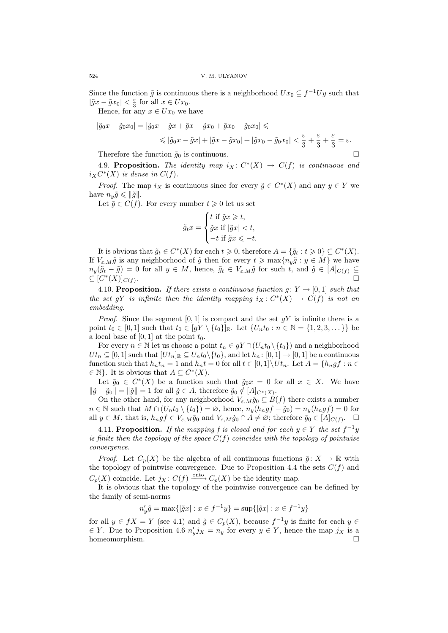Since the function  $\tilde{g}$  is continuous there is a neighborhood  $Ux_0 \subseteq f^{-1}Uy$  such that  $|\tilde{g}x - \tilde{g}x_0| < \frac{\varepsilon}{3}$  for all  $x \in Ux_0$ .

Hence, for any  $x \in Ux_0$  we have

$$
|\tilde{g}_0 x - \tilde{g}_0 x_0| = |\tilde{g}_0 x - \tilde{g}x + \tilde{g}x - \tilde{g}x_0 + \tilde{g}x_0 - \tilde{g}_0 x_0| \le
$$
  

$$
\le |\tilde{g}_0 x - \tilde{g}x| + |\tilde{g}x - \tilde{g}x_0| + |\tilde{g}x_0 - \tilde{g}_0 x_0| < \frac{\varepsilon}{3} + \frac{\varepsilon}{3} + \frac{\varepsilon}{3} = \varepsilon.
$$

Therefore the function  $\tilde{q}_0$  is continuous.

4.9. Proposition. The identity map  $i_X: C^*(X) \to C(f)$  is continuous and  $i_X C^*(X)$  is dense in  $C(f)$ .

*Proof.* The map  $i_X$  is continuous since for every  $\tilde{g} \in C^*(X)$  and any  $y \in Y$  we have  $n_u\tilde{g} \leqslant ||\tilde{g}||.$ 

Let  $\tilde{g} \in C(f)$ . For every number  $t \geq 0$  let us set  $\frac{1}{2}$ 

$$
\tilde{g}_t x = \begin{cases} t \text{ if } \tilde{g}x \geq t, \\ \tilde{g}x \text{ if } |\tilde{g}x| < t, \\ -t \text{ if } \tilde{g}x \leqslant -t. \end{cases}
$$

It is obvious that  $\tilde{g}_t \in C^*(X)$  for each  $t \geq 0$ , therefore  $A = {\tilde{g}_t : t \geq 0} \subseteq C^*(X)$ . If  $V_{\varepsilon,M}\tilde{g}$  is any neighborhood of  $\tilde{g}$  then for every  $t \ge \max\{n_y\tilde{g} : y \in M\}$  we have  $n_y(\tilde{g}_t - \tilde{g}) = 0$  for all  $y \in M$ , hence,  $\tilde{g}_t \in V_{\varepsilon,M}\tilde{g}$  for such t, and  $\tilde{g} \in [A]_{C(f)} \subseteq$  $\subseteq [C^*(X)]_{C(f)}$ . The contract of the contract of the contract of the contract of  $\Box$ 

4.10. Proposition. If there exists a continuous function  $g: Y \to [0, 1]$  such that the set gY is infinite then the identity mapping  $i_X: C^*(X) \to C(f)$  is not an embedding.

*Proof.* Since the segment [0, 1] is compact and the set  $gY$  is infinite there is a point  $t_0 \in [0, 1]$  such that  $t_0 \in [gY \setminus \{t_0\}]_{\mathbb{R}}$ . Let  $\{U_n t_0 : n \in \mathbb{N} = \{1, 2, 3, \dots\}\}$  be a local base of  $[0, 1]$  at the point  $t_0$ .

For every  $n \in \mathbb{N}$  let us choose a point  $t_n \in gY \cap (U_n t_0 \setminus \{t_0\})$  and a neighborhood  $Ut_n \subseteq [0,1]$  such that  $[Ut_n]_{\mathbb{R}} \subseteq U_n t_0 \setminus \{t_0\}$ , and let  $h_n : [0,1] \to [0,1]$  be a continuous function such that  $h_n t_n = 1$  and  $h_n t = 0$  for all  $t \in [0,1] \setminus Ut_n$ . Let  $A = \{h_n gf : n \in$  $\in \mathbb{N}$ . It is obvious that  $A \subseteq C^*(X)$ .

Let  $\tilde{g}_0 \in C^*(X)$  be a function such that  $\tilde{g}_0x = 0$  for all  $x \in X$ . We have  $\|\tilde{g} - \tilde{g}_0\| = \|\tilde{g}\| = 1$  for all  $\tilde{g} \in A$ , therefore  $\tilde{g}_0 \notin [A]_{C^*(X)}$ .

On the other hand, for any neighborhood  $V_{\varepsilon,M} \tilde{g}_0 \subseteq B(f)$  there exists a number  $n \in \mathbb{N}$  such that  $M \cap (U_n t_0 \setminus \{t_0\}) = \emptyset$ , hence,  $n_y(h_n gf - \tilde{g}_0) = n_y(h_n gf) = 0$  for all  $y \in M$ , that is,  $h_n g f \in V_{\varepsilon,M} \tilde{g}_0$  and  $V_{\varepsilon,M} \tilde{g}_0 \cap A \neq \varnothing$ ; therefore  $\tilde{g}_0 \in [A]_{C(f)}$ .  $\Box$ 

4.11. Proposition. If the mapping f is closed and for each  $y \in Y$  the set  $f^{-1}y$ is finite then the topology of the space  $C(f)$  coincides with the topology of pointwise convergence.

*Proof.* Let  $C_p(X)$  be the algebra of all continuous functions  $\tilde{g}: X \to \mathbb{R}$  with the topology of pointwise convergence. Due to Proposition 4.4 the sets  $C(f)$  and  $C_p(X)$  coincide. Let  $j_X: C(f) \xrightarrow{\text{onto}} C_p(X)$  be the identity map.

It is obvious that the topology of the pointwise convergence can be defined by the family of semi-norms

$$
n_y' \tilde{g} = \max\{ |\tilde{g} x| : x \in f^{-1} y \} = \sup\{ |\tilde{g} x| : x \in f^{-1} y \}
$$

for all  $y \in fX = Y$  (see 4.1) and  $\tilde{g} \in C_p(X)$ , because  $f^{-1}y$  is finite for each  $y \in$  $\in Y$ . Due to Proposition 4.6  $n'_y j_X = n_y$  for every  $y \in Y$ , hence the map  $j_X$  is a homeomorphism.  $\Box$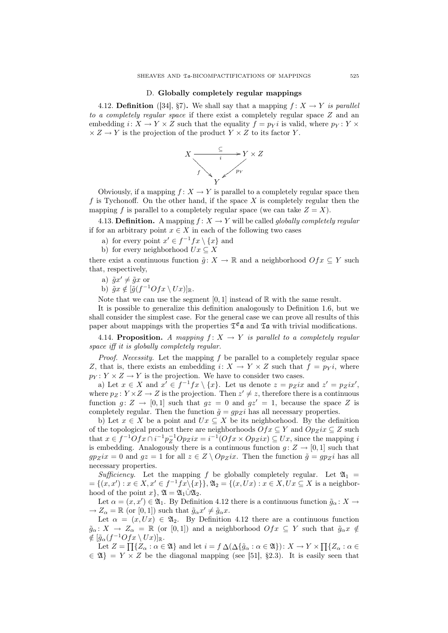#### D. Globally completely regular mappings

4.12. **Definition** ([34], §7). We shall say that a mapping  $f: X \rightarrow Y$  is parallel to a completely regular space if there exist a completely regular space Z and an embedding  $i: X \to Y \times Z$  such that the equality  $f = p_Y i$  is valid, where  $p_Y : Y \times Z$  $\times Z \to Y$  is the projection of the product  $Y \times Z$  to its factor Y.



Obviously, if a mapping  $f: X \to Y$  is parallel to a completely regular space then  $f$  is Tychonoff. On the other hand, if the space  $X$  is completely regular then the mapping f is parallel to a completely regular space (we can take  $Z = X$ ).

4.13. Definition. A mapping  $f: X \to Y$  will be called *globally completely regular* if for an arbitrary point  $x \in X$  in each of the following two cases

a) for every point  $x' \in f^{-1} f x \setminus \{x\}$  and

b) for every neighborhood  $Ux \subseteq X$ 

there exist a continuous function  $\tilde{g}: X \to \mathbb{R}$  and a neighborhood  $Ofx \subseteq Y$  such that, respectively,

a)  $\tilde{g}x' \neq \tilde{g}x$  or

b)  $\tilde{g}x \notin [\tilde{g}(f^{-1}Ofx \setminus Ux)]_{\mathbb{R}}$ .

Note that we can use the segment  $[0, 1]$  instead of  $\mathbb R$  with the same result.

It is possible to generalize this definition analogously to Definition 1.6, but we shall consider the simplest case. For the general case we can prove all results of this paper about mappings with the properties  $\mathfrak{T}^{\mathfrak{E}}$  and  $\mathfrak{T}$  a with trivial modifications.

4.14. Proposition. A mapping  $f: X \rightarrow Y$  is parallel to a completely regular space iff it is globally completely regular.

*Proof.* Necessity. Let the mapping  $f$  be parallel to a completely regular space Z, that is, there exists an embedding  $i: X \to Y \times Z$  such that  $f = p_Y i$ , where  $p_Y: Y \times Z \to Y$  is the projection. We have to consider two cases.

a) Let  $x \in X$  and  $x' \in f^{-1}f x \setminus \{x\}$ . Let us denote  $z = p_Z i x$  and  $z' = p_Z i x'$ , where  $p_Z: Y \times Z \to Z$  is the projection. Then  $z' \neq z$ , therefore there is a continuous function  $g: Z \to [0, 1]$  such that  $gz = 0$  and  $gz' = 1$ , because the space Z is completely regular. Then the function  $\tilde{g} = gp_Z i$  has all necessary properties.

b) Let  $x \in X$  be a point and  $Ux \subseteq X$  be its neighborhood. By the definition of the topological product there are neighborhoods  $Ofx \subseteq Y$  and  $Op_Zix \subseteq Z$  such that  $x \in f^{-1}Ofx \cap i^{-1}p_Z^{-1}Op_Zix = i^{-1}(Ofx \times Op_Zix) \subseteq Ux$ , since the mapping i is embedding. Analogously there is a continuous function  $g: Z \to [0, 1]$  such that  $gp_Zix = 0$  and  $gz = 1$  for all  $z \in Z \setminus Op_Zix$ . Then the function  $\tilde{g} = gp_Zi$  has all necessary properties.

Sufficiency. Let the mapping f be globally completely regular. Let  $\mathfrak{A}_1$  =  $=\{(x,x'): x \in X, x' \in f^{-1}f x \setminus \{x\}\}, \mathfrak{A}_2 = \{(x, Ux): x \in X, Ux \subseteq X \text{ is a neighbor-} \}$ hood of the point  $x$ ,  $\mathfrak{A} = \mathfrak{A}_1 \dot{\cup} \mathfrak{A}_2$ .

Let  $\alpha = (x, x') \in \mathfrak{A}_1$ . By Definition 4.12 there is a continuous function  $\tilde{g}_\alpha \colon X \to$  $\rightarrow Z_{\alpha} = \mathbb{R}$  (or [0, 1]) such that  $\tilde{g}_{\alpha}x' \neq \tilde{g}_{\alpha}x$ .

Let  $\alpha = (x, Ux) \in \mathfrak{A}_2$ . By Definition 4.12 there are a continuous function  $\tilde{g}_{\alpha} : X \to Z_{\alpha} = \mathbb{R}$  (or [0,1]) and a neighborhood  $Ofx \subseteq Y$  such that  $\tilde{g}_{\alpha}x \notin$  $\notin \left[\tilde{g}_{\alpha}(f^{-1}Ofx\setminus Ux)\right]_{\mathbb{R}}.$ 

 $g_{\alpha}(f \cup f)$   $\mathcal{I} \setminus \{Ux\}$  |  $\mathbb{R}$ .<br>Let  $Z = \prod\{Z_{\alpha} : \alpha \in \mathfrak{A}\}$  and let  $i = f \Delta(\Delta \{\tilde{g}_{\alpha} : \alpha \in \mathfrak{A}\})$ :  $X \to Y \times \prod\{Z_{\alpha} : \alpha \in \mathfrak{A}\}$  $\in \mathfrak{A}$  =  $Y \times Z$  be the diagonal mapping (see [51], §2.3). It is easily seen that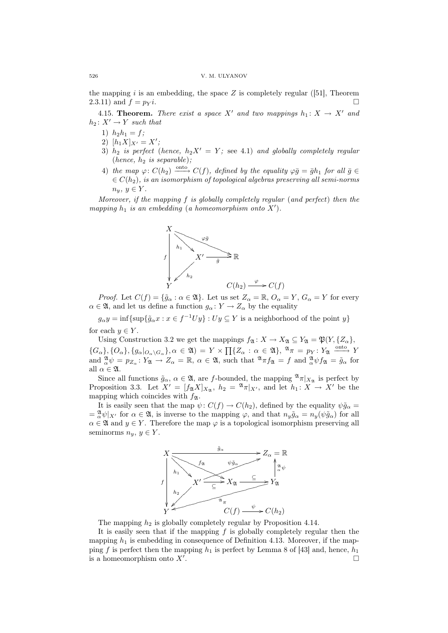the mapping  $i$  is an embedding, the space  $Z$  is completely regular ([51], Theorem 2.3.11) and  $f = p_Y i$ .

4.15. **Theorem.** There exist a space X' and two mappings  $h_1 : X \rightarrow X'$  and  $h_2 \colon X' \to Y$  such that

- 1)  $h_2h_1 = f$ ;
- 2)  $[h_1X]_{X'} = X';$
- 3)  $h_2$  is perfect (hence,  $h_2X' = Y$ ; see 4.1) and globally completely regular (hence,  $h_2$  is separable);
- 4) the map  $\varphi: C(h_2) \xrightarrow{\text{onto}} C(f)$ , defined by the equality  $\varphi \overline{g} = \overline{g} h_1$  for all  $\overline{g} \in$  $\epsilon \in C(h_2)$ , is an isomorphism of topological algebras preserving all semi-norms  $n_y, y \in Y$ .

Moreover, if the mapping f is globally completely regular (and perfect) then the mapping  $h_1$  is an embedding (a homeomorphism onto  $X'$ ).



*Proof.* Let  $C(f) = {\tilde{g}_{\alpha} : \alpha \in \mathfrak{A}}.$  Let us set  $Z_{\alpha} = \mathbb{R}, O_{\alpha} = Y, G_{\alpha} = Y$  for every  $\alpha \in \mathfrak{A}$ , and let us define a function  $g_{\alpha} \colon Y \to Z_{\alpha}$  by the equality

 $g_{\alpha}y = \inf \{ \sup \{ \tilde{g}_{\alpha}x : x \in f^{-1}Uy \} : Uy \subseteq Y \text{ is a neighborhood of the point } y \}$ for each  $y \in Y$ .

Using Construction 3.2 we get the mappings  $f_{\mathfrak{A}} : X \to X_{\mathfrak{A}} \subseteq Y_{\mathfrak{A}} = \mathfrak{P}(Y, \{Z_{\alpha}\},\)$  ${G_{\alpha}}$ ,  ${G_{\alpha}}$ ,  ${G_{\alpha}}$ ,  ${G_{\alpha}}$ ,  ${G_{\alpha}}$ ,  ${\alpha \in \mathfrak{A}}$  = Y  $\times$   $\prod {Z_{\alpha}} : \alpha \in \mathfrak{A}$ ,  $\mathfrak{A}_{\pi} = p_Y : Y_{\mathfrak{A}} \xrightarrow{\text{onto}} Y$ and  ${}^{\mathfrak{A}}_{\alpha}\psi = p_{Z_{\alpha}} \colon Y_{\mathfrak{A}} \to Z_{\alpha} = \mathbb{R}, \ \alpha \in \mathfrak{A}, \text{ such that } {}^{\mathfrak{A}}\pi f_{\mathfrak{A}} = f \text{ and } {}^{\mathfrak{A}}_{\alpha}\psi f_{\mathfrak{A}} = \tilde{g}_{\alpha} \text{ for }$ all  $\alpha \in \mathfrak{A}$ .

Since all functions  $\tilde{g}_{\alpha}, \alpha \in \mathfrak{A}$ , are f-bounded, the mapping  $\mathfrak{A}_{\pi}|_{X_{\mathfrak{A}}}$  is perfect by Proposition 3.3. Let  $X' = [f_{\mathfrak{A}}X]_{X_{\mathfrak{A}}}$ ,  $h_2 = {}^{\mathfrak{A}}\pi|_{X'}$ , and let  $h_1 : X \to X'$  be the mapping which coincides with  $f_{\mathfrak{A}}$ .

It is easily seen that the map  $\psi: C(f) \to C(h_2)$ , defined by the equality  $\psi \tilde{g}_{\alpha} =$  $=\frac{\mathfrak{A}}{\alpha}\psi|_{X'}$  for  $\alpha \in \mathfrak{A}$ , is inverse to the mapping  $\varphi$ , and that  $n_y\tilde{g}_{\alpha} = n_y(\psi\tilde{g}_{\alpha})$  for all  $\alpha \in \mathfrak{A}$  and  $y \in Y$ . Therefore the map  $\varphi$  is a topological isomorphism preserving all seminorms  $n_y, y \in Y$ .



The mapping  $h_2$  is globally completely regular by Proposition 4.14.

It is easily seen that if the mapping  $f$  is globally completely regular then the mapping  $h_1$  is embedding in consequence of Definition 4.13. Moreover, if the mapping f is perfect then the mapping  $h_1$  is perfect by Lemma 8 of [43] and, hence,  $h_1$ is a homeomorphism onto  $X'$ . . The contract of the contract of the contract of  $\Box$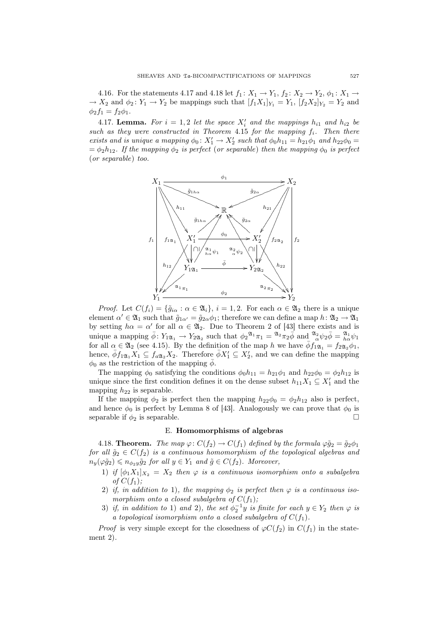4.16. For the statements 4.17 and 4.18 let  $f_1: X_1 \to Y_1$ ,  $f_2: X_2 \to Y_2$ ,  $\phi_1: X_1 \to Y_1$  $\rightarrow X_2$  and  $\phi_2: Y_1 \rightarrow Y_2$  be mappings such that  $[f_1X_1]_{Y_1} = Y_1$ ,  $[f_2X_2]_{Y_2} = Y_2$  and  $\phi_2 f_1 = f_2 \phi_1.$ 

4.17. **Lemma.** For  $i = 1, 2$  let the space  $X'_i$  and the mappings  $h_{i1}$  and  $h_{i2}$  be such as they were constructed in Theorem 4.15 for the mapping  $f_i$ . Then there exists and is unique a mapping  $\phi_0 \colon X'_1 \to X'_2$  such that  $\phi_0 h_{11} = h_{21} \phi_1$  and  $h_{22} \phi_0 =$  $=\phi_2h_{12}$ . If the mapping  $\phi_2$  is perfect (or separable) then the mapping  $\phi_0$  is perfect (or separable) too.



*Proof.* Let  $C(f_i) = {\tilde{g}_{i\alpha} : \alpha \in \mathfrak{A}_i}, i = 1, 2$ . For each  $\alpha \in \mathfrak{A}_2$  there is a unique element  $\alpha' \in \mathfrak{A}_1$  such that  $\tilde{g}_{1\alpha'} = \tilde{g}_{2\alpha}\phi_1$ ; therefore we can define a map  $h: \mathfrak{A}_2 \to \mathfrak{A}_1$ by setting  $h\alpha = \alpha'$  for all  $\alpha \in \mathfrak{A}_2$ . Due to Theorem 2 of [43] there exists and is unique a mapping  $\bar{\phi} \colon Y_{1\mathfrak{A}_1} \to Y_{2\mathfrak{A}_2}$  such that  $\phi_2^{\mathfrak{A}_1} \pi_1 = \mathfrak{A}_2 \pi_2 \bar{\phi}$  and  $\frac{\mathfrak{A}_2}{\alpha} \psi_2 \bar{\phi} = \frac{\mathfrak{A}_1}{h \alpha} \psi_1$ for all  $\alpha \in \mathfrak{A}_2$  (see 4.15). By the definition of the map h we have  $\bar{\phi} f_{1\mathfrak{A}_1}^{\alpha} = f_{2\mathfrak{A}_2}^{\alpha} \phi_1$ , hence,  $\overline{\phi} f_{1\mathfrak{A}_1} X_1 \subseteq f_{a\mathfrak{A}_2} X_2$ . Therefore  $\overline{\phi} X_1' \subseteq X_2'$ , and we can define the mapping  $\phi_0$  as the restriction of the mapping  $\bar{\phi}$ .

The mapping  $\phi_0$  satisfying the conditions  $\phi_0 h_{11} = h_{21} \phi_1$  and  $h_{22} \phi_0 = \phi_2 h_{12}$  is unique since the first condition defines it on the dense subset  $h_{11}X_1 \subseteq X'_1$  and the mapping  $h_{22}$  is separable.

If the mapping  $\phi_2$  is perfect then the mapping  $h_{22}\phi_0 = \phi_2 h_{12}$  also is perfect, and hence  $\phi_0$  is perfect by Lemma 8 of [43]. Analogously we can prove that  $\phi_0$  is separable if  $\phi_2$  is separable.  $\Box$ 

# E. Homomorphisms of algebras

4.18. **Theorem.** The map  $\varphi: C(f_2) \to C(f_1)$  defined by the formula  $\varphi \tilde{g}_2 = \tilde{g}_2 \phi_1$ for all  $\tilde{g}_2 \in C(f_2)$  is a continuous homomorphism of the topological algebras and  $n_y(\varphi \tilde{g}_2) \leqslant n_{\phi_2 y} \tilde{g}_2$  for all  $y \in Y_1$  and  $\tilde{g} \in C(f_2)$ . Moreover,

- 1) if  $[\phi_1 X_1]_{X_2} = X_2$  then  $\varphi$  is a continuous isomorphism onto a subalgebra of  $C(f_1)$ ;
- 2) if, in addition to 1), the mapping  $\phi_2$  is perfect then  $\varphi$  is a continuous isomorphism onto a closed subalgebra of  $C(f_1)$ ;
- 3) if, in addition to 1) and 2), the set  $\phi_2^{-1}y$  is finite for each  $y \in Y_2$  then  $\varphi$  is a topological isomorphism onto a closed subalgebra of  $C(f_1)$ .

*Proof* is very simple except for the closedness of  $\varphi C(f_2)$  in  $C(f_1)$  in the statement 2).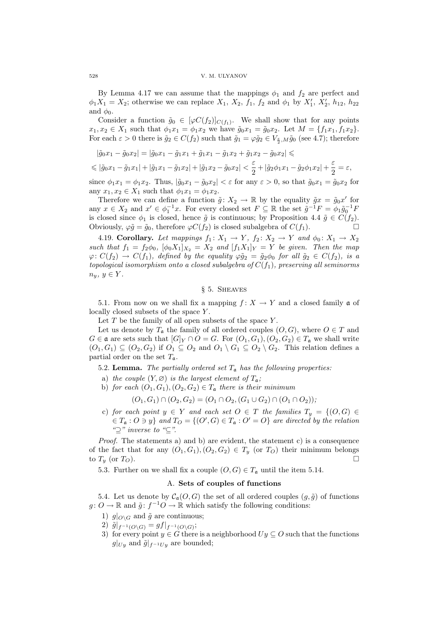By Lemma 4.17 we can assume that the mappings  $\phi_1$  and  $f_2$  are perfect and  $\phi_1 X_1 = X_2$ ; otherwise we can replace  $X_1, X_2, f_1, f_2$  and  $\phi_1$  by  $X'_1, X'_2, h_{12}, h_{22}$ and  $\phi_0$ .

Consider a function  $\tilde{g}_0 \in [\varphi C(f_2)]_{C(f_1)}$ . We shall show that for any points  $x_1, x_2 \in X_1$  such that  $\phi_1 x_1 = \phi_1 x_2$  we have  $\tilde{g}_0 x_1 = \tilde{g}_0 x_2$ . Let  $M = \{f_1 x_1, f_1 x_2\}$ . For each  $\varepsilon > 0$  there is  $\tilde{g}_2 \in C(f_2)$  such that  $\tilde{g}_1 = \varphi \tilde{g}_2 \in V_{\frac{\varepsilon}{2},M} \tilde{g}_0$  (see 4.7); therefore

$$
|\tilde{g}_0 x_1 - \tilde{g}_0 x_2| = |\tilde{g}_0 x_1 - \tilde{g}_1 x_1 + \tilde{g}_1 x_1 - \tilde{g}_1 x_2 + \tilde{g}_1 x_2 - \tilde{g}_0 x_2| \le
$$
  

$$
\le |\tilde{g}_0 x_1 - \tilde{g}_1 x_1| + |\tilde{g}_1 x_1 - \tilde{g}_1 x_2| + |\tilde{g}_1 x_2 - \tilde{g}_0 x_2| < \frac{\varepsilon}{2} + |\tilde{g}_2 \phi_1 x_1 - \tilde{g}_2 \phi_1 x_2| + \frac{\varepsilon}{2} = \varepsilon,
$$

since  $\phi_1 x_1 = \phi_1 x_2$ . Thus,  $|\tilde{g}_0 x_1 - \tilde{g}_0 x_2| < \varepsilon$  for any  $\varepsilon > 0$ , so that  $\tilde{g}_0 x_1 = \tilde{g}_0 x_2$  for any  $x_1, x_2 \in X_1$  such that  $\phi_1 x_1 = \phi_1 x_2$ .

Therefore we can define a function  $\tilde{g}: X_2 \to \mathbb{R}$  by the equality  $\tilde{g}x = \tilde{g}_0x'$  for any  $x \in X_2$  and  $x' \in \phi_1^{-1}x$ . For every closed set  $F \subseteq \mathbb{R}$  the set  $\tilde{g}^{-1}F = \phi_1 \tilde{g}_0^{-1}F$ is closed since  $\phi_1$  is closed, hence  $\tilde{g}$  is continuous; by Proposition 4.4  $\tilde{g} \in C(f_2)$ . Obviously,  $\varphi \tilde{g} = \tilde{g}_0$ , therefore  $\varphi C(f_2)$  is closed subalgebra of  $C(f_1)$ .

4.19. Corollary. Let mappings  $f_1: X_1 \to Y$ ,  $f_2: X_2 \to Y$  and  $\phi_0: X_1 \to X_2$ such that  $f_1 = f_2 \phi_0$ ,  $[\phi_0 X_1]_{X_2} = X_2$  and  $[f_1 X_1]_{Y} = Y$  be given. Then the map  $\varphi: C(f_2) \to C(f_1)$ , defined by the equality  $\varphi \tilde{g}_2 = \tilde{g}_2 \phi_0$  for all  $\tilde{g}_2 \in C(f_2)$ , is a topological isomorphism onto a closed subalgebra of  $C(f_1)$ , preserving all seminorms  $n_y, y \in Y$ .

# § 5. Sheaves

5.1. From now on we shall fix a mapping  $f: X \to Y$  and a closed family  $\mathfrak{a}$  of locally closed subsets of the space Y.

Let  $T$  be the family of all open subsets of the space  $Y$ .

Let us denote by  $T_a$  the family of all ordered couples  $(O, G)$ , where  $O \in T$  and  $G \in \mathfrak{a}$  are sets such that  $[G]_Y \cap O = G$ . For  $(O_1, G_1), (O_2, G_2) \in T_{\mathfrak{a}}$  we shall write  $(O_1, G_1) \subseteq (O_2, G_2)$  if  $O_1 \subseteq O_2$  and  $O_1 \setminus G_1 \subseteq O_2 \setminus G_2$ . This relation defines a partial order on the set  $T_a$ .

5.2. Lemma. The partially ordered set  $T_a$  has the following properties:

- a) the couple  $(Y, \varnothing)$  is the largest element of  $T_a$ ;
- b) for each  $(O_1, G_1), (O_2, G_2) \in T_a$  there is their minimum

 $(O_1, G_1) \cap (O_2, G_2) = (O_1 \cap O_2, (G_1 \cup G_2) \cap (O_1 \cap O_2));$ 

c) for each point  $y \in Y$  and each set  $O \in T$  the families  $T_y = \{ (O, G) \in$  $\in T_{\mathfrak{a}}: O \ni y$  and  $T_O = \{ (O', G) \in T_{\mathfrak{a}}: O' = O \}$  are directed by the relation " $\supset$ " inverse to " $\subseteq$ ".

*Proof.* The statements a) and b) are evident, the statement c) is a consequence of the fact that for any  $(O_1, G_1), (O_2, G_2) \in T_y$  (or  $T_O$ ) their minimum belongs to  $T_y$  (or  $T_O$ ).

5.3. Further on we shall fix a couple  $(O, G) \in T_a$  until the item 5.14.

# A. Sets of couples of functions

5.4. Let us denote by  $\mathcal{C}_{\mathfrak{a}}(O, G)$  the set of all ordered couples  $(g, \tilde{g})$  of functions  $g: O \to \mathbb{R}$  and  $\tilde{g}: f^{-1}O \to \mathbb{R}$  which satisfy the following conditions:

- 1)  $g|_{\mathcal{O}\backslash G}$  and  $\tilde{g}$  are continuous;
- 2)  $\tilde{g}|_{f^{-1}(O\setminus G)} = gf|_{f^{-1}(O\setminus G)};$
- 3) for every point  $y \in G$  there is a neighborhood  $Uy \subseteq O$  such that the functions  $g|_{U_y}$  and  $\tilde{g}|_{f^{-1}U_y}$  are bounded;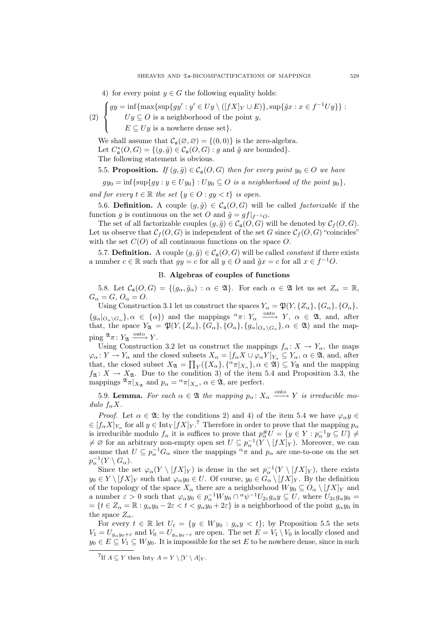4) for every point  $y \in G$  the following equality holds:

(2) 
$$
\begin{cases} gy = \inf \{ \max \{ \sup \{ gy' : y' \in Uy \setminus ([fX]_Y \cup E) \}, \sup \{ \tilde{g}x : x \in f^{-1}Uy \} \} : \\ Uy \subseteq O \text{ is a neighborhood of the point } y, \end{cases}
$$

 $E \subseteq Uy$  is a nowhere dense set}.

 $\mathbf{I}$ 

We shall assume that  $\mathcal{C}_{\mathfrak{a}}(\varnothing, \varnothing) = \{(0,0)\}\$ is the zero-algebra. Let  $C^*_{\mathfrak{a}}(O, G) = \{ (g, \tilde{g}) \in C_{\mathfrak{a}}(O, G) : g \text{ and } \tilde{g} \text{ are bounded} \}.$ The following statement is obvious.

5.5. Proposition. If  $(g, \tilde{g}) \in C_{\mathfrak{a}}(O, G)$  then for every point  $y_0 \in O$  we have

 $gy_0 = \inf \{ \sup \{ gy : y \in Uy_0 \} : Uy_0 \subseteq O \text{ is a neighborhood of the point } y_0 \},\$ 

and for every  $t \in \mathbb{R}$  the set  $\{y \in O : gy < t\}$  is open.

5.6. Definition. A couple  $(g, \tilde{g}) \in C_{\mathfrak{a}}(O, G)$  will be called *factorizable* if the function g is continuous on the set O and  $\tilde{g} = gf|_{f^{-1}O}$ .

The set of all factorizable couples  $(g, \tilde{g}) \in C_{\mathfrak{a}}(O, G)$  will be denoted by  $C_f(O, G)$ . Let us observe that  $C_f(O, G)$  is independent of the set G since  $C_f(O, G)$  "coincides" with the set  $C(O)$  of all continuous functions on the space  $O$ .

5.7. Definition. A couple  $(g, \tilde{g}) \in C_{\mathfrak{a}}(O, G)$  will be called *constant* if there exists a number  $c \in \mathbb{R}$  such that  $gy = c$  for all  $y \in O$  and  $\tilde{g}x = c$  for all  $x \in f^{-1}O$ .

# B. Algebras of couples of functions

5.8. Let  $\mathcal{C}_{\alpha}(O, G) = \{ (g_{\alpha}, \tilde{g}_{\alpha}) : \alpha \in \mathfrak{A} \}.$  For each  $\alpha \in \mathfrak{A}$  let us set  $Z_{\alpha} = \mathbb{R},$  $G_{\alpha}=G, O_{\alpha}=O.$ 

Using Construction 3.1 let us construct the spaces  $Y_{\alpha} = \mathfrak{P}(Y, \{Z_{\alpha}\}, \{G_{\alpha}\}, \{O_{\alpha}\},\$  ${g_{\alpha}|_{O_{\alpha}\backslash G_{\alpha}}}$ ,  $\alpha \in {\alpha}$  and the mappings  $\alpha \pi \colon Y_{\alpha} \longrightarrow Y$ ,  $\alpha \in \mathfrak{A}$ , and, after that, the space  $Y_{\mathfrak{A}} = \mathfrak{P}(Y, \{Z_{\alpha}\}, \{G_{\alpha}\}, \{O_{\alpha}\}, \{g_{\alpha}|_{O_{\alpha}\setminus G_{\alpha}}\}, \alpha \in \mathfrak{A})$  and the mapping  $\mathfrak{A}_{\pi} : Y_{\mathfrak{A}} \xrightarrow{\text{onto}} Y$ .

Using Construction 3.2 let us construct the mappings  $f_{\alpha}: X \to Y_{\alpha}$ , the maps  $\varphi_{\alpha} \colon Y \to Y_{\alpha}$  and the closed subsets  $X_{\alpha} = [f_{\alpha} X \cup \varphi_{\alpha} Y]_{Y_{\alpha}} \subseteq Y_{\alpha}, \alpha \in \mathfrak{A}$ , and, after that, the closed subset  $X_{\mathfrak{A}} = \prod_Y (\{X_\alpha\}, {\alpha \pi |_{X_\alpha}}\}, \alpha \in \mathfrak{A}) \subseteq Y_{\mathfrak{A}}$  and the mapping  $f_{\mathfrak{A}}: X \to X_{\mathfrak{A}}$ . Due to the condition 3) of the item 5.4 and Proposition 3.3, the mappings  $^{\mathfrak{A}} \pi|_{X_{\mathfrak{A}}}$  and  $p_{\alpha} = \alpha \pi|_{X_{\alpha}}, \alpha \in \mathfrak{A}$ , are perfect.

5.9. Lemma. For each  $\alpha \in \mathfrak{A}$  the mapping  $p_{\alpha} : X_{\alpha} \xrightarrow{\text{onto }} Y$  is irreducible modulo  $f_{\alpha}X$ .

*Proof.* Let  $\alpha \in \mathfrak{A}$ ; by the conditions 2) and 4) of the item 5.4 we have  $\varphi_{\alpha} y \in$  $\in [f_{\alpha}X]_{Y_{\alpha}}$  for all  $y \in \text{Int}_Y[fX]_Y$ .<sup>7</sup> Therefore in order to prove that the mapping  $p_{\alpha}$ is irreducible modulo  $f_{\alpha}$  it is suffices to prove that  $p_{\alpha}^{\#}U = \{y \in Y : p_{\alpha}^{-1}y \subseteq U\} \neq$  $\neq \emptyset$  for an arbitrary non-empty open set  $U \subseteq p_{\alpha}^{-1}(Y \setminus [fX]_Y)$ . Moreover, we can assume that  $U \subseteq p_{\alpha}^{-1}G_{\alpha}$  since the mappings  $^{\alpha}\pi$  and  $p_{\alpha}$  are one-to-one on the set  $p_{\alpha}^{-1}(Y \setminus G_{\alpha}).$ 

Since the set  $\varphi_\alpha(Y \setminus [fX]_Y)$  is dense in the set  $p_\alpha^{-1}(Y \setminus [fX]_Y)$ , there exists  $y_0 \in Y \setminus [fX]_Y$  such that  $\varphi_\alpha y_0 \in U$ . Of course,  $y_0 \in G_\alpha \setminus [fX]_Y$ . By the definition of the topology of the space  $X_\alpha$  there are a neighborhood  $W y_0 \subseteq O_\alpha \setminus [fX]_Y$  and a number  $\varepsilon > 0$  such that  $\varphi_{\alpha} y_0 \in p_{\alpha}^{-1} W y_0 \cap {\alpha} \psi^{-1} U_{2\varepsilon} g_{\alpha} y \subseteq U$ , where  $U_{2\varepsilon} g_{\alpha} y_0 =$  $=\{t\in Z_\alpha=\mathbb{R}: g_\alpha y_0-2\varepsilon < t < g_\alpha y_0+2\varepsilon\}$  is a neighborhood of the point  $g_\alpha y_0$  in the space  $Z_{\alpha}$ .

For every  $t \in \mathbb{R}$  let  $U_t = \{y \in Wy_0 : g_\alpha y < t\}$ ; by Proposition 5.5 the sets  $V_1 = U_{g_\alpha y_0 + \varepsilon}$  and  $V_0 = U_{g_\alpha y_0 - \varepsilon}$  are open. The set  $E = V_1 \setminus V_0$  is locally closed and  $y_0 \in E \subseteq V_1 \subseteq Wy_0$ . It is impossible for the set E to be nowhere dense, since in such

<sup>&</sup>lt;sup>7</sup>If  $A \subseteq Y$  then Int<sub>Y</sub>  $A = Y \setminus [Y \setminus A]_Y$ .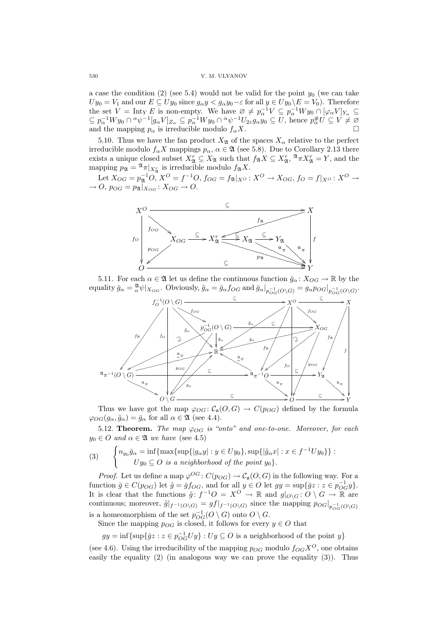a case the condition (2) (see 5.4) would not be valid for the point  $y_0$  (we can take  $Uy_0 = V_1$  and our  $E \subseteq Uy_0$  since  $g_{\alpha}y < g_{\alpha}y_0 - \varepsilon$  for all  $y \in Uy_0 \backslash E = V_0$ ). Therefore the set  $V = \text{Int}_Y E$  is non-empty. We have  $\varnothing \neq p_{\alpha}^{-1}V \subseteq p_{\alpha}^{-1}Wy_0 \cap [\varphi_{\alpha}V]_{Y_{\alpha}} \subseteq$  $\subseteq p_\alpha^{-1}Wy_0 \cap {}^{\alpha}\psi^{-1}[g_\alpha V]_{Z_\alpha} \subseteq p_\alpha^{-1}Wy_0 \cap {}^{\alpha}\psi^{-1}U_{2\varepsilon}g_\alpha y_0 \subseteq U$ , hence  $p_\alpha^{\#}U \subseteq V \neq \emptyset$ and the mapping  $p_{\alpha}$  is irreducible modulo  $f_{\alpha}X$ .

5.10. Thus we have the fan product  $X_{\mathfrak{A}}$  of the spaces  $X_{\alpha}$  relative to the perfect irreducible modulo  $f_{\alpha}X$  mappings  $p_{\alpha}, \alpha \in \mathfrak{A}$  (see 5.8). Due to Corollary 2.13 there exists a unique closed subset  $X_{\mathfrak{A}}^r \subseteq X_{\mathfrak{A}}$  such that  $f_{\mathfrak{A}}X \subseteq X_{\mathfrak{A}}^r$ ,  $\mathfrak{A}_{\mathcal{A}}X_{\mathfrak{A}}^r = Y$ , and the mapping  $p_{\mathfrak{A}} = \mathfrak{A}_{\pi|_{X_{\mathfrak{A}}^r}}$  is irreducible modulo  $f_{\mathfrak{A}}X$ .

Let  $X_{OG} = p_{\mathfrak{A}}^{-1}O, X^O = f^{-1}O, f_{OG} = f_{\mathfrak{A}}|_{X^O}: X^O \to X_{OG}, f_O = f|_{X^O}: X^O \to$  $\rightarrow O$ ,  $p_{OG} = p_{\mathfrak{A}}|_{X_{OG}}$ :  $X_{OG} \rightarrow O$ .



5.11. For each  $\alpha \in \mathfrak{A}$  let us define the continuous function  $\bar{g}_{\alpha} : X_{OG} \to \mathbb{R}$  by the equality  $\bar{g}_{\alpha} = \frac{\mathfrak{A}}{\alpha} \psi |_{X_{OG}}$ . Obviously,  $\tilde{g}_{\alpha} = \bar{g}_{\alpha} f_{OG}$  and  $\bar{g}_{\alpha} |_{p_{OG}^{-1}(O \setminus G)} = g_{\alpha} p_{OG} |_{p_{OG}^{-1}(O \setminus G)}$ .



Thus we have got the map  $\varphi_{OG} : C_{\mathfrak{a}}(O, G) \to C(p_{OG})$  defined by the formula  $\varphi_{OG}(g_{\alpha}, \tilde{g}_{\alpha}) = \bar{g}_{\alpha}$  for all  $\alpha \in \mathfrak{A}$  (see 4.4).

5.12. Theorem. The map  $\varphi_{OG}$  is "onto" and one-to-one. Moreover, for each  $y_0 \in O$  and  $\alpha \in \mathfrak{A}$  we have (see 4.5)

(3) 
$$
\begin{cases} n_{y_0}\bar{g}_{\alpha} = \inf \{ \max \{ \sup\{ |g_{\alpha}y| : y \in Uy_0 \}, \sup\{ |\tilde{g}_{\alpha}x| : x \in f^{-1}Uy_0 \} \} : \\ Uy_0 \subseteq O \text{ is a neighborhood of the point } y_0 \}. \end{cases}
$$

*Proof.* Let us define a map  $\varphi^{OG}$ :  $C(p_{OG}) \to C_{\mathfrak{a}}(O, G)$  in the following way. For a function  $\bar{g} \in C(p_{OG})$  let  $\tilde{g} = \bar{g}f_{OG}$ , and for all  $y \in O$  let  $gy = \sup\{\bar{g}z : z \in p_{OG}^{-1}y\}.$ It is clear that the functions  $\tilde{g}: f^{-1}O = X^O \to \mathbb{R}$  and  $g|_{O\setminus G}: O\setminus G \to \mathbb{R}$  are continuous; moreover,  $\tilde{g}|_{f^{-1}(O\setminus G)} = gf|_{f^{-1}(O\setminus G)}$  since the mapping  $p_{OG}|_{p_{OG}^{-1}(O\setminus G)}$ is a homeomorphism of the set  $p_{OG}^{-1}(O \setminus G)$  onto  $O \setminus G$ .

Since the mapping  $p_{OG}$  is closed, it follows for every  $y \in O$  that

 $gy = \inf \{ \sup \{ \bar{g}z : z \in p_{OG}^{-1}Uy \} : Uy \subseteq O \text{ is a neighborhood of the point } y \}$ 

(see 4.6). Using the irreducibility of the mapping  $p_{OG}$  modulo  $f_{OG}X^O$ , one obtains easily the equality  $(2)$  (in analogous way we can prove the equality  $(3)$ ). Thus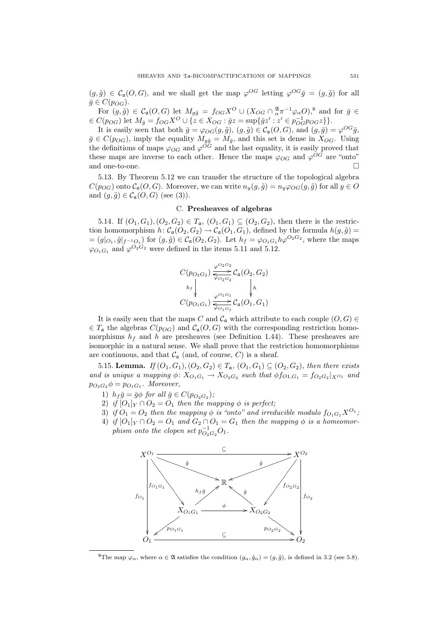$(g,\tilde{g}) \in C_{\mathfrak{a}}(O, G)$ , and we shall get the map  $\varphi^{OG}$  letting  $\varphi^{OG}\bar{g} = (g,\tilde{g})$  for all  $\bar{g} \in C(p_{OG}).$ 

For  $(g, \tilde{g}) \in \mathcal{C}_{\mathfrak{a}}(O, G)$  let  $M_{g\tilde{g}} = f_{OG} X^O \cup (X_{OG} \cap \frac{\mathfrak{A}}{\alpha} \pi^{-1} \varphi_\alpha O)^8$  and for  $\bar{g} \in$  $\in C(p_{OG})$  let  $M_{\bar{g}} = f_{OG} X^O \cup \{z \in X_{OG} : \bar{g}z = \sup\{\bar{g}z' : z' \in p_{OG}^{-1}p_{OG}z\}\}.$ 

It is easily seen that both  $\bar{g} = \varphi_{OG}(g, \tilde{g}), (g, \tilde{g}) \in C_{\mathfrak{a}}(O, G),$  and  $(g, \bar{g}) = \varphi^{OG}\bar{g},$  $\bar{g} \in C(p_{OG}),$  imply the equality  $M_{g\tilde{g}} = M_{\bar{g}},$  and this set is dense in  $X_{OG}$ . Using the definitions of maps  $\varphi_{OG}$  and  $\varphi^{OG}$  and the last equality, it is easily proved that these maps are inverse to each other. Hence the maps  $\varphi_{OG}$  and  $\varphi^{OG}$  are "onto" and one-to-one.  $\Box$ 

5.13. By Theorem 5.12 we can transfer the structure of the topological algebra  $C(p_{OG})$  onto  $C_a(O, G)$ . Moreover, we can write  $n_y(g, \tilde{g}) = n_y \varphi_{OG}(g, \tilde{g})$  for all  $y \in O$ and  $(g, \tilde{g}) \in C_{\mathfrak{a}}(O, G)$  (see (3)).

# C. Presheaves of algebras

5.14. If  $(O_1, G_1), (O_2, G_2) \in T_a$ ,  $(O_1, G_1) \subseteq (O_2, G_2)$ , then there is the restriction homomorphism  $h: C_{\mathfrak{a}}(O_2, G_2) \to C_{\mathfrak{a}}(O_1, G_1)$ , defined by the formula  $h(g, \tilde{g}) =$  $=(g|_{O_1}, \tilde{g}|_{f^{-1}O_1})$  for  $(g, \tilde{g}) \in C_{\mathfrak{a}}(O_2, G_2)$ . Let  $h_f = \varphi_{O_1G_1} h\varphi^{O_2G_2}$ , where the maps  $\varphi_{O_1G_1}$  and  $\varphi^{O_2G_2}$  were defined in the items 5.11 and 5.12.

$$
C(p_{O_2G_2}) \frac{\varphi^{O_2G_2}}{\overline{\varphi_{O_2G_2}}}\mathcal{C}_{\mathfrak{a}}(O_2, G_2)
$$
  
\n
$$
h_f \downarrow \qquad \qquad h \downarrow
$$
  
\n
$$
C(p_{O_1G_1}) \frac{\varphi^{O_1G_1}}{\overline{\varphi_{O_1G_1}}}\mathcal{C}_{\mathfrak{a}}(O_1, G_1)
$$

It is easily seen that the maps C and  $\mathcal{C}_{\mathfrak{a}}$  which attribute to each couple  $(O, G) \in$  $\in T_a$  the algebras  $C(p_{OG})$  and  $C_a(O, G)$  with the corresponding restriction homomorphisms  $h_f$  and h are presheaves (see Definition 1.44). These presheaves are isomorphic in a natural sense. We shall prove that the restriction homomorphisms are continuous, and that  $\mathcal{C}_{\alpha}$  (and, of course, C) is a sheaf.

5.15. Lemma. If  $(O_1, G_1), (O_2, G_2) \in T_a$ ,  $(O_1, G_1) \subseteq (O_2, G_2)$ , then there exists and is unique a mapping  $\phi \colon X_{O_1G_1} \to X_{O_2G_2}$  such that  $\phi f_{O_1,G_1} = f_{O_2G_2}|_{X^{O_1}}$  and  $p_{O_2G_2}\phi = p_{O_1G_1}$ . Moreover,

- 1)  $h_f \bar{g} = \bar{g} \phi$  for all  $\bar{g} \in C(p_{O_2G_2});$
- 2) if  $[O_1]_Y \cap O_2 = O_1$  then the mapping  $\phi$  is perfect;
- 3) if  $O_1 = O_2$  then the mapping  $\phi$  is "onto" and irreducible modulo  $f_{O_1G_1}X^{O_1}$ ;
- 4) if  $[O_1]_Y \cap O_2 = O_1$  and  $G_2 \cap O_1 = G_1$  then the mapping  $\phi$  is a homeomorphism onto the clopen set  $p_{O_2G_2}^{-1}O_1$ .



<sup>8</sup>The map  $\varphi_{\alpha}$ , where  $\alpha \in \mathfrak{A}$  satisfies the condition  $(g_{\alpha}, \tilde{g}_{\alpha}) = (g, \tilde{g})$ , is defined in 3.2 (see 5.8).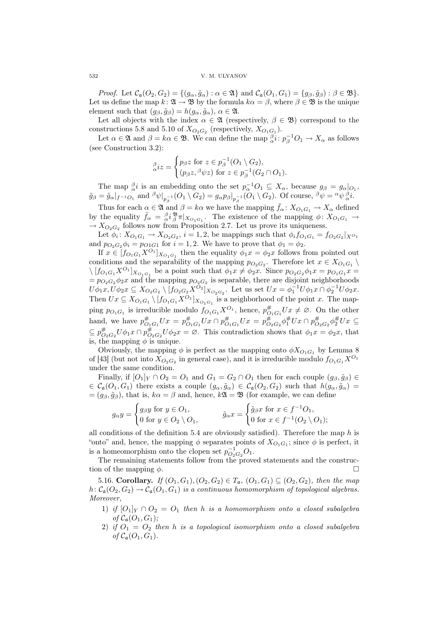*Proof.* Let  $C_{\mathfrak{a}}(O_2, G_2) = \{(g_\alpha, \tilde{g}_\alpha) : \alpha \in \mathfrak{A}\}\$ and  $C_{\mathfrak{a}}(O_1, G_1) = \{g_\beta, \tilde{g}_\beta) : \beta \in \mathfrak{B}\}.$ Let us define the map  $k: \mathfrak{A} \to \mathfrak{B}$  by the formula  $k\alpha = \beta$ , where  $\beta \in \mathfrak{B}$  is the unique element such that  $(g_{\beta}, \tilde{g}_{\beta}) = h(g_{\alpha}, \tilde{g}_{\alpha}), \alpha \in \mathfrak{A}.$ 

Let all objects with the index  $\alpha \in \mathfrak{A}$  (respectively,  $\beta \in \mathfrak{B}$ ) correspond to the constructions 5.8 and 5.10 of  $X_{O_2G_2}$  (respectively,  $X_{O_1G_1}$ ).

Let  $\alpha \in \mathfrak{A}$  and  $\beta = k\alpha \in \mathfrak{B}$ . We can define the map  $\beta_i : p_\beta^{-1}O_1 \to X_\alpha$  as follows (see Construction 3.2):  $\overline{a}$ 

$$
\underset{\alpha}{\beta}iz = \begin{cases} p_{\beta}z \text{ for } z \in p_{\beta}^{-1}(O_1 \setminus G_2), \\ (p_{\beta}z, {}^{\beta}\psi z) \text{ for } z \in p_{\beta}^{-1}(G_2 \cap O_1). \end{cases}
$$

The map  $\frac{\beta}{\alpha}i$  is an embedding onto the set  $p_{\alpha}^{-1}O_1 \subseteq X_{\alpha}$ , because  $g_{\beta} = g_{\alpha}|_{O_1}$ ,  $\tilde{g}_{\beta} = \tilde{g}_{\alpha}|_{f^{-1}O_1}$  and  $\frac{\beta \psi|_{p_{\beta}^{-1}}(O_1 \setminus G_2) = g_{\alpha}p_{\beta}|_{p_{\beta}^{-1}}(O_1 \setminus G_2)$ . Of course,  $\frac{\beta \psi}{\psi} = \alpha \psi_{\alpha}^{\beta}i$ .

Thus for each  $\alpha \in \mathfrak{A}$  and  $\beta = k\alpha$  we have the mapping  $\bar{f}_{\alpha} : X_{O_1G_1} \to X_{\alpha}$  defined by the equality  $\bar{f}_{\alpha} = \frac{\beta_i}{\alpha} \frac{\mathfrak{B}}{\beta} \pi |_{X_{O_1 G_1}}$ . The existence of the mapping  $\phi \colon X_{O_1 G_1} \to$  $\rightarrow X_{O_2G_2}$  follows now from Proposition 2.7. Let us prove its uniqueness.

Let  $\phi_i \colon X_{O_1G_1} \to X_{O_2G_2}$ ,  $i = 1, 2$ , be mappings such that  $\phi_i f_{O_1G_1} = f_{O_2G_2}|_{X^{O_1}}$ and  $p_{O_2G_2}\phi_i = p_{O1G1}$  for  $i = 1, 2$ . We have to prove that  $\phi_1 = \phi_2$ .

If  $x \in [f_{O_1G_1}X^{O_1}]_{X_{O_1G_1}}$  then the equality  $\phi_1x = \phi_2x$  follows from pointed out conditions and the separability of the mapping  $p_{O_2G_2}$ . Therefore let  $x \in X_{O_1G_1} \setminus$  $\langle [f_{O_1G_1}X^{O_1}]_{X_{O_1G_1}}\rangle$  be a point such that  $\phi_1x \neq \phi_2x$ . Since  $p_{O_2G_2}\phi_1x = p_{O_1G_1}x =$  $= p_{O_2G_2} \phi_2 x$  and the mapping  $p_{O_2G_2}$  is separable, there are disjoint neighborhoods  $U\phi_1 x, U\phi_2 x \subseteq X_{O_2G_2} \setminus [f_{O_2G_2} X^{\bar{O}_2}]_{X_{O_2G_2}}$ . Let us set  $Ux = \phi_1^{-1} U\phi_1 x \cap \phi_2^{-1} U\phi_2 x$ . Then  $Ux \subseteq X_{O_1G_1} \setminus [f_{O_1G_1}X^{O_1}]_{X_{O_1G_1}}$  is a neighborhood of the point x. The mapping  $p_{O_1G_1}$  is irreducible modulo  $f_{O_1G_1}X^{O_1}$ , hence,  $p_{O_1G_1}^{\#}Ux \neq \emptyset$ . On the other hand, we have  $p_{O_1G_1}^{\#}Ux = p_{O_1G_1}^{\#}Ux \cap p_{O_1G_1}^{\#}Ux = p_{O_2G_2}^{\#}\phi_1^{\#}Ux \cap p_{O_2G_2}^{\#}\phi_2^{\#}Ux \subseteq$  $\subseteq p_{O_2G_2}^{\#}U\phi_1x \cap p_{O_2G_2}^{\#}U\phi_2x = \varnothing$ . This contradiction shows that  $\phi_1x = \phi_2x$ , that is, the mapping  $\phi$  is unique.

Obviously, the mapping  $\phi$  is perfect as the mapping onto  $\phi X_{O_1G_1}$  by Lemma 8 of [43] (but not into  $X_{O_2G_2}$  in general case), and it is irreducible modulo  $f_{O_1G_1}X^{O_1}$ under the same condition.

Finally, if  $[O_1]_Y \cap O_2 = O_1$  and  $G_1 = G_2 \cap O_1$  then for each couple  $(g_\beta, \tilde{g}_\beta) \in$  $\in \mathcal{C}_{\mathfrak{a}}(O_1, G_1)$  there exists a couple  $(g_\alpha, \tilde{g}_\alpha) \in \mathcal{C}_{\mathfrak{a}}(O_2, G_2)$  such that  $h(g_\alpha, \tilde{g}_\alpha)$  $=(g_{\beta}, \tilde{g}_{\beta})$ , that is,  $k\alpha = \beta$  and, hence,  $k\mathfrak{A} = \mathfrak{B}$  (for example, we can define

$$
g_{\alpha}y = \begin{cases} g_{\beta}y \text{ for } y \in O_1, \\ 0 \text{ for } y \in O_2 \setminus O_1, \end{cases} \qquad \tilde{g}_{\alpha}x = \begin{cases} \tilde{g}_{\beta}x \text{ for } x \in f^{-1}O_1, \\ 0 \text{ for } x \in f^{-1}(O_2 \setminus O_1); \end{cases}
$$

all conditions of the definition 5.4 are obviously satisfied). Therefore the map  $h$  is "onto" and, hence, the mapping  $\phi$  separates points of  $X_{O_1G_1}$ ; since  $\phi$  is perfect, it is a homeomorphism onto the clopen set  $p_{O_2G_2}^{-1}O_1$ .

The remaining statements follow from the proved statements and the construction of the mapping  $\phi$ .

5.16. Corollary. If  $(O_1, G_1), (O_2, G_2) \in T_a$ ,  $(O_1, G_1) \subseteq (O_2, G_2)$ , then the map  $h: \mathcal{C}_{\mathfrak{a}}(O_2, G_2) \to \mathcal{C}_{\mathfrak{a}}(O_1, G_1)$  is a continuous homomorphism of topological algebras. Moreover,

- 1) if  $[O_1]_Y \cap O_2 = O_1$  then h is a homomorphism onto a closed subalgebra of  $C_{\alpha}(O_1, G_1)$ ;
- 2) if  $O_1 = O_2$  then h is a topological isomorphism onto a closed subalgebra of  $C_{\mathfrak{a}}(O_1, G_1)$ .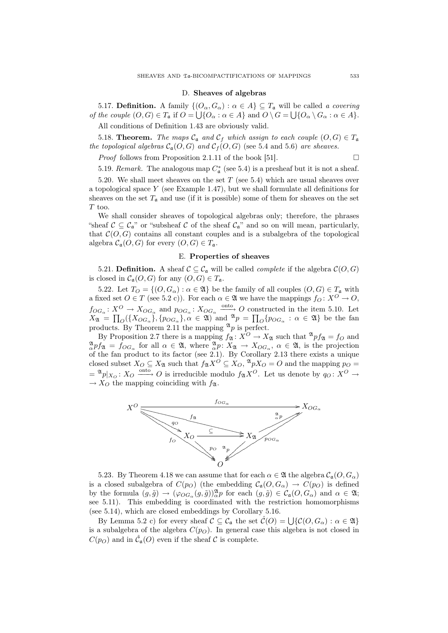#### D. Sheaves of algebras

5.17. **Definition.** A family  $\{ (O_{\alpha}, G_{\alpha}) : \alpha \in A \} \subseteq T_a$  will be called a covering of the couple  $(O, G) \in T_a$  if  $O = \bigcup \{O_\alpha : \alpha \in A\}$  and  $O \setminus G = \bigcup \{O_\alpha \setminus G_\alpha : \alpha \in A\}.$ 

All conditions of Definition 1.43 are obviously valid.

5.18. **Theorem.** The maps  $C_a$  and  $C_f$  which assign to each couple  $(O, G) \in T_a$ the topological algebras  $C_{\mathfrak{a}}(O, G)$  and  $C_f(O, G)$  (see 5.4 and 5.6) are sheaves.

*Proof* follows from Proposition 2.1.11 of the book [51].  $\Box$ 

5.19. Remark. The analogous map  $C^*_{\mathfrak{a}}$  (see 5.4) is a presheaf but it is not a sheaf.

5.20. We shall meet sheaves on the set  $T$  (see 5.4) which are usual sheaves over a topological space Y (see Example 1.47), but we shall formulate all definitions for sheaves on the set  $T_a$  and use (if it is possible) some of them for sheaves on the set  ${\cal T}$  too.

We shall consider sheaves of topological algebras only; therefore, the phrases "sheaf  $\mathcal{C} \subseteq \mathcal{C}_{\mathfrak{a}}$ " or "subsheaf  $\mathcal{C}$  of the sheaf  $\mathcal{C}_{\mathfrak{a}}$ " and so on will mean, particularly, that  $\mathcal{C}(O, G)$  contains all constant couples and is a subalgebra of the topological algebra  $\mathcal{C}_{\mathfrak{a}}(O, G)$  for every  $(O, G) \in T_{\mathfrak{a}}$ .

# E. Properties of sheaves

5.21. **Definition.** A sheaf  $C \subseteq C_a$  will be called *complete* if the algebra  $C(O, G)$ is closed in  $\mathcal{C}_{\mathfrak{a}}(O, G)$  for any  $(O, G) \in T_{\mathfrak{a}}$ .

5.22. Let  $T_O = \{(O, G_\alpha) : \alpha \in \mathfrak{A}\}\)$  be the family of all couples  $(O, G) \in T_\mathfrak{a}$  with a fixed set  $O \in T$  (see 5.2 c)). For each  $\alpha \in \mathfrak{A}$  we have the mappings  $f_O: X^O \to O$ ,  $f_{OG_\alpha}: X^O \to X_{OG_\alpha}$  and  $p_{OG_\alpha}: X_{OG_\alpha} \xrightarrow{\text{onto}} O$  constructed in the item 5.10. Let  $X_{\mathfrak{A}} = \prod_{O} (\{X_{OG_{\alpha}}\}, \{p_{OG_{\alpha}}\}, \alpha \in \mathfrak{A})$  and  $\mathfrak{A}_p = \prod_{O} \{p_{OG_{\alpha}} : \alpha \in \mathfrak{A}\}\$ be the fan products. By Theorem 2.11 the mapping  $\mathfrak{A}_p$  is perfect.

By Proposition 2.7 there is a mapping  $f_{\mathfrak{A}} : X^{\mathcal{O}} \to X_{\mathfrak{A}}$  such that  $^{\mathfrak{A}} p f_{\mathfrak{A}} = f_{\mathcal{O}}$  and  ${}^{\mathfrak{A}}_{\alpha} p f_{\mathfrak{A}} = f_{OG_{\alpha}}$  for all  $\alpha \in \mathfrak{A}$ , where  ${}^{\mathfrak{A}}_{\alpha} p: X_{\mathfrak{A}} \to X_{OG_{\alpha}}$ ,  $\alpha \in \mathfrak{A}$ , is the projection of the fan product to its factor (see 2.1). By Corollary 2.13 there exists a unique closed subset  $X_O \subseteq X_{\mathfrak{A}}$  such that  $f_{\mathfrak{A}}X^O \subseteq X_O$ ,  ${}^{\mathfrak{A}}pX_O = O$  and the mapping  $p_O =$  $=\frac{\mathfrak{A}_p}{X_O}$ :  $X_O \xrightarrow{\text{onto}} O$  is irreducible modulo  $f_{\mathfrak{A}}X^O$ . Let us denote by  $q_O: X^O \to$  $\rightarrow X_O$  the mapping coinciding with  $f_{\mathfrak{A}}$ .



5.23. By Theorem 4.18 we can assume that for each  $\alpha \in \mathfrak{A}$  the algebra  $\mathcal{C}_{\alpha}(O, G_{\alpha})$ is a closed subalgebra of  $C(p<sub>O</sub>)$  (the embedding  $C_{\mathfrak{a}}(O, G_{\alpha}) \to C(p<sub>O</sub>)$ ) is defined by the formula  $(g, \tilde{g}) \to (\varphi_{OG_\alpha}(g, \tilde{g}))_\alpha^{\mathfrak{A}} p$  for each  $(g, \tilde{g}) \in \mathcal{C}_\mathfrak{a}(O, G_\alpha)$  and  $\alpha \in \mathfrak{A};$ see 5.11). This embedding is coordinated with the restriction homomorphisms (see 5.14), which are closed embeddings by Corollary 5.16.

By Lemma 5.2 c) for every sheaf  $\mathcal{C} \subseteq \mathcal{C}_{\alpha}$  the set  $\hat{\mathcal{C}}(O) = \bigcup \{ \mathcal{C}(O, G_{\alpha}) : \alpha \in \mathfrak{A} \}$ is a subalgebra of the algebra  $C(p<sub>O</sub>)$ . In general case this algebra is not closed in  $C(p<sub>O</sub>)$  and in  $\hat{\mathcal{C}}_{\mathfrak{a}}(O)$  even if the sheaf  $\mathcal C$  is complete.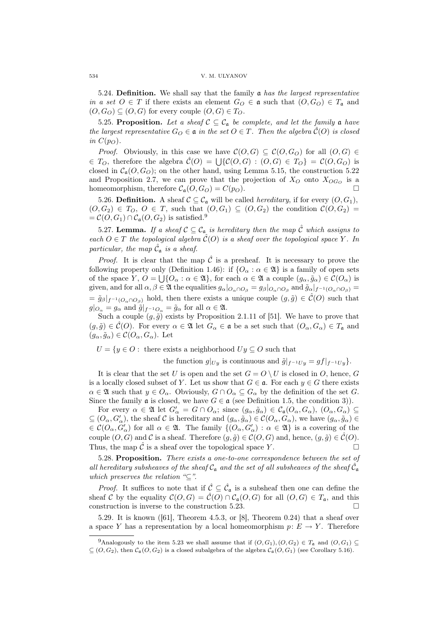5.24. Definition. We shall say that the family  $a$  has the largest representative in a set  $O \in T$  if there exists an element  $G_O \in \mathfrak{a}$  such that  $(O, G_O) \in T_{\mathfrak{a}}$  and  $(O, G_O) \subseteq (O, G)$  for every couple  $(O, G) \in T_O$ .

5.25. Proposition. Let a sheaf  $C \subseteq C_{\mathfrak{a}}$  be complete, and let the family  $\mathfrak{a}$  have the largest representative  $G_O \in \mathfrak{a}$  in the set  $O \in T$ . Then the algebra  $\hat{\mathcal{C}}(O)$  is closed in  $C(p<sub>O</sub>)$ .

*Proof.* Obviously, in this case we have  $\mathcal{C}(O, G) \subseteq \mathcal{C}(O, G_0)$  for all  $(O, G) \in$ Froot CO TO TO THE TOWARD THE EXECUTE TO THE CONSTRAINED  $\mathcal{C}(O, G) \subseteq \mathcal{C}(O, G)$  for all  $(\mathcal{C}, G) \in T_O$ <br> $\in T_O$ , therefore the algebra  $\hat{\mathcal{C}}(O) = \bigcup \{ \mathcal{C}(O, G) : (O, G) \in T_O \} = \mathcal{C}(O, G_O)$  is closed in  $C_{\mathfrak{a}}(O, G_O)$ ; on the other hand, using Lemma 5.15, the construction 5.22 and Proposition 2.7, we can prove that the projection of  $X_O$  onto  $X_{OG_O}$  is a homeomorphism, therefore  $C_{\mathfrak{a}}(O, G_O) = C(p_O)$ .

5.26. Definition. A sheaf  $C \subseteq C_{\mathfrak{a}}$  will be called *hereditary*, if for every  $(O, G_1)$ ,  $(0, G_2) \in T_0, O \in T$ , such that  $(0, G_1) \subseteq (0, G_2)$  the condition  $\mathcal{C}(0, G_2)$  $=\mathcal{C}(O, G_1) \cap \mathcal{C}_{\mathfrak{a}}(O, G_2)$  is satisfied.<sup>9</sup>

5.27. Lemma. If a sheaf  $C \subseteq C_{\mathfrak{a}}$  is hereditary then the map  $\tilde{C}$  which assigns to each  $O \in T$  the topological algebra  $\mathcal{C}(O)$  is a sheaf over the topological space Y. In particular, the map  $\hat{\mathcal{C}}_{\mathfrak{a}}$  is a sheaf.

*Proof.* It is clear that the map  $\hat{\mathcal{C}}$  is a presheaf. It is necessary to prove the following property only (Definition 1.46): if  $\{O_\alpha : \alpha \in \mathfrak{A}\}\)$  is a family of open sets of the space  $Y, O = \bigcup \{O_\alpha : \alpha \in \mathfrak{A}\}\)$ , for each  $\alpha \in \mathfrak{A}$  a couple  $(g_\alpha, \tilde{g}_\alpha) \in \mathcal{C}(O_\alpha)$  is given, and for all  $\alpha, \beta \in \mathfrak{A}$  the equalities  $g_{\alpha}|_{O_{\alpha} \cap O_{\beta}} = g_{\beta}|_{O_{\alpha} \cap O_{\beta}}$  and  $\tilde{g}_{\alpha}|_{f^{-1}(O_{\alpha} \cap O_{\beta})} =$  $= \tilde{g}_{\beta}|_{f^{-1}(O_{\alpha} \cap O_{\beta})}$  hold, then there exists a unique couple  $(g, \tilde{g}) \in \mathcal{C}(O)$  such that  $g|_{O_{\alpha}} = g_{\alpha}$  and  $\tilde{g}|_{f^{-1}O_{\alpha}} = \tilde{g}_{\alpha}$  for all  $\alpha \in \mathfrak{A}$ .

Such a couple  $(g, \tilde{g})$  exists by Proposition 2.1.11 of [51]. We have to prove that  $(g, \tilde{g}) \in \hat{\mathcal{C}}(O)$ . For every  $\alpha \in \mathfrak{A}$  let  $G_{\alpha} \in \mathfrak{a}$  be a set such that  $(O_{\alpha}, G_{\alpha}) \in T_{\mathfrak{a}}$  and  $(g_{\alpha}, \tilde{g}_{\alpha}) \in \mathcal{C}(O_{\alpha}, G_{\alpha}).$  Let

 $U = \{y \in O : \text{ there exists a neighborhood } Uy \subseteq O \text{ such that }\}$ 

the function  $g|_{U_y}$  is continuous and  $\tilde{g}|_{f^{-1}U_y} = gf|_{f^{-1}U_y}$ .

It is clear that the set U is open and the set  $G = O \setminus U$  is closed in O, hence, G is a locally closed subset of Y. Let us show that  $G \in \mathfrak{a}$ . For each  $y \in G$  there exists  $\alpha \in \mathfrak{A}$  such that  $y \in O_\alpha$ . Obviously,  $G \cap O_\alpha \subseteq G_\alpha$  by the definition of the set G. Since the family  $\mathfrak a$  is closed, we have  $G \in \mathfrak a$  (see Definition 1.5, the condition 3)).

For every  $\alpha \in \mathfrak{A}$  let  $G'_{\alpha} = G \cap O_{\alpha}$ ; since  $(g_{\alpha}, \tilde{g}_{\alpha}) \in C_{\mathfrak{a}}(O_{\alpha}, G_{\alpha})$ ,  $(O_{\alpha}, G_{\alpha}) \subseteq$  $\subseteq$   $(O_\alpha, G'_\alpha)$ , the sheaf C is hereditary and  $(g_\alpha, \tilde{g}_\alpha) \in C(O_\alpha, G_\alpha)$ , we have  $(g_\alpha, \tilde{g}_\alpha) \in$  $\in \mathcal{C}(O_\alpha, G'_\alpha)$  for all  $\alpha \in \mathfrak{A}$ . The family  $\{(O_\alpha, G'_\alpha) : \alpha \in \mathfrak{A}\}\)$  is a covering of the couple  $(O, G)$  and C is a sheaf. Therefore  $(g, \tilde{g}) \in C(O, G)$  and, hence,  $(g, \tilde{g}) \in \mathcal{C}(O)$ . Thus, the map  $\hat{\mathcal{C}}$  is a sheaf over the topological space Y.

5.28. Proposition. There exists a one-to-one correspondence between the set of all hereditary subsheaves of the sheaf  $C_a$  and the set of all subsheaves of the sheaf  $\tilde{C}_a$ which preserves the relation " $\subseteq$ ".

*Proof.* It suffices to note that if  $\hat{\mathcal{C}} \subseteq \hat{\mathcal{C}}_a$  is a subsheaf then one can define the sheaf C by the equality  $C(O, G) = \hat{C}(O) \cap C_{\mathfrak{a}}(O, G)$  for all  $(O, G) \in T_{\mathfrak{a}}$ , and this construction is inverse to the construction 5.23.  $\Box$ 

5.29. It is known ([61], Theorem 4.5.3, or [8], Theorem 0.24) that a sheaf over a space Y has a representation by a local homeomorphism  $p: E \to Y$ . Therefore

<sup>9</sup>Analogously to the item 5.23 we shall assume that if  $(O, G_1), (O, G_2) \in T_a$  and  $(O, G_1) \subset$  $\subseteq$   $(O, G_2)$ , then  $\mathcal{C}_{\mathfrak{a}}(O, G_2)$  is a closed subalgebra of the algebra  $\mathcal{C}_{\mathfrak{a}}(O, G_1)$  (see Corollary 5.16).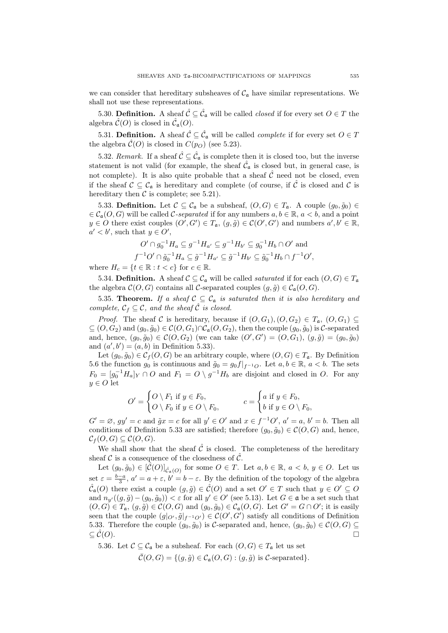we can consider that hereditary subsheaves of  $C_{\mathfrak{a}}$  have similar representations. We shall not use these representations.

5.30. **Definition.** A sheaf  $\hat{\mathcal{C}} \subseteq \hat{\mathcal{C}}_a$  will be called *closed* if for every set  $O \in T$  the algebra  $\hat{\mathcal{C}}(O)$  is closed in  $\hat{\mathcal{C}}_{\mathfrak{a}}(O)$ .

5.31. Definition. A sheaf  $\hat{\mathcal{C}} \subseteq \hat{\mathcal{C}}_a$  will be called *complete* if for every set  $O \in \mathcal{T}$ the algebra  $\hat{\mathcal{C}}(O)$  is closed in  $C(p_O)$  (see 5.23).

5.32. Remark. If a sheaf  $\hat{\mathcal{C}} \subseteq \hat{\mathcal{C}}_a$  is complete then it is closed too, but the inverse statement is not valid (for example, the sheaf  $\hat{\mathcal{C}}_{\mathfrak{a}}$  is closed but, in general case, is not complete). It is also quite probable that a sheaf  $\hat{\mathcal{C}}$  need not be closed, even if the sheaf  $C \subseteq C_{\mathfrak{a}}$  is hereditary and complete (of course, if  $\tilde{C}$  is closed and  $C$  is hereditary then  $\mathcal C$  is complete; see 5.21).

5.33. **Definition.** Let  $\mathcal{C} \subseteq \mathcal{C}_{\mathfrak{a}}$  be a subsheaf,  $(O, G) \in T_{\mathfrak{a}}$ . A couple  $(g_0, \tilde{g}_0) \in$  $\in \mathcal{C}_{\mathfrak{a}}(O, G)$  will be called C-separated if for any numbers  $a, b \in \mathbb{R}$ ,  $a < b$ , and a point  $y \in O$  there exist couples  $(O', G') \in T_a$ ,  $(g, \tilde{g}) \in C(O', G')$  and numbers  $a', b' \in \mathbb{R}$ ,  $a' < b'$ , such that  $y \in O'$ ,

$$
O' \cap g_0^{-1} H_a \subseteq g^{-1} H_{a'} \subseteq g^{-1} H_{b'} \subseteq g_0^{-1} H_b \cap O'
$$
 and  

$$
f^{-1} O' \cap \tilde{g}_0^{-1} H_a \subseteq \tilde{g}^{-1} H_{a'} \subseteq \tilde{g}^{-1} H_{b'} \subseteq \tilde{g}_0^{-1} H_b \cap f^{-1} O',
$$

where  $H_c = \{t \in \mathbb{R} : t < c\}$  for  $c \in \mathbb{R}$ .

5.34. Definition. A sheaf  $\mathcal{C} \subseteq \mathcal{C}_{\mathfrak{a}}$  will be called *saturated* if for each  $(O, G) \in T_{\mathfrak{a}}$ the algebra  $\mathcal{C}(O, G)$  contains all C-separated couples  $(g, \tilde{g}) \in \mathcal{C}_{\mathfrak{a}}(O, G)$ .

5.35. Theorem. If a sheaf  $C \subseteq C_{\mathfrak{a}}$  is saturated then it is also hereditary and complete,  $C_f \subseteq C$ , and the sheaf  $\hat{C}$  is closed.

*Proof.* The sheaf C is hereditary, because if  $(O, G_1), (O, G_2) \in T_a$ ,  $(O, G_1) \subseteq$  $\subseteq$   $(O, G_2)$  and  $(g_0, \tilde{g}_0) \in \mathcal{C}(O, G_1) \cap \mathcal{C}_{\mathfrak{a}}(O, G_2)$ , then the couple  $(g_0, \tilde{g}_0)$  is C-separated and, hence,  $(g_0, \tilde{g}_0) \in C(O, G_2)$  (we can take  $(O', G') = (O, G_1), (g, \tilde{g}) = (g_0, \tilde{g}_0)$ and  $(a', b') = (a, b)$  in Definition 5.33).

Let  $(g_0, \tilde{g}_0) \in C_f(O, G)$  be an arbitrary couple, where  $(O, G) \in T_a$ . By Definition 5.6 the function  $g_0$  is continuous and  $\tilde{g}_0 = g_0 f|_{f^{-1}O}$ . Let  $a, b \in \mathbb{R}$ ,  $a < b$ . The sets  $F_0 = [g_0^{-1}H_a]_Y \cap O$  and  $F_1 = O \setminus g^{-1}H_b$  are disjoint and closed in O. For any  $y \in O$  let  $\overline{\phantom{a}}$  $\overline{\phantom{a}}$ 

$$
O' = \begin{cases} O \setminus F_1 \text{ if } y \in F_0, \\ O \setminus F_0 \text{ if } y \in O \setminus F_0, \end{cases} \qquad c = \begin{cases} a \text{ if } y \in F_0, \\ b \text{ if } y \in O \setminus F_0, \end{cases}
$$

 $G' = \emptyset$ ,  $gy' = c$  and  $\tilde{g}x = c$  for all  $y' \in O'$  and  $x \in f^{-1}O'$ ,  $a' = a, b' = b$ . Then all conditions of Definition 5.33 are satisfied; therefore  $(g_0, \tilde{g}_0) \in \mathcal{C}(O, G)$  and, hence,  $\mathcal{C}_f(O,G) \subseteq \mathcal{C}(O,G).$ 

We shall show that the sheaf  $\hat{\mathcal{C}}$  is closed. The completeness of the hereditary sheaf C is a consequence of the closedness of  $\hat{C}$ .

Let  $(g_0, \tilde{g}_0) \in [\tilde{\mathcal{C}}(O)]_{\tilde{\mathcal{C}}_a(O)}$  for some  $O \in \mathcal{T}$ . Let  $a, b \in \mathbb{R}$ ,  $a < b, y \in O$ . Let us set  $\varepsilon = \frac{b-a}{3}$ ,  $a' = a + \varepsilon$ ,  $b' = b - \varepsilon$ . By the definition of the topology of the algebra  $\hat{\mathcal{C}}_a(O)$  there exist a couple  $(g, \tilde{g}) \in \hat{\mathcal{C}}(O)$  and a set  $O' \in T$  such that  $y \in O' \subseteq O$ and  $n_{y'}((g, \tilde{g}) - (g_0, \tilde{g}_0)) < \varepsilon$  for all  $y' \in O'$  (see 5.13). Let  $G \in \mathfrak{a}$  be a set such that  $(O,G) \in T_{\mathfrak{a}}, (g,\tilde{g}) \in \mathcal{C}(O,G)$  and  $(g_0,\tilde{g}_0) \in \mathcal{C}_{\mathfrak{a}}(O,G)$ . Let  $G' = G \cap O'$ ; it is easily seen that the couple  $(g|_{O'}, \tilde{g}|_{f^{-1}O'}) \in C(O', G')$  satisfy all conditions of Definition 5.33. Therefore the couple  $(g_0, \tilde{g}_0)$  is C-separated and, hence,  $(g_0, \tilde{g}_0) \in \mathcal{C}(O, G) \subseteq$  $\subseteq \hat{\mathcal{C}}(O).$ 

5.36. Let  $C \subseteq C_{\mathfrak{a}}$  be a subsheaf. For each  $(O, G) \in T_{\mathfrak{a}}$  let us set

$$
\overline{\mathcal{C}}(O,G) = \{ (g,\tilde{g}) \in \mathcal{C}_{\mathfrak{a}}(O,G) : (g,\tilde{g}) \text{ is } C\text{-separated} \}.
$$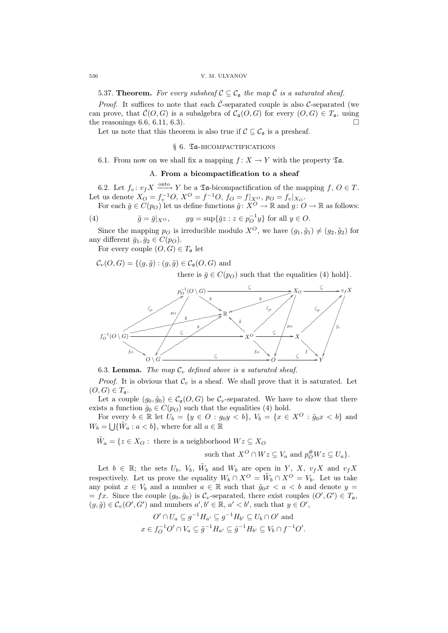5.37. Theorem. For every subsheaf  $C \subseteq C_{\mathfrak{a}}$  the map  $\overline{C}$  is a saturated sheaf.

*Proof.* It suffices to note that each  $\bar{C}$ -separated couple is also  $\bar{C}$ -separated (we can prove, that  $\bar{\mathcal{C}}(O, G)$  is a subalgebra of  $\mathcal{C}_{\mathfrak{a}}(O, G)$  for every  $(O, G) \in T_{\mathfrak{a}}$ , using the reasonings  $6.6, 6.11, 6.3$ .

Let us note that this theorem is also true if  $\mathcal{C} \subseteq \mathcal{C}_{\mathfrak{a}}$  is a presheaf.

# § 6. Ta-BICOMPACTIFICATIONS

6.1. From now on we shall fix a mapping  $f: X \to Y$  with the property  $\mathfrak{Ta}$ .

# A. From a bicompactification to a sheaf

6.2. Let  $f_v: v_f X \xrightarrow{\text{onto }} Y$  be a  $\mathfrak{Ta}$ -bicompactification of the mapping  $f, O \in T$ . Let us denote  $X_O = f_v^{-1}O$ ,  $X^O = f^{-1}O$ ,  $f_O = f|_{X^O}$ ,  $p_O = f_v|_{X_O}$ .

For each  $\bar{g} \in C(p_O)$  let us define functions  $\tilde{g}: X^O \to \mathbb{R}$  and  $g: O \to \mathbb{R}$  as follows:

(4) 
$$
\tilde{g} = \bar{g}|_{X^O}, \qquad gy = \sup\{\bar{g}z : z \in p_O^{-1}y\} \text{ for all } y \in O.
$$

Since the mapping  $p_O$  is irreducible modulo  $X^O$ , we have  $(g_1, \tilde{g}_1) \neq (g_2, \tilde{g}_2)$  for any different  $\bar{g}_1, \bar{g}_2 \in C(p_O)$ .

For every couple  $(O, G) \in T_a$  let

 $\mathcal{C}_v(O, G) = \{(g, \tilde{g}) : (g, \tilde{g}) \in \mathcal{C}_a(O, G) \text{ and }$ 

there is  $\bar{g} \in C(p_O)$  such that the equalities (4) hold}.



6.3. Lemma. The map  $C_v$  defined above is a saturated sheaf.

*Proof.* It is obvious that  $\mathcal{C}_v$  is a sheaf. We shall prove that it is saturated. Let  $(O, G) \in T_a$ .

Let a couple  $(g_0, \tilde{g}_0) \in C_{\mathfrak{a}}(O, G)$  be  $C_v$ -separated. We have to show that there exists a function  $\bar{g}_0 \in C(p_O)$  such that the equalities (4) hold.

For every  $b \in \mathbb{R}$  let  $U_b = \{y \in O : g_0y < b\}$ ,  $V_b = \{x \in X^O : \tilde{g}_0x < b\}$  and  $W_b = \bigcup \{ \tilde{W}_a : a < b \},$  where for all  $a \in \mathbb{R}$ 

 $\tilde{W}_a = \{z \in X_O : \text{ there is a neighborhood } Wz \subseteq X_O\}$ such that  $X^O \cap Wz \subseteq V_a$  and  $p_O^{\#}Wz \subseteq U_a$ .

Let  $b \in \mathbb{R}$ ; the sets  $U_b$ ,  $V_b$ ,  $\tilde{W}_b$  and  $W_b$  are open in Y, X,  $v_f X$  and  $v_f X$ respectively. Let us prove the equality  $W_b \cap X^O = \tilde{W}_b \cap X^O = V_b$ . Let us take any point  $x \in V_b$  and a number  $a \in \mathbb{R}$  such that  $\tilde{q}_0 x < a < b$  and denote  $y =$  $= fx$ . Since the couple  $(g_0, \tilde{g}_0)$  is  $C_v$ -separated, there exist couples  $(O', G') \in T_a$ ,  $(g, \tilde{g}) \in \mathcal{C}_v(O', G')$  and numbers  $a', b' \in \mathbb{R}, a' < b'$ , such that  $y \in O'$ ,

$$
O' \cap U_a \subseteq g^{-1}H_{a'} \subseteq g^{-1}H_{b'} \subseteq U_b \cap O'
$$
 and  

$$
x \in f_O^{-1}O' \cap V_a \subseteq \tilde{g}^{-1}H_{a'} \subseteq \tilde{g}^{-1}H_{b'} \subseteq V_b \cap f^{-1}O'.
$$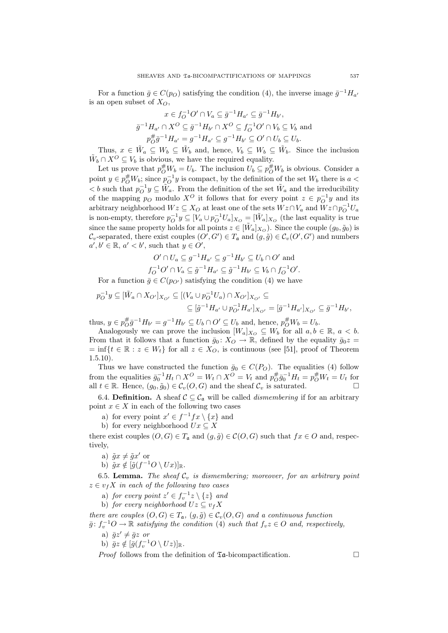For a function  $\bar{g} \in C(p_O)$  satisfying the condition (4), the inverse image  $\bar{g}^{-1}H_{a'}$ is an open subset of  $X_O$ ,

$$
x \in f_O^{-1}O' \cap V_a \subseteq \bar{g}^{-1}H_{a'} \subseteq \bar{g}^{-1}H_{b'},
$$
  

$$
\bar{g}^{-1}H_{a'} \cap X^O \subseteq \bar{g}^{-1}H_{b'} \cap X^O \subseteq f_O^{-1}O' \cap V_b \subseteq V_b \text{ and}
$$
  

$$
p_O^{\#}\bar{g}^{-1}H_{a'} = g^{-1}H_{a'} \subseteq g^{-1}H_{b'} \subseteq O' \cap U_b \subseteq U_b.
$$

Thus,  $x \in \tilde{W}_a \subseteq W_b \subseteq \tilde{W}_b$  and, hence,  $V_b \subseteq W_b \subseteq \tilde{W}_b$ . Since the inclusion  $\tilde{W}_b \cap X^O \subseteq V_b$  is obvious, we have the required equality.

Let us prove that  $p_O^{\#} W_b = U_b$ . The inclusion  $U_b \subseteq p_O^{\#} W_b$  is obvious. Consider a point  $y \in p_O^{\#} W_b$ ; since  $p_O^{-1} y$  is compact, by the definition of the set  $W_b$  there is  $a <$  $0 < b$  such that  $p_O^{-1} y \subseteq \tilde{W}_a$ . From the definition of the set  $\tilde{W}_a$  and the irreducibility of the mapping  $p_O$  modulo  $X^O$  it follows that for every point  $z \in p_O^{-1}y$  and its arbitrary neighborhood  $Wz \subseteq X_O$  at least one of the sets  $Wz \cap V_a$  and  $Wz \cap p_O^{-1}U_a$ is non-empty, therefore  $p_O^{-1}y \subseteq [V_a \cup p_O^{-1}U_a]_{X_O} = [\tilde{W}_a]_{X_O}$  (the last equality is true since the same property holds for all points  $z \in [\tilde{W}_a]_{X_O}$ ). Since the couple  $(g_0, \tilde{g}_0)$  is  $\mathcal{C}_v$ -separated, there exist couples  $(O', G') \in T_a$  and  $(g, \tilde{g}) \in \mathcal{C}_v(O', G')$  and numbers  $a', b' \in \mathbb{R}, a' < b'$ , such that  $y \in O'$ ,

$$
O' \cap U_a \subseteq g^{-1}H_{a'} \subseteq g^{-1}H_{b'} \subseteq U_b \cap O'
$$
 and  

$$
f_O^{-1}O' \cap V_a \subseteq \tilde{g}^{-1}H_{a'} \subseteq \tilde{g}^{-1}H_{b'} \subseteq V_b \cap f_O^{-1}O'.
$$

For a function  $\bar{g} \in C(p_{O'})$  satisfying the condition (4) we have

$$
p_O^{-1}y \subseteq [\tilde{W}_a \cap X_{O'}]_{X_{O'}} \subseteq [(V_a \cup p_O^{-1}U_a) \cap X_{O'}]_{X_{O'}} \subseteq
$$
  

$$
\subseteq [\tilde{g}^{-1}H_{a'} \cup p_{O'}^{-1}H_{a'}]_{X_{O'}} = [\bar{g}^{-1}H_{a'}]_{X_{O'}} \subseteq \bar{g}^{-1}H_{b'},
$$

thus,  $y \in p_{O}^{\#} \bar{g}^{-1} H_{b'} = g^{-1} H_{b'} \subseteq U_b \cap O' \subseteq U_b$  and, hence,  $p_{O}^{\#} W_b = U_b$ .

Analogously we can prove the inclusion  $[W_a]_{X_O} \subseteq W_b$  for all  $a, b \in \mathbb{R}$ ,  $a < b$ . From that it follows that a function  $\bar{g}_0 : X_O \to \mathbb{R}$ , defined by the equality  $\bar{g}_0z =$  $=\inf\{t \in \mathbb{R} : z \in W_t\}$  for all  $z \in X_O$ , is continuous (see [51], proof of Theorem  $1.5.10$ ).

Thus we have constructed the function  $\bar{g}_0 \in C(P_O)$ . The equalities (4) follow from the equalities  $\bar{g}_0^{-1}H_t \cap X^O = W_t \cap X^O = V_t$  and  $p_{O}^{\#}g_0^{-1}H_t = p_O^{\#}W_t = U_t$  for all  $t \in \mathbb{R}$ . Hence,  $(g_0, \tilde{g}_0) \in C_v(O, G)$  and the sheaf  $C_v$  is saturated.

6.4. **Definition.** A sheaf  $C \subseteq C_{\mathfrak{a}}$  will be called *dismembering* if for an arbitrary point  $x \in X$  in each of the following two cases

- a) for every point  $x' \in f^{-1} f x \setminus \{x\}$  and
- b) for every neighborhood  $Ux \subseteq X$

there exist couples  $(O, G) \in T_a$  and  $(g, \tilde{g}) \in \mathcal{C}(O, G)$  such that  $fx \in O$  and, respectively,

a)  $\tilde{g}x \neq \tilde{g}x'$  or

b) 
$$
\tilde{g}x \notin [\tilde{g}(f^{-1}O \setminus Ux)]_{\mathbb{R}}
$$
.

6.5. Lemma. The sheaf  $C_v$  is dismembering; moreover, for an arbitrary point  $z \in v_f X$  in each of the following two cases

a) for every point  $z' \in f_v^{-1}z \setminus \{z\}$  and

b) for every neighborhood  $Uz \subseteq v_fX$ 

there are couples  $(O, G) \in T_a$ ,  $(g, \tilde{g}) \in C_v(O, G)$  and a continuous function  $\bar{g}: f_v^{-1}O \to \mathbb{R}$  satisfying the condition (4) such that  $f_vz \in O$  and, respectively,

- a)  $\bar{g}z' \neq \bar{g}z$  or
- b)  $\bar{g}z \notin [\bar{g}(f_v^{-1}O \setminus Uz)]_{\mathbb{R}}$ .

*Proof* follows from the definition of  $\mathfrak{Ta}$ -bicompactification.  $\Box$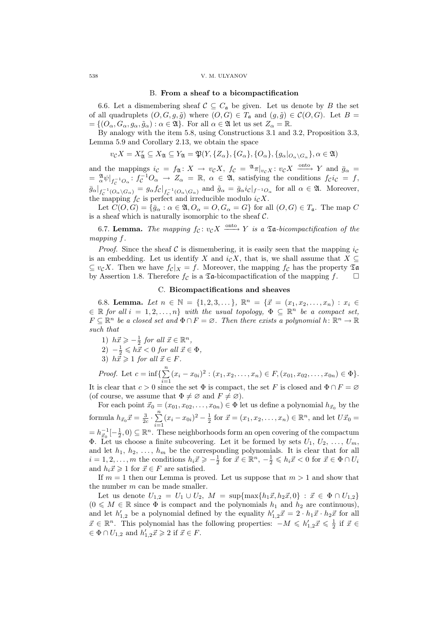#### 538 V. M. ULYANOV

### B. From a sheaf to a bicompactification

6.6. Let a dismembering sheaf  $C \subseteq C_{\mathfrak{a}}$  be given. Let us denote by B the set of all quadruplets  $(O, G, g, \tilde{g})$  where  $(O, G) \in T_a$  and  $(g, \tilde{g}) \in C(O, G)$ . Let  $B =$  $=\{(O_{\alpha}, G_{\alpha}, g_{\alpha}, \tilde{g}_{\alpha}) : \alpha \in \mathfrak{A}\}\.$  For all  $\alpha \in \mathfrak{A}$  let us set  $Z_{\alpha} = \mathbb{R}$ .

By analogy with the item 5.8, using Constructions 3.1 and 3.2, Proposition 3.3, Lemma 5.9 and Corollary 2.13, we obtain the space

$$
v_{\mathcal{C}}X = X_{\mathfrak{A}}^{r} \subseteq X_{\mathfrak{A}} \subseteq Y_{\mathfrak{A}} = \mathfrak{P}(Y, \{Z_{\alpha}\}, \{G_{\alpha}\}, \{O_{\alpha}\}, \{g_{\alpha}|_{O_{\alpha}\setminus G_{\alpha}}\}, \alpha \in \mathfrak{A})
$$

and the mappings  $i_c = f_{\mathfrak{A}}: X \to v_c X$ ,  $f_c = \mathfrak{A}_{\pi|_{v_c X}: v_c X \xrightarrow{\text{onto}} Y$  and  $\bar{g}_{\alpha} =$  $=\frac{\mathfrak{A}}{\alpha}\psi|_{f_{\mathcal{C}}^{-1}O_{\alpha}}: f_{\mathcal{C}}^{-1}O_{\alpha} \to Z_{\alpha} = \mathbb{R}, \alpha \in \mathfrak{A}, \text{ satisfying the conditions } f_{\mathcal{C}}i_{\mathcal{C}} = f,$  $\bar{g}_{\alpha}|_{f_{\mathcal{C}}^{-1}(O_{\alpha}\backslash G_{\alpha})} = g_{\alpha}f_{\mathcal{C}}|_{f_{\mathcal{C}}^{-1}(O_{\alpha}\backslash G_{\alpha})}$  and  $\tilde{g}_{\alpha} = \bar{g}_{\alpha}ic|_{f^{-1}O_{\alpha}}$  for all  $\alpha \in \mathfrak{A}$ . Moreover, the mapping  $f_{\mathcal{C}}$  is perfect and irreducible modulo  $i_{\mathcal{C}}X$ .

Let  $C(O, G) = {\overline{g}_{\alpha} : \alpha \in \mathfrak{A}, O_{\alpha} = O, G_{\alpha} = G}$  for all  $(O, G) \in T_{\mathfrak{a}}$ . The map C is a sheaf which is naturally isomorphic to the sheaf  $C$ .

6.7. Lemma. The mapping  $f_{\mathcal{C}}: v_{\mathcal{C}}X \xrightarrow{\text{onto}} Y$  is a  $\mathfrak{Ta}\text{-}bicomputation$  of the mapping f.

*Proof.* Since the sheaf C is dismembering, it is easily seen that the mapping  $i_{\mathcal{C}}$ is an embedding. Let us identify X and  $i_{\mathcal{C}}X$ , that is, we shall assume that  $X \subseteq$  $\subseteq v_c X$ . Then we have  $f_c|_X = f$ . Moreover, the mapping  $f_c$  has the property  $\mathfrak{a}$ by Assertion 1.8. Therefore  $f_c$  is a  $\mathfrak{Ta}$ -bicompactification of the mapping  $f$ .  $\Box$ 

# C. Bicompactifications and sheaves

6.8. Lemma. Let  $n \in \mathbb{N} = \{1, 2, 3, \dots\}$ ,  $\mathbb{R}^n = \{\vec{x} = (x_1, x_2, \dots, x_n) : x_i \in \mathbb{N}\}$  $\in \mathbb{R}$  for all  $i = 1, 2, ..., n$  with the usual topology,  $\Phi \subseteq \mathbb{R}^n$  be a compact set,  $F \subseteq \mathbb{R}^n$  be a closed set and  $\Phi \cap F = \emptyset$ . Then there exists a polynomial  $h \colon \mathbb{R}^n \to \mathbb{R}$ such that

- 1)  $h\vec{x} \geqslant -\frac{1}{2}$  for all  $\vec{x} \in \mathbb{R}^n$ ,
- $2)$   $-\frac{1}{2} \leqslant h\overline{x} < 0$  for all  $\overline{x} \in \Phi$ ,
- 3)  $h\overline{\overline{x}} \geq 1$  for all  $\overline{x} \in F$ .

*Proof.* Let 
$$
c = \inf \{ \sum_{i=1}^{n} (x_i - x_{0i})^2 : (x_1, x_2, \dots, x_n) \in F, (x_{01}, x_{02}, \dots, x_{0n}) \in \Phi \}.
$$

It is clear that  $c > 0$  since the set  $\Phi$  is compact, the set F is closed and  $\Phi \cap F = \emptyset$ (of course, we assume that  $\Phi \neq \emptyset$  and  $F \neq \emptyset$ ).

For each point  $\vec{x}_0 = (x_{01}, x_{02}, \ldots, x_{0n}) \in \Phi$  let us define a polynomial  $h_{\vec{x}_0}$  by the formula  $h_{\vec{x}_0}\vec{x} = \frac{3}{2c} \cdot \sum_{n=1}^{\infty}$  $\sum_{i=1}^{n} (x_i - x_{0i})^2 - \frac{1}{2}$  for  $\vec{x} = (x_1, x_2, \dots, x_n) \in \mathbb{R}^n$ , and let  $U\vec{x}_0 =$  $= h_{\vec{x}_0}^{-1}[-\frac{1}{2},0) \subseteq \mathbb{R}^n$ . These neighborhoods form an open covering of the compactum **Φ.** Let us choose a finite subcovering. Let it be formed by sets  $U_1, U_2, \ldots, U_m$ , and let  $h_1, h_2, \ldots, h_m$  be the corresponding polynomials. It is clear that for all  $i = 1, 2, \ldots, m$  the conditions  $h_i \vec{x} \geqslant -\frac{1}{2}$  for  $\vec{x} \in \mathbb{R}^n$ ,  $-\frac{1}{2} \leqslant h_i \vec{x} < 0$  for  $\vec{x} \in \Phi \cap U_i$ and  $h_i\vec{x} \geq 1$  for  $\vec{x} \in F$  are satisfied.

If  $m = 1$  then our Lemma is proved. Let us suppose that  $m > 1$  and show that the number  $m$  can be made smaller.

Let us denote  $U_{1,2} = U_1 \cup U_2$ ,  $M = \sup{\max\{h_1\vec{x}, h_2\vec{x}, 0\}} : \vec{x} \in \Phi \cap U_{1,2}\}\$  $(0 \leq M \in \mathbb{R}$  since  $\Phi$  is compact and the polynomials  $h_1$  and  $h_2$  are continuous), and let  $h'_{1,2}$  be a polynomial defined by the equality  $h'_{1,2}\vec{x} = 2 \cdot h_1 \vec{x} \cdot h_2 \vec{x}$  for all  $\vec{x} \in \mathbb{R}^n$ . This polynomial has the following properties:  $-M \leqslant h'_{1,2}\vec{x} \leqslant \frac{1}{2}$  if  $\vec{x} \in$  $\in \Phi \cap U_{1,2}$  and  $h'_{1,2}\vec{x} \geqslant 2$  if  $\vec{x} \in F$ .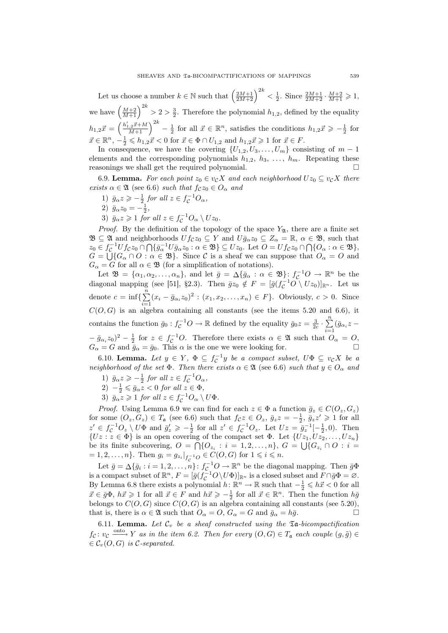Let us choose a number  $k \in \mathbb{N}$  such that  $\left(\frac{2M+1}{2M+2}\right)^{2k} < \frac{1}{2}$ . Since  $\frac{2M+1}{2M+2} \cdot \frac{M+2}{M+1} \geq 1$ , we have  $\left(\frac{M+2}{M+1}\right)^{2k} > 2 > \frac{3}{2}$ . Therefore the polynomial  $h_{1,2}$ , defined by the equality  $h_{1,2}\vec{x} =$  $\left(\frac{h'_{1,2}\vec{x}+M}{M+1}\right)^{2k} - \frac{1}{2}$  for all  $\vec{x} \in \mathbb{R}^n$ , satisfies the conditions  $h_{1,2}\vec{x} \geqslant -\frac{1}{2}$  for  $\vec{x} \in \mathbb{R}^n$ ,  $-\frac{1}{2} \leqslant h_{1,2}\vec{x} < 0$  for  $\vec{x} \in \Phi \cap U_{1,2}$  and  $h_{1,2}\vec{x} \geqslant 1$  for  $\vec{x} \in F$ .

In consequence, we have the covering  $\{U_{1,2}, U_3, \ldots, U_m\}$  consisting of  $m-1$ elements and the corresponding polynomials  $h_{1,2}$ ,  $h_3$ , ...,  $h_m$ . Repeating these reasonings we shall get the required polynomial. ¤

6.9. Lemma. For each point  $z_0 \in v_c X$  and each neighborhood  $Uz_0 \subseteq v_c X$  there exists  $\alpha \in \mathfrak{A}$  (see 6.6) such that  $f_{\mathcal{C}}z_0 \in O_{\alpha}$  and

- 1)  $\bar{g}_{\alpha}z \geqslant -\frac{1}{2}$  for all  $z \in f_{\mathcal{C}}^{-1}O_{\alpha}$ ,
- 2)  $\bar{g}_{\alpha}z_0 = -\frac{1}{2},$
- 3)  $\bar{g}_{\alpha}z \geqslant 1$  for all  $z \in f_{\mathcal{C}}^{-1}O_{\alpha} \setminus Uz_0$ .

*Proof.* By the definition of the topology of the space  $Y_{\mathfrak{A}}$ , there are a finite set  $\mathfrak{B} \subseteq \mathfrak{A}$  and neighborhoods  $Uf_{\mathcal{C}}z_0 \subseteq Y$  and  $U\overline{g}_{\alpha}z_0 \subseteq Z_{\alpha} = \mathbb{R}, \alpha \in \mathfrak{B}$ , such that  $z_0 \in f_C^{-1}Uf_Cz_0 \cap \bigcap{\{\bar{g}_\alpha^{-1}U\bar{g}_\alpha z_0 : \alpha \in \mathfrak{B}\}} \subseteq Uz_0.$  Let  $O = Uf_Cz_0 \cap \bigcap{\{O_\alpha : \alpha \in \mathfrak{B}\}},$  $G = \bigcup \{G_\alpha \cap O : \alpha \in \mathfrak{B}\}\.$  Since C is a sheaf we can suppose that  $O_\alpha = O$  and  $G_{\alpha} = G$  for all  $\alpha \in \mathfrak{B}$  (for a simplification of notations).

Let  $\mathfrak{B} = {\alpha_1, \alpha_2, \ldots, \alpha_n}$ , and let  $\bar{g} = \Delta \{\bar{g}_\alpha : \alpha \in \mathfrak{B}\}$ :  $f_c^{-1}O \to \mathbb{R}^n$  be the diagonal mapping (see [51], §2.3). Then  $\bar{g}z_0 \notin F = [\bar{g}(f_{\mathcal{C}}^{-1}O \setminus Uz_0)]_{\mathbb{R}^n}$ . Let us denote  $c = \inf \{ \sum_{i=1}^{n} (x_i - \bar{g}_{\alpha_i} z_0)^2 : (x_1, x_2, \dots, x_n) \in F \}.$  Obviously,  $c > 0$ . Since  $C(O, G)$  is an algebra containing all constants (see the items 5.20 and 6.6), it contains the function  $\bar{g}_0 : f_{\mathcal{C}}^{-1}O \to \mathbb{R}$  defined by the equality  $\bar{g}_0 z = \frac{3}{2c} \cdot \sum_{i=1}^n$  $\sum_{i=1}$  ( $\bar{g}_{\alpha_i}z$  –  $-\bar{g}_{\alpha_i}z_0)^2-\frac{1}{2}$  for  $z \in f_{\mathcal{C}}^{-1}O$ . Therefore there exists  $\alpha \in \mathfrak{A}$  such that  $O_{\alpha} = O$ ,  $G_{\alpha} = G$  and  $\bar{g}_{\alpha} = \bar{g}_0$ . This  $\alpha$  is the one we were looking for.

6.10. **Lemma.** Let  $y \in Y$ ,  $\Phi \subseteq f_{\mathcal{C}}^{-1}y$  be a compact subset,  $U\Phi \subseteq v_{\mathcal{C}}X$  be a neighborhood of the set  $\Phi$ . Then there exists  $\alpha \in \mathfrak{A}$  (see 6.6) such that  $y \in O_{\alpha}$  and

1)  $\bar{g}_{\alpha}z \geqslant -\frac{1}{2}$  for all  $z \in f_{\mathcal{C}}^{-1}O_{\alpha}$ ,

- 2)  $-\frac{1}{2} \leqslant \bar{g}_{\alpha} z < 0$  for all  $z \in \Phi$ ,
- 3)  $\bar{g}_{\alpha} z \geqslant 1$  for all  $z \in f_{\mathcal{C}}^{-1} O_{\alpha} \setminus U\Phi$ .

*Proof.* Using Lemma 6.9 we can find for each  $z \in \Phi$  a function  $\bar{g}_z \in C(O_z, G_z)$ for some  $(O_z, G_z) \in T_a$  (see 6.6) such that  $f_c z \in O_z$ ,  $\bar{g}_z z = -\frac{1}{2}$ ,  $\bar{g}_z z' \geq 1$  for all  $z' \in f_{\mathcal{C}}^{-1}O_z \setminus U\Phi$  and  $\bar{g}_z' \geqslant -\frac{1}{2}$  for all  $z' \in f_{\mathcal{C}}^{-1}O_z$ . Let  $Uz = \bar{g}_z^{-1}[-\frac{1}{2},0)$ . Then  ${Uz : z \in \Phi}$  is an open covering of the compact set  $\Phi$ . Let  ${Uz_1, Uz_2, \ldots, Uz_n}$ be its finite subcovering,  $O = \bigcap \{O_{z_i} : i = 1, 2, ..., n\}$ ,  $G = \bigcup \{G_{z_i} \cap O : i = 1, 2, ..., n\}$  $= 1, 2, \ldots, n$ . Then  $g_i = g_{z_i}|_{f_C^{-1}O} \in C(O, G)$  for  $1 \leq i \leq n$ .

Let  $\bar{g} = \Delta \{\bar{g}_i : i = 1, 2, \ldots, n\} : f_{\mathcal{C}}^{-1}O \to \mathbb{R}^n$  be the diagonal mapping. Then  $\bar{g} \Phi$ is a compact subset of  $\mathbb{R}^n$ ,  $F = [\bar{g}(f_C^{-1}O \setminus U\Phi)]_{\mathbb{R}^n}$  is a closed subset and  $F \cap \bar{g}\Phi = \varnothing$ . By Lemma 6.8 there exists a polynomial  $h: \mathbb{R}^n \to \mathbb{R}$  such that  $-\frac{1}{2} \leq h\vec{x} < 0$  for all  $\vec{x} \in \bar{g}\Phi$ ,  $h\vec{x} \geq 1$  for all  $\vec{x} \in F$  and  $h\vec{x} \geq -\frac{1}{2}$  for all  $\vec{x} \in \mathbb{R}^n$ . Then the function  $h\bar{g}$ belongs to  $C(O, G)$  since  $C(O, G)$  is an algebra containing all constants (see 5.20), that is, there is  $\alpha \in \mathfrak{A}$  such that  $O_{\alpha} = O, G_{\alpha} = G$  and  $\bar{g}_{\alpha} = h\bar{g}$ .

6.11. Lemma. Let  $\mathcal{C}_v$  be a sheaf constructed using the  $\mathfrak{I}a$ -bicompactification  $f_{\mathcal{C}}: v_{\mathcal{C}} \xrightarrow{\text{onto}} Y$  as in the item 6.2. Then for every  $(O, G) \in T_{\mathfrak{a}}$  each couple  $(g, \tilde{g}) \in$  $\in \mathcal{C}_v(O,G)$  is C-separated.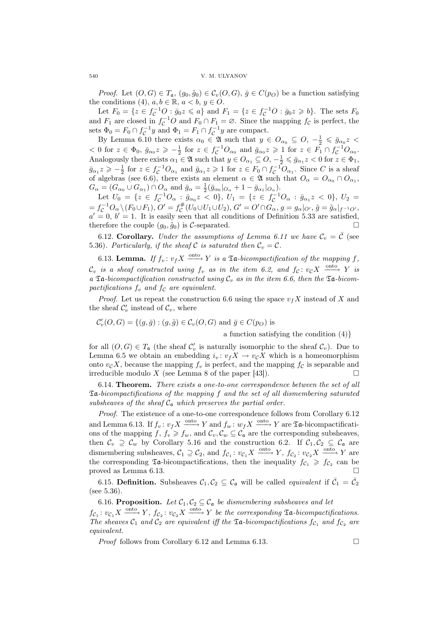*Proof.* Let  $(O, G) \in T_a$ ,  $(g_0, \tilde{g}_0) \in C_v(O, G)$ ,  $\bar{g} \in C(p_O)$  be a function satisfying the conditions (4),  $a, b \in \mathbb{R}$ ,  $a < b, y \in O$ .

Let  $F_0 = \{z \in f_C^{-1}O : \bar{g}_0 z \leqslant a\}$  and  $F_1 = \{z \in f_C^{-1}O : \bar{g}_0 z \geqslant b\}$ . The sets  $F_0$ and  $F_1$  are closed in  $f_{\mathcal{C}}^{-1}O$  and  $F_0 \cap F_1 = \emptyset$ . Since the mapping  $f_{\mathcal{C}}$  is perfect, the sets  $\Phi_0 = F_0 \cap f_{\mathcal{C}}^{-1} y$  and  $\Phi_1 = F_1 \cap f_{\mathcal{C}}^{-1} y$  are compact.

By Lemma 6.10 there exists  $\alpha_0 \in \mathfrak{A}$  such that  $y \in O_{\alpha_0} \subseteq O, -\frac{1}{2} \leq \bar{g}_{\alpha_0} z <$  $< 0$  for  $z \in \Phi_0$ ,  $\bar{g}_{\alpha_0} z \geqslant -\frac{1}{2}$  for  $z \in f_C^{-1}O_{\alpha_0}$  and  $\bar{g}_{\alpha_0} z \geqslant 1$  for  $z \in F_1 \cap f_C^{-1}O_{\alpha_0}$ . Analogously there exists  $\alpha_1 \in \mathfrak{A}$  such that  $y \in O_{\alpha_1} \subseteq O, -\frac{1}{2} \leq \bar{g}_{\alpha_1} z < 0$  for  $z \in \Phi_1$ ,<br> $\bar{g} \leq \sum_{i=1}^{\infty} \frac{1}{i}$  for  $z \in f^{-1}O$  and  $\bar{g} \leq z \geq 1$  for  $z \in E$ ,  $\bar{g} \in \bar{g}^{-1}O$  since *C* is a s  $\bar{g}_{\alpha_1}z \geqslant -\frac{1}{2}$  for  $z \in f_{\mathcal{C}}^{-1}O_{\alpha_1}$  and  $\bar{g}_{\alpha_1}z \geqslant 1$  for  $z \in F_0 \cap f_{\mathcal{C}}^{-1}O_{\alpha_1}$ . Since C is a sheaf of algebras (see 6.6), there exists an element  $\alpha \in \mathfrak{A}$  such that  $O_{\alpha} = O_{\alpha_0} \cap O_{\alpha_1}$ ,  $G_{\alpha} = (G_{\alpha_0} \cup G_{\alpha_1}) \cap O_{\alpha}$  and  $\bar{g}_{\alpha} = \frac{1}{2} (\bar{g}_{\alpha_0}|_{O_{\alpha}} + 1 - \bar{g}_{\alpha_1}|_{O_{\alpha}})$ .

Let  $U_0 = \{z \in f^{-1}_C O_\alpha : \bar{g}_{\alpha_0} z < 0\}, U_1 = \{z \in f^{-1}_C O_\alpha : \bar{g}_{\alpha_1} z < 0\}, U_2 =$  $=f_{\mathcal{C}}^{-1}O_{\alpha}\setminus(F_0\cup F_1),$   $O'=f_{\mathcal{C}}^{\#}(U_0\cup U_1\cup U_2),$   $G'=O'\cap G_{\alpha},$   $g=g_{\alpha}|_{O'},$   $\tilde{g}=\tilde{g}_{\alpha}|_{f^{-1}O'},$  $a' = 0, b' = 1$ . It is easily seen that all conditions of Definition 5.33 are satisfied, therefore the couple  $(g_0, \tilde{g}_0)$  is C-separated.

6.12. Corollary. Under the assumptions of Lemma 6.11 we have  $\mathcal{C}_v = \overline{\mathcal{C}}$  (see 5.36). Particularly, if the sheaf C is saturated then  $C_v = C$ .

6.13. Lemma. If  $f_v: v_f X \xrightarrow{\text{onto }} Y$  is a  $\mathfrak{Ta}$ -bicompactification of the mapping f,  $\mathcal{C}_v$  is a sheaf constructed using  $f_v$  as in the item 6.2, and  $f_{\mathcal{C}}\colon v_{\mathcal{C}}X \xrightarrow[]{{}_{\!\!\textnormal{onto\,\,}\!\!}} Y$  is a  $\mathfrak{Ta}$ -bicompactification constructed using  $\mathcal{C}_v$  as in the item 6.6, then the  $\mathfrak{Ta}$ -bicompactifications  $f_v$  and  $f_c$  are equivalent.

*Proof.* Let us repeat the construction 6.6 using the space  $v_f X$  instead of X and the sheaf  $\mathcal{C}'_v$  instead of  $\mathcal{C}_v$ , where

 $\mathcal{C}'_v(O,G) = \{(g,\overline{g}) : (g,\widetilde{g}) \in \mathcal{C}_v(O,G) \text{ and } \overline{g} \in C(p_O) \text{ is }$ 

a function satisfying the condition (4)}

for all  $(O, G) \in T_a$  (the sheaf  $C'_v$  is naturally isomorphic to the sheaf  $C_v$ ). Due to Lemma 6.5 we obtain an embedding  $i_v: v_f X \to v_c X$  which is a homeomorphism onto  $v_c X$ , because the mapping  $f_v$  is perfect, and the mapping  $f_c$  is separable and irreducible modulo X (see Lemma 8 of the paper [43]).  $\Box$ 

6.14. Theorem. There exists a one-to-one correspondence between the set of all Ta-bicompactifications of the mapping f and the set of all dismembering saturated subsheaves of the sheaf  $C_{\mathfrak{a}}$  which preserves the partial order.

Proof. The existence of a one-to-one correspondence follows from Corollary 6.12 and Lemma 6.13. If  $f_v: v_f X \xrightarrow{\text{onto}} Y$  and  $f_w: w_f X \xrightarrow{\text{onto}} Y$  are  $\mathfrak{Ta}$ -bicompactifications of the mapping f,  $f_v \geq f_w$ , and  $\mathcal{C}_v, \mathcal{C}_w \subseteq \mathcal{C}_a$  are the corresponding subsheaves, then  $\mathcal{C}_v \supseteq \mathcal{C}_w$  by Corollary 5.16 and the construction 6.2. If  $\mathcal{C}_1, \mathcal{C}_2 \subseteq \mathcal{C}_a$  are dismembering subsheaves,  $C_1 \supseteq C_2$ , and  $f_{C_1}: v_{C_1}X \xrightarrow{\text{onto}} Y$ ,  $f_{C_2}: v_{C_2}X \xrightarrow{\text{onto}} Y$  are the corresponding  $\mathfrak{Ta}$ -bicompactifications, then the inequality  $f_{\mathcal{C}_1} \geqslant f_{\mathcal{C}_2}$  can be proved as Lemma 6.13.  $\Box$ 

6.15. Definition. Subsheaves  $C_1, C_2 \subseteq C_a$  will be called *equivalent* if  $\bar{C}_1 = \bar{C}_2$ (see 5.36).

6.16. Proposition. Let  $C_1, C_2 \subseteq C_{\mathfrak{a}}$  be dismembering subsheaves and let  $f_{\mathcal{C}_1}: v_{\mathcal{C}_1}X \xrightarrow{\text{onto}} Y$ ,  $f_{\mathcal{C}_2}: v_{\mathcal{C}_2}X \xrightarrow{\text{onto}} Y$  be the corresponding  $\mathfrak{Ta}\text{-}bicomparifications.$ The sheaves  $C_1$  and  $C_2$  are equivalent iff the  $\mathfrak{Ta}$ -bicompactifications  $f_{C_1}$  and  $f_{C_2}$  are equivalent.

*Proof* follows from Corollary 6.12 and Lemma 6.13.  $\Box$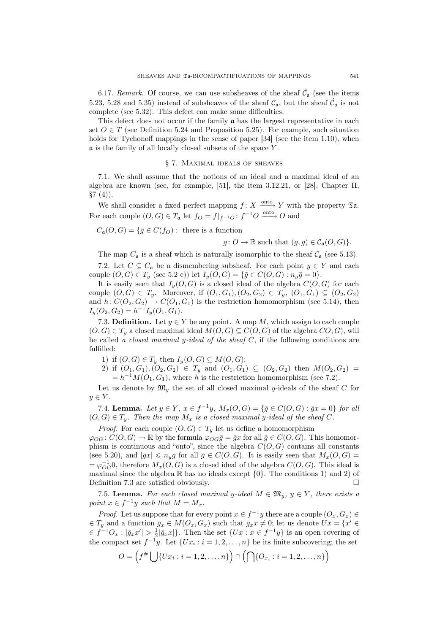6.17. Remark. Of course, we can use subsheaves of the sheaf  $\hat{\mathcal{C}}_{\mathfrak{a}}$  (see the items 5.23, 5.28 and 5.35) instead of subsheaves of the sheaf  $\mathcal{C}_{a}$ , but the sheaf  $\hat{\mathcal{C}}_{a}$  is not complete (see 5.32). This defect can make some difficulties.

This defect does not occur if the family  $\alpha$  has the largest representative in each set  $O \in T$  (see Definition 5.24 and Proposition 5.25). For example, such situation holds for Tychonoff mappings in the sense of paper [34] (see the item 1.10), when a is the family of all locally closed subsets of the space Y .

#### § 7. Maximal ideals of sheaves

7.1. We shall assume that the notions of an ideal and a maximal ideal of an algebra are known (see, for example, [51], the item 3.12.21, or [28], Chapter II,  $§7(4)$ .

We shall consider a fixed perfect mapping  $f: X \xrightarrow{\text{onto}} Y$  with the property  $\mathfrak{Ta}$ . For each couple  $(O, G) \in T_a$  let  $f_O = f|_{f^{-1}O} : f^{-1}O \longrightarrow O$  and

$$
C_{\mathfrak{a}}(O, G) = \{ \bar{g} \in C(f_O) : \text{ there is a function}
$$

 $g: O \to \mathbb{R}$  such that  $(g, \bar{g}) \in C_{\mathfrak{a}}(O, G)$ .

The map  $C_{\mathfrak{a}}$  is a sheaf which is naturally isomorphic to the sheaf  $C_{\mathfrak{a}}$  (see 5.13).

7.2. Let  $C \subseteq C_{\mathfrak{a}}$  be a dismembering subsheaf. For each point  $y \in Y$  and each couple  $(O, G) \in T_u$  (see 5.2 c)) let  $I_u(O, G) = \{ \bar{g} \in C(O, G) : n_u \bar{g} = 0 \}.$ 

It is easily seen that  $I_y(0, G)$  is a closed ideal of the algebra  $C(0, G)$  for each couple  $(O, G) \in T_y$ . Moreover, if  $(O_1, G_1), (O_2, G_2) \in T_y$ ,  $(O_1, G_1) \subseteq (O_2, G_2)$ and  $h: C(O_2, G_2) \to C(O_1, G_1)$  is the restriction homomorphism (see 5.14), then  $I_y(O_2, G_2) = h^{-1} I_y(O_1, G_1).$ 

7.3. **Definition.** Let  $y \in Y$  be any point. A map M, which assign to each couple  $(O, G) \in T_u$  a closed maximal ideal  $M(O, G) \subseteq C(O, G)$  of the algebra  $CO, G$ , will be called a closed maximal y-ideal of the sheaf  $C$ , if the following conditions are fulfilled:

1) if  $(O, G) \in T_y$  then  $I_y(O, G) \subseteq M(O, G);$ 

2) if  $(O_1, G_1), (O_2, G_2) \in T_y$  and  $(O_1, G_1) \subseteq (O_2, G_2)$  then  $M(O_2, G_2) =$  $= h^{-1}M(O_1, G_1)$ , where h is the restriction homomorphism (see 7.2).

Let us denote by  $\mathfrak{M}_y$  the set of all closed maximal y-ideals of the sheaf C for  $y \in Y$ .

7.4. **Lemma.** Let  $y \in Y$ ,  $x \in f^{-1}y$ ,  $M_x(O, G) = {\bar{g} \in C(O, G) : \bar{g}x = 0}$  for all  $(O, G) \in T_u$ . Then the map  $M_x$  is a closed maximal y-ideal of the sheaf C.

*Proof.* For each couple  $(O, G) \in T_y$  let us define a homomorphism

 $\varphi_{OG} : C(O,G) \to \mathbb{R}$  by the formula  $\varphi_{OG}\overline{g} = \overline{g}x$  for all  $\overline{g} \in C(O,G)$ . This homomorphism is continuous and "onto", since the algebra  $C(O, G)$  contains all constants (see 5.20), and  $|\bar{g}x| \leqslant n_y\bar{g}$  for all  $\bar{g} \in C(O, G)$ . It is easily seen that  $M_x(O, G)$  $=\varphi_{OG}^{-1}0$ , therefore  $M_x(O, G)$  is a closed ideal of the algebra  $C(O, G)$ . This ideal is maximal since the algebra  $\mathbb R$  has no ideals except  $\{0\}$ . The conditions 1) and 2) of Definition 7.3 are satisfied obviously.  $\Box$ 

7.5. Lemma. For each closed maximal y-ideal  $M \in \mathfrak{M}_y$ ,  $y \in Y$ , there exists a point  $x \in f^{-1}y$  such that  $M = M_x$ .

*Proof.* Let us suppose that for every point  $x \in f^{-1}y$  there are a couple  $(O_x, G_x) \in$  $\in T_y$  and a function  $\bar{g}_x \in M(O_x, G_x)$  such that  $\bar{g}_x x \neq 0$ ; let us denote  $Ux = \{x' \in G_y\}$  $\in f^{-1}O_x: |\bar{g}_xx'| > \frac{1}{2}|\bar{g}_xx|$ . Then the set  $\{Ux: x \in f^{-1}y\}$  is an open covering of the compact set  $f^{-1}y$ . Let  $\{Ux_i : i = 1, 2, ..., n\}$  be its finite subcovering; the set

$$
O = \left(f^{\#}\bigcup\{Ux_i : i = 1, 2, \ldots, n\}\right) \cap \left(\bigcap\{O_{x_i} : i = 1, 2, \ldots, n\}\right)
$$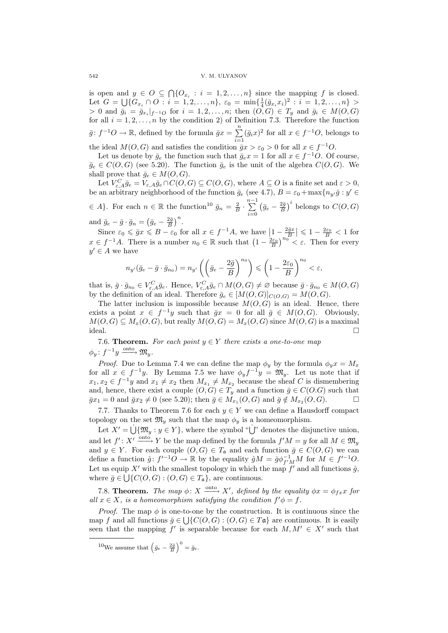#### 542 V. M. ULYANOV

is open and  $y \in O \subseteq \bigcap \{O_{x_i} : i = 1, 2, ..., n\}$  since the mapping f is closed. Let  $G = \bigcup \{ G_{x_i} \cap O : i = 1, 2, ..., n \}, \varepsilon_0 = \min \{ \frac{1}{4} (\bar{g}_{x_i} x_i)^2 : i = 1, 2, ..., n \} >$ > 0 and  $\bar{g}_i = \bar{g}_{x_i}|_{f^{-1}O}$  for  $i = 1, 2, ..., n$ ; then  $(O, G) \in T_y$  and  $\bar{g}_i \in M(O, G)$ for all  $i = 1, 2, ..., n$  by the condition 2) of Definition 7.3. Therefore the function  $\bar{g}: f^{-1}O \to \mathbb{R}$ , defined by the formula  $\bar{g}x = \sum_{n=1}^{\infty}$  $\sum_{i=1}$   $(\bar{g}_ix)^2$  for all  $x \in f^{-1}O$ , belongs to the ideal  $M(O, G)$  and satisfies the condition  $\bar{g}x > \varepsilon_0 > 0$  for all  $x \in f^{-1}O$ .

Let us denote by  $\bar{g}_e$  the function such that  $\bar{g}_ex = 1$  for all  $x \in f^{-1}O$ . Of course,  $\bar{g}_e \in C(O, G)$  (see 5.20). The function  $\bar{g}_e$  is the unit of the algebra  $C(O, G)$ . We shall prove that  $\bar{g}_e \in M(O, G)$ .

Let  $V_{\varepsilon,A}^C \bar{g}_e = V_{\varepsilon,A} \bar{g}_e \cap C(O,G) \subseteq C(O,G)$ , where  $A \subseteq O$  is a finite set and  $\varepsilon > 0$ , be an arbitrary neighborhood of the function  $\bar{g}_e$  (see 4.7),  $B = \varepsilon_0 + \max\{n_y, \bar{g} : y' \in$  $\in A$ }. For each  $n \in \mathbb{R}$  the function<sup>10</sup>  $\bar{g}_n = \frac{2}{B} \cdot \sum_{n=1}^{n-1}$  $i=0$ ¡  $\bar{g}_e - \frac{2\bar{g}}{B}$  $\big)^i$  belongs to  $C(O, G)$ and  $\bar{g}_e - \bar{g} \cdot \bar{g}_n =$ ¡  $\bar{g}_e - \frac{2\bar{g}}{B}$  $\big)^n$ .

 $\lim_{\epsilon \to 0} \epsilon \cdot g_n = (g_e - \frac{\epsilon}{B})$ .<br>Since  $\varepsilon_0 \leq \bar{g}x \leq B - \varepsilon_0$  for all  $x \in f^{-1}A$ , we have  $\left|1 - \frac{2\bar{g}x}{B}\right|$  $\vert \leqslant 1 - \frac{2\varepsilon_0}{B} < 1$  for since  $\epsilon_0 \leq yx \leq D - \epsilon_0$  for an  $x \in f^{-1}A$ , we have  $\left|1 - \frac{2\epsilon_0}{B}\right| \leq 1 - \frac{1}{B} < 1$  for every  $x \in f^{-1}A$ . There is a number  $n_0 \in \mathbb{R}$  such that  $\left(1 - \frac{2\epsilon_0}{B}\right)^{n_0} < \epsilon$ . Then for every  $y' \in A$  we have

$$
n_{y'}(\bar{g}_e - \bar{g} \cdot \bar{g}_{n_0}) = n_{y'}\left(\left(\bar{g}_e - \frac{2\bar{g}}{B}\right)^{n_0}\right) \leqslant \left(1 - \frac{2\varepsilon_0}{B}\right)^{n_0} < \varepsilon,
$$

that is,  $\bar{g} \cdot \bar{g}_{n_0} \in V_{\varepsilon,A}^C \bar{g}_e$ . Hence,  $V_{\varepsilon,A}^C \bar{g}_e \cap M(O,G) \neq \varnothing$  because  $\bar{g} \cdot \bar{g}_{n_0} \in M(O,G)$ by the definition of an ideal. Therefore  $\bar{g}_e \in [M(O, G)]_{C(O, G)} = M(O, G)$ .

The latter inclusion is impossible because  $M(O, G)$  is an ideal. Hence, there exists a point  $x \in f^{-1}y$  such that  $\overline{g}x = 0$  for all  $\overline{g} \in M(O, G)$ . Obviously,  $M(O, G) \subseteq M_x(O, G)$ , but really  $M(O, G) = M_x(O, G)$  since  $M(O, G)$  is a maximal  $\Box$  ideal.

7.6. **Theorem.** For each point  $y \in Y$  there exists a one-to-one map  $\phi_y: f^{-1}y \xrightarrow{\text{onto}} \mathfrak{M}_y.$ 

*Proof.* Due to Lemma 7.4 we can define the map  $\phi_y$  by the formula  $\phi_y x = M_x$ for all  $x \in f^{-1}y$ . By Lemma 7.5 we have  $\phi_y f^{-1}y = \mathfrak{M}_y$ . Let us note that if  $x_1, x_2 \in f^{-1}y$  and  $x_1 \neq x_2$  then  $M_{x_1} \neq M_{x_2}$  because the sheaf C is dismembering and, hence, there exist a couple  $(O, G) \in T_y$  and a function  $\bar{g} \in C(O.G)$  such that  $\bar{g}x_1 = 0$  and  $\bar{g}x_2 \neq 0$  (see 5.20); then  $\bar{g} \in M_{x_1}(O, G)$  and  $\bar{g} \notin M_{x_2}(O, G)$ .

7.7. Thanks to Theorem 7.6 for each  $y \in Y$  we can define a Hausdorff compact topology on the set  $\mathfrak{M}_y$  such that the map  $\phi_y$  is a homeomorphism.

Let  $X' = \dot{\bigcup} \{\mathfrak{M}_y : y \in Y\}$ , where the symbol " $\dot{\bigcup}$ " denotes the disjunctive union, and let  $f' : X' \xrightarrow{\text{onto}} Y$  be the map defined by the formula  $f'M = y$  for all  $M \in \mathfrak{M}_y$ and  $y \in Y$ . For each couple  $(O, G) \in T_a$  and each function  $\overline{g} \in C(O, G)$  we can define a function  $\hat{g}: f'^{-1}O \to \mathbb{R}$  by the equality  $\hat{g}M = \bar{g}\phi_{f'M}^{-1}M$  for  $M \in f'^{-1}O$ . Let us equip X' with the smallest topology in which the map  $f'$  and all functions  $\hat{g}$ , where  $\bar{g} \in \bigcup \{C(O, G) : (O, G) \in T_{\mathfrak{a}}\}$ , are continuous.

7.8. **Theorem.** The map  $\phi: X \longrightarrow X'$ , defined by the equality  $\phi x = \phi_{fx} x$  for all  $x \in X$ , is a homeomorphism satisfying the condition  $f' \phi = f$ .

*Proof.* The map  $\phi$  is one-to-one by the construction. It is continuous since the map f and all functions  $\bar{g} \in \bigcup \{C(O, G) : (O, G) \in T\mathfrak{a} \}$  are continuous. It is easily seen that the mapping f' is separable because for each  $M, M' \in X'$  such that

<sup>10</sup>We assume that  $\left(\bar{g}_e - \frac{2\bar{g}}{B}\right)$  $\Big)^0 = \bar{g}_e.$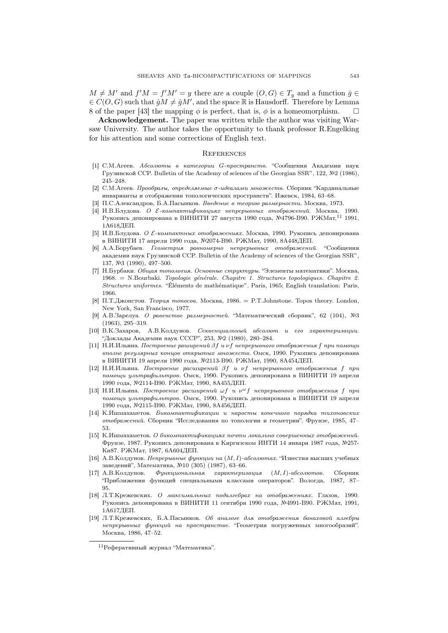$M \neq M'$  and  $f'M = f'M' = y$  there are a couple  $(O, G) \in T_y$  and a function  $\bar{g} \in$  $\in C(O, G)$  such that  $\hat{g}M \neq \hat{g}M'$ , and the space R is Hausdorff. Therefore by Lemma 8 of the paper [43] the mapping  $\phi$  is perfect, that is,  $\phi$  is a homeomorphism.

Acknowledgement. The paper was written while the author was visiting Warsaw University. The author takes the opportunity to thank professor R.Engelking for his attention and some corrections of English text.

#### **REFERENCES**

- [1] С.М.Агеев. Абсолюты в категории G-пространств. "Сообщения Академии наук Грузинской ССР. Bulletin of the Academy of sciences of the Georgian SSR", 122, №2 (1986), 245–248.
- [2] С.М.Агеев. Прообразы, определяемые σ-идеалами множеств. Сборник "Кардинальные инварианты и отображения топологических пространств". Ижевск, 1984, 63–68.
- [3] П.С.Александров, Б.А.Пасынков. Введение в теорию размерности. Москва, 1973.
- [4] И.В.Блудова. О E-компактификациях непрерывных отображений. Москва, 1990. Рукопись депонирована в ВИНИТИ 27 августа 1990 года, №4796-В90. РЖМат, 11 1991, 1А618ДЕП.
- [5] И.В.Блудова. О E-компактных отображениях. Москва, 1990. Рукопись депонирована в ВИНИТИ 17 апреля 1990 года, №2074-В90. РЖМат, 1990, 8А448ДЕП.
- [6] А.А.Борубаев. Геометрия равномерно непрерывных отображений. "Сообщения академии наук Грузинской ССР. Bulletin of the Academy of sciences of the Georgian SSR", 137, №3 (1990), 497–500.
- [7] Н.Бурбаки. Общая топология. Основные структуры. "Элементы математики". Москва, 1968. = N.Bourbaki. Topologie générale. Chapitre 1. Structures topologiques. Chapitre 2. Structures uniformes. "Éléments de mathématique". Paris, 1965; English translation: Paris, 1966.
- [8] П.Т.Джонстон. Теория топосов. Москва, 1986. = P.T.Johnstone. Topos theory. London, New York, San Francisco, 1977.
- [9] А.В.Зарелуа. О равенстве размерностей. "Математический сборник", 62 (104), №3 (1963), 295–319.
- [10] В.К.Захаров, А.В.Колдунов. Секвенциальный абсолют и его характеризации. "Доклады Академии наук СССР", 253, №2 (1980), 280–284.
- $[11]$  Н.И.Ильина. Построение раширений  $\beta f$  и  $\nu f$  непрерывного отображения f при помощи вполне регулярных концов открытых множеств. Омск, 1990. Рукопись депонирована в ВИНИТИ 19 апреля 1990 года, №2113-В90. РЖМат, 1990, 8А454ДЕП.
- $[12]$  Н.И.Ильина. Построение расширений  $\beta f$  и  $\nu f$  непрерывного отображения  $f$  при помощи ультрафильтров. Омск, 1990. Рукопись депонирована в ВИНИТИ 19 апреля 1990 года, №2114-В90. РЖМат, 1990, 8А455ДЕП.
- [13] Н.И.Ильина. Построение расширений  $\omega f$  и  $\nu^{\omega} f$  непрерывного отображения f при помощи ультрафильтров. Омск, 1990. Рукопись депонирована в ВИНИТИ 19 апреля 1990 года, №2115-В90. РЖМат, 1990, 8А456ДЕП.
- [14] К.Ишмахаметов. Бикомпактификации и наросты конечного порядка тихоновских отображений. Сборник "Исследования по топологии и геометрии". Фрунзе, 1985, 47– 53.
- [15] К.Ишмахаметов. О бикомпактификациях почти локально совершенных отображений. Фрунзе, 1987. Рукопись депонирована в Киргизском ИНТИ 14 января 1987 года, №257- Ки87. РЖМат, 1987, 6А604ДЕП.
- [16] А.В.Колдунов. Непрерывные функции на (M, I)-абсолютах. "Известия высших учебных заведений", Математика, №10 (305) (1987), 63–66.
- [17] А.В.Колдунов. Функциональная характеризация (M, I)-абсолютов. Сборник "Приближения функций специальными классами операторов". Вологда, 1987, 87– **95.**
- [18] Л.Т.Крежевских. О максимальных подалгебрах на отображениях. Глазов, 1990. Рукопись депонирована в ВИНИТИ 11 сентября 1990 года, №4991-В90. РЖМат, 1991, 1А617ДЕП.
- [19] Л.Т.Крежевских, Б.А.Пасынков. Об аналоге для отображения банаховой алгебры непрерывных функций на пространстве. "Геометрия погруженных многообразий". Москва, 1986, 47–52.

<sup>11</sup>Реферативный журнал "Математика".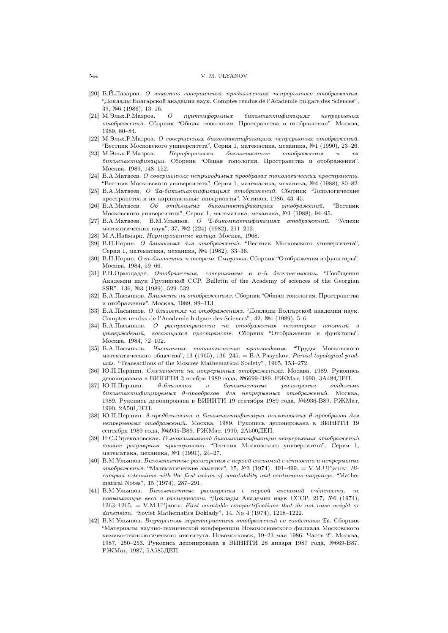#### 544 V. M. ULYANOV

- [20] Б.Й.Лазаров. О локально совершенных продолжениях непрерывного отображения. "Доклады Болгарской академии наук. Comptes rendus de l'Academie bulgare des Sciences", 39, №6 (1986), 13–16.
- [21] М.Эльх.Р.Мазроа. О пунктиформных бикомпактификациях непрерывных отображений. Сборник "Общая топология. Пространства и отображения". Москва, 1989, 80–84.
- [22] М.Эльх.Р.Мазроа. О совершенных бикомпактификациях непрерывных отображений. "Вестник Московского университета", Серия 1, математика, механика, №1 (1990), 23–26.
- [23] М.Эльх.Р.Мазроа. Периферически бикомпактные отображения и их бикомпактификации. Сборник "Общая топология. Пространства и отображения". Москва, 1989, 148–152.
- [24] В.А.Матвеев. О совершенных неприводимых прообразах топологических пространств. "Вестник Московского университета", Серия 1, математика, механика, №4 (1988), 80–82.
- [25] В.А.Матвеев. О Ta-бикомпактификациях отображений. Сборник "Топологические пространства и их кардинальные инварианты". Устинов, 1986, 43–45.
- [26] В.А.Матвеев. Об отделимых бикомпактификациях отображений. "Вестник Московского университета", Серия 1, математика, механика, №1 (1988), 94–95.
- [27] В.А.Матвеев, В.М.Ульянов. О T-бикомпактификациях отображений. "Успехи математических наук", 37, №2 (224) (1982), 211–212.
- [28] М.А.Наймарк. Нормированные кольца. Москва, 1968.
- [29] В.П.Норин. О близостях для отображений. "Вестник Московского университета", Серия 1, математика, механика, №4 (1982), 33–36.
- [30] В.П.Норин. О m-близостях и теореме Смирнова. Сборник "Отображения и функторы". Москва, 1984, 59–66.
- [31] Р.Н.Ормоцадзе. Отображения, совершенные в n-й бесконечности. "Сообщения Академии наук Грузинской ССР. Bulletin of the Academy of sciences of the Georgian SSR", 136, №3 (1989), 529–532.
- [32] Б.А.Пасынков. Близости на отображениях. Сборник "Общая топология. Пространства и отображения". Москва, 1989, 99–113.
- [33] Б.А.Пасынков. О близостях на отображениях. "Доклады Болгарской академии наук. Comptes rendus de l'Academie bulgare des Sciences", 42, №4 (1989), 5–6.
- [34] Б.А.Пасынков. О распространении на отображения некоторых понятий и утверждений, касающихся пространств. Сборник "Отображения и функторы". Москва, 1984, 72–102.
- [35] Б.А.Пасынков. Частичные топологические произведения. "Труды Московского математического общества", 13 (1965), 136–245. = B.A.Pasynkov. Partial topological products. "Transactions of the Moscow Mathematical Society", 1965, 153–272.
- [36] Ю.П.Першин. Смежности на непрерывных отображениях. Москва, 1989. Рукопись депонирована в ВИНИТИ 3 ноября 1989 года, №6699-В89. РЖМат, 1990, 3А484ДЕП.
- [37] Ю.П.Першин. θ-близости и бикомпактные расширения отделимо бикомпактифицируемых θ-прообразов для непрерывных отображений. Москва, 1989. Рукопись депонирована в ВИНИТИ 19 сентября 1989 года, №5936-В89. РЖМат, 1990, 2А501ДЕП.
- [38] Ю.П.Першин. θ-предблизости и бикомпактификации тихоновских θ-прообразов для непрерывных отображений. Москва, 1989. Рукопись депонирована в ВИНИТИ 19 сентября 1989 года, №5935-В89. РЖМат, 1990, 2А500ДЕП.
- [39] Н.С.Стреколовская. О максимальной бикомпактификации непрерывных отображений вполне регулярных пространств. "Вестник Московского университета", Серия 1, математика, механика, №1 (1991), 24–27.
- [40] В.М.Ульянов. Бикомпактные расширения с первой аксиомой счётности и непрерывные отображения. "Математические заметки", 15, №3 (1974), 491-499. = V.M.Ul'janov. Bicompact extensions with the first axiom of countability and continuous mappings. "Mathematical Notes", 15 (1974), 287–291.
- [41] В.М.Ульянов. Бикомпактные расширения с первой аксиомой счётности, не повышающие веса и размерности. "Доклады Академии наук СССР, 217, №6 (1974),  $1263-1265. = V.M.U'janov. First countable compactifications that do not raise weight or$ dimension. "Soviet Mathematics Doklady", 14, No 4 (1974), 1218-1222.
- [42] В.М.Ульянов. Внутренняя характеристика отображений со свойством Ta. Сборник "Материалы научно-технической конференции Новомосковского филиала Московского химико-технологического института. Новомосковск, 19–23 мая 1986. Часть 2". Москва, 1987, 250–253. Рукопись депонирована в ВИНИТИ 28 января 1987 года, №669-В87. РЖМат, 1987, 5А585ДЕП.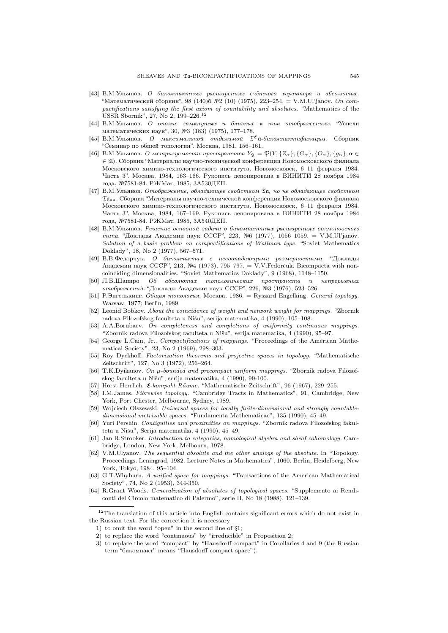- [43] В.М.Ульянов. О бикомпактных расширениях счётного характера и абсолютах. "Математический сборник", 98 (140)б №2 (10) (1975), 223–254. = V.M.Ul'janov. On compactifications satisfying the first axiom of countability and absolutes. "Mathematics of the USSR Sbornik", 27, No 2, 199–226.<sup>12</sup>
- [44] В.М.Ульянов. О вполне замкнутых и близких к ним отображениях. "Успехи математических наук", 30, №3 (183) (1975), 177–178.
- [45] В.М.Ульянов. О максимальной отделимой  $\mathfrak{T}^{\mathfrak{C}}$  а-бикомпактификации. Сборник "Семинар по общей топологии". Москва, 1981, 156–161.
- [46] В.М.Ульянов. О метризуемости пространства  $Y_{\mathfrak{A}} = \mathfrak{P}(Y, \{Z_{\alpha}\}, \{G_{\alpha}\}, \{O_{\alpha}\}, \{g_{\alpha}\}, \alpha \in$ ∈ A). Сборник "Материалы научно-технической конференции Новомосковского филиала Московского химико-технологического института. Новомосковск, 6–11 февраля 1984. Часть 3". Москва, 1984, 163–166. Рукопись депонирована в ВИНИТИ 28 ноября 1984 года, №7581-84. РЖМат, 1985, 3А530ДЕП.
- [47] В.М.Ульянов. Отображение, обладающее свойством Ta, но не обладающее свойством  $\mathfrak{Ta}_{\text{HT}}$ . Сборник "Материалы научно-технической конференции Новомосковского филиала Московского химико-технологического института. Новомосковск, 6–11 февраля 1984. Часть 3". Москва, 1984, 167–169. Рукопись депонирована в ВИНИТИ 28 ноября 1984 года, №7581-84. РЖМат, 1985, 3А540ДЕП.
- [48] В.М.Ульянов. Решение основной задачи о бикомпактных расширениях волмэновского типа. "Доклады Академии наук СССР", 223, №6 (1977), 1056–1059. = V.M.Ul'janov. Solution of a basic problem on compactifications of Wallman type. "Soviet Mathematics Doklady", 18, No 2 (1977), 567–571.
- [49] В.В.Федорчук. О бикомпактах с несовпадающими размерностями. "Доклады Академии наук СССР", 213, №4 (1973), 795–797. = V.V.Fedorčuk. Bicompacta with noncoinciding dimensionalities. "Soviet Mathematics Doklady", 9 (1968), 1148–1150.
- [50] Л.Б.Шапиро Об абсолютах топологических пространств и непрерывных отображений. "Доклады Академии наук СССР", 226, №3 (1976), 523–526.
- [51] Р.Энгелькинг. Общая топология. Москва, 1986. = Ryszard Engelking. General topology. Warsaw, 1977; Berlin, 1989.
- [52] Leonid Bobkov. About the coincidence of weight and network weight for mappings. "Zbornik radova Filozofskog faculteta u Nišu", serija matematika, 4 (1990), 105-108.
- [53] A.A.Borubaev. On completeness and completions of uniformity continuous mappings. "Zbornik radova Filozofskog faculteta u Nišu", serija matematika, 4 (1990), 95-97.
- [54] George L.Cain, Jr.. Compactifications of mappings. "Proceedings of the American Mathematical Society", 23, No 2 (1969), 298–303.
- [55] Roy Dyckhoff. Factorization theorems and projective spaces in topology. "Mathematische Zeitschrift", 127, No 3 (1972), 256–264.
- [56] T.K.Dyikanov. On  $\mu$ -bounded and precompact uniform mappings. "Zbornik radova Filozofskog faculteta u Nišu", serija matematika, 4 (1990), 99-100.
- [57] Horst Herrlich. E-kompakt R¨aume. "Mathematische Zeitschrift", 96 (1967), 229–255.
- [58] I.M.James. Fibrewise topology. "Cambridge Tracts in Mathematics", 91, Cambridge, New York, Port Chester, Melbourne, Sydney, 1989.
- [59] Wojciech Olszewski. Universal spaces for locally finite-dimensional and strongly countabledimensional metrizable spaces. "Fundamenta Mathematicae", 135 (1990), 45–49.
- [60] Yuri Pershin. Contiguities and proximities on mappings. "Zbornik radova Filozofskog fakulteta u Nišu", Serija matematika, 4 (1990), 45-49.
- [61] Jan R.Strooker. Introduction to categories, homological algebra and sheaf cohomology. Cambridge, London, New York, Melbourn, 1978.
- [62] V.M.Ulyanov. The sequential absolute and the other analogs of the absolute. In "Topology. Proceedings. Leningrad, 1982. Lecture Notes in Mathematics", 1060. Berlin, Heidelberg, New York, Tokyo, 1984, 95–104.
- [63] G.T.Whyburn. A unified space for mappings. "Transactions of the American Mathematical Society", 74, No 2 (1953), 344-350.
- [64] R.Grant Woods. Generalization of absolutes of topological spaces. "Supplemento ai Rendiconti del Circolo matematico di Palermo", serie II, No 18 (1988), 121–139.

 $12$ The translation of this article into English contains significant errors which do not exist in the Russian text. For the correction it is necessary

<sup>1)</sup> to omit the word "open" in the second line of §1;

<sup>2)</sup> to replace the word "continuous" by "irreducible" in Proposition 2;

<sup>3)</sup> to replace the word "compact" by "Hausdorff compact" in Corollaries 4 and 9 (the Russian term "бикомпакт" means "Hausdorff compact space").